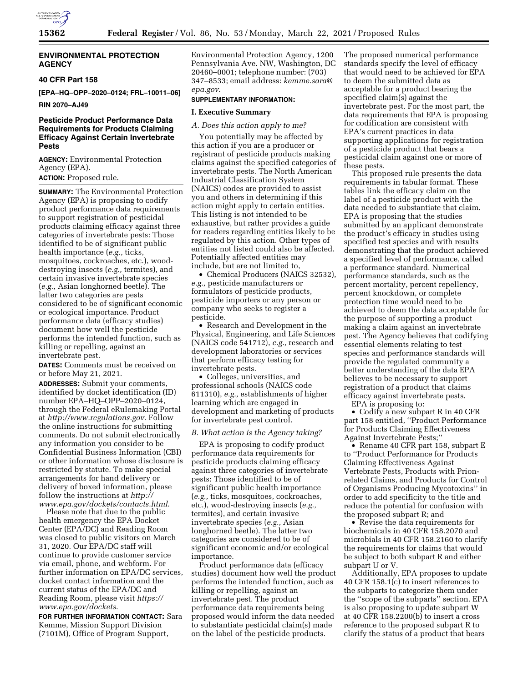

## **ENVIRONMENTAL PROTECTION AGENCY**

#### **40 CFR Part 158**

**[EPA–HQ–OPP–2020–0124; FRL–10011–06]** 

## **RIN 2070–AJ49**

## **Pesticide Product Performance Data Requirements for Products Claiming Efficacy Against Certain Invertebrate Pests**

**AGENCY:** Environmental Protection Agency (EPA). **ACTION:** Proposed rule.

**SUMMARY:** The Environmental Protection Agency (EPA) is proposing to codify product performance data requirements to support registration of pesticidal products claiming efficacy against three categories of invertebrate pests: Those identified to be of significant public health importance (*e.g.,* ticks, mosquitoes, cockroaches, etc.), wooddestroying insects (*e.g.,* termites), and certain invasive invertebrate species (*e.g.,* Asian longhorned beetle). The latter two categories are pests considered to be of significant economic or ecological importance. Product performance data (efficacy studies) document how well the pesticide performs the intended function, such as killing or repelling, against an invertebrate pest.

**DATES:** Comments must be received on or before May 21, 2021.

**ADDRESSES:** Submit your comments, identified by docket identification (ID) number EPA–HQ–OPP–2020–0124, through the Federal eRulemaking Portal at *<http://www.regulations.gov>*. Follow the online instructions for submitting comments. Do not submit electronically any information you consider to be Confidential Business Information (CBI) or other information whose disclosure is restricted by statute. To make special arrangements for hand delivery or delivery of boxed information, please follow the instructions at *[http://](http://www.epa.gov/dockets/contacts.html) [www.epa.gov/dockets/contacts.html](http://www.epa.gov/dockets/contacts.html)*.

Please note that due to the public health emergency the EPA Docket Center (EPA/DC) and Reading Room was closed to public visitors on March 31, 2020. Our EPA/DC staff will continue to provide customer service via email, phone, and webform. For further information on EPA/DC services, docket contact information and the current status of the EPA/DC and Reading Room, please visit *[https://](https://www.epa.gov/dockets) [www.epa.gov/dockets](https://www.epa.gov/dockets)*.

**FOR FURTHER INFORMATION CONTACT:** Sara Kemme, Mission Support Division (7101M), Office of Program Support,

Environmental Protection Agency, 1200 Pennsylvania Ave. NW, Washington, DC 20460–0001; telephone number: (703) 347–8533; email address: *[kemme.sara@](mailto:kemme.sara@epa.gov) [epa.gov](mailto:kemme.sara@epa.gov)*.

## **SUPPLEMENTARY INFORMATION:**

## **I. Executive Summary**

#### *A. Does this action apply to me?*

You potentially may be affected by this action if you are a producer or registrant of pesticide products making claims against the specified categories of invertebrate pests. The North American Industrial Classification System (NAICS) codes are provided to assist you and others in determining if this action might apply to certain entities. This listing is not intended to be exhaustive, but rather provides a guide for readers regarding entities likely to be regulated by this action. Other types of entities not listed could also be affected. Potentially affected entities may include, but are not limited to,

• Chemical Producers (NAICS 32532), *e.g.,* pesticide manufacturers or formulators of pesticide products, pesticide importers or any person or company who seeks to register a pesticide.

• Research and Development in the Physical, Engineering, and Life Sciences (NAICS code 541712), *e.g.,* research and development laboratories or services that perform efficacy testing for invertebrate pests.

• Colleges, universities, and professional schools (NAICS code 611310), *e.g.,* establishments of higher learning which are engaged in development and marketing of products for invertebrate pest control.

#### *B. What action is the Agency taking?*

EPA is proposing to codify product performance data requirements for pesticide products claiming efficacy against three categories of invertebrate pests: Those identified to be of significant public health importance (*e.g.,* ticks, mosquitoes, cockroaches, etc.), wood-destroying insects (*e.g.,*  termites), and certain invasive invertebrate species (*e.g.,* Asian longhorned beetle). The latter two categories are considered to be of significant economic and/or ecological importance.

Product performance data (efficacy studies) document how well the product performs the intended function, such as killing or repelling, against an invertebrate pest. The product performance data requirements being proposed would inform the data needed to substantiate pesticidal claim(s) made on the label of the pesticide products.

The proposed numerical performance standards specify the level of efficacy that would need to be achieved for EPA to deem the submitted data as acceptable for a product bearing the specified claim(s) against the invertebrate pest. For the most part, the data requirements that EPA is proposing for codification are consistent with EPA's current practices in data supporting applications for registration of a pesticide product that bears a pesticidal claim against one or more of these pests.

This proposed rule presents the data requirements in tabular format. These tables link the efficacy claim on the label of a pesticide product with the data needed to substantiate that claim. EPA is proposing that the studies submitted by an applicant demonstrate the product's efficacy in studies using specified test species and with results demonstrating that the product achieved a specified level of performance, called a performance standard. Numerical performance standards, such as the percent mortality, percent repellency, percent knockdown, or complete protection time would need to be achieved to deem the data acceptable for the purpose of supporting a product making a claim against an invertebrate pest. The Agency believes that codifying essential elements relating to test species and performance standards will provide the regulated community a better understanding of the data EPA believes to be necessary to support registration of a product that claims efficacy against invertebrate pests. EPA is proposing to:

• Codify a new subpart R in 40 CFR part 158 entitled, ''Product Performance for Products Claiming Effectiveness Against Invertebrate Pests;''

• Rename 40 CFR part 158, subpart E to ''Product Performance for Products Claiming Effectiveness Against Vertebrate Pests, Products with Prionrelated Claims, and Products for Control of Organisms Producing Mycotoxins'' in order to add specificity to the title and reduce the potential for confusion with the proposed subpart R; and

• Revise the data requirements for biochemicals in 40 CFR 158.2070 and microbials in 40 CFR 158.2160 to clarify the requirements for claims that would be subject to both subpart R and either subpart U or V.

Additionally, EPA proposes to update 40 CFR 158.1(c) to insert references to the subparts to categorize them under the ''scope of the subparts'' section. EPA is also proposing to update subpart W at 40 CFR 158.2200(b) to insert a cross reference to the proposed subpart R to clarify the status of a product that bears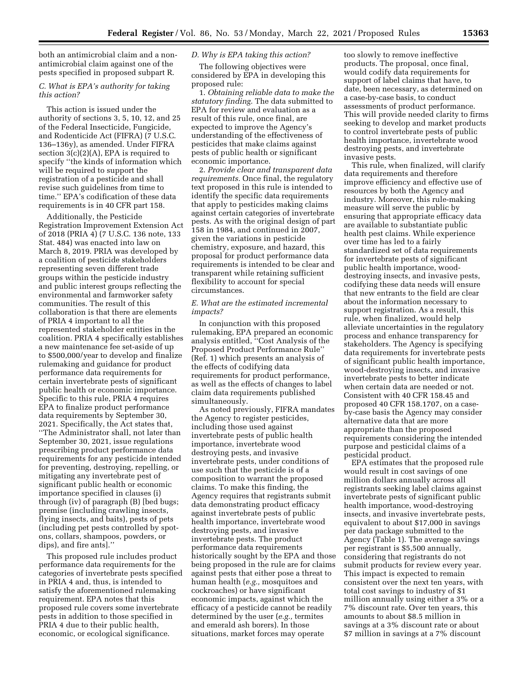both an antimicrobial claim and a nonantimicrobial claim against one of the pests specified in proposed subpart R.

## *C. What is EPA's authority for taking this action?*

This action is issued under the authority of sections 3, 5, 10, 12, and 25 of the Federal Insecticide, Fungicide, and Rodenticide Act (FIFRA) (7 U.S.C. 136–136y), as amended. Under FIFRA section 3(c)(2)(A), EPA is required to specify ''the kinds of information which will be required to support the registration of a pesticide and shall revise such guidelines from time to time.'' EPA's codification of these data requirements is in 40 CFR part 158.

Additionally, the Pesticide Registration Improvement Extension Act of 2018 (PRIA 4) (7 U.S.C. 136 note, 133 Stat. 484) was enacted into law on March 8, 2019. PRIA was developed by a coalition of pesticide stakeholders representing seven different trade groups within the pesticide industry and public interest groups reflecting the environmental and farmworker safety communities. The result of this collaboration is that there are elements of PRIA 4 important to all the represented stakeholder entities in the coalition. PRIA 4 specifically establishes a new maintenance fee set-aside of up to \$500,000/year to develop and finalize rulemaking and guidance for product performance data requirements for certain invertebrate pests of significant public health or economic importance. Specific to this rule, PRIA 4 requires EPA to finalize product performance data requirements by September 30, 2021. Specifically, the Act states that, ''The Administrator shall, not later than September 30, 2021, issue regulations prescribing product performance data requirements for any pesticide intended for preventing, destroying, repelling, or mitigating any invertebrate pest of significant public health or economic importance specified in clauses (i) through (iv) of paragraph (B) [bed bugs; premise (including crawling insects, flying insects, and baits), pests of pets (including pet pests controlled by spotons, collars, shampoos, powders, or dips), and fire ants].''

This proposed rule includes product performance data requirements for the categories of invertebrate pests specified in PRIA 4 and, thus, is intended to satisfy the aforementioned rulemaking requirement. EPA notes that this proposed rule covers some invertebrate pests in addition to those specified in PRIA 4 due to their public health, economic, or ecological significance.

## *D. Why is EPA taking this action?*

The following objectives were considered by EPA in developing this proposed rule:

1. *Obtaining reliable data to make the statutory finding.* The data submitted to EPA for review and evaluation as a result of this rule, once final, are expected to improve the Agency's understanding of the effectiveness of pesticides that make claims against pests of public health or significant economic importance.

2. *Provide clear and transparent data requirements.* Once final, the regulatory text proposed in this rule is intended to identify the specific data requirements that apply to pesticides making claims against certain categories of invertebrate pests. As with the original design of part 158 in 1984, and continued in 2007, given the variations in pesticide chemistry, exposure, and hazard, this proposal for product performance data requirements is intended to be clear and transparent while retaining sufficient flexibility to account for special circumstances.

#### *E. What are the estimated incremental impacts?*

In conjunction with this proposed rulemaking, EPA prepared an economic analysis entitled, ''Cost Analysis of the Proposed Product Performance Rule'' (Ref. 1) which presents an analysis of the effects of codifying data requirements for product performance, as well as the effects of changes to label claim data requirements published simultaneously.

As noted previously, FIFRA mandates the Agency to register pesticides, including those used against invertebrate pests of public health importance, invertebrate wood destroying pests, and invasive invertebrate pests, under conditions of use such that the pesticide is of a composition to warrant the proposed claims. To make this finding, the Agency requires that registrants submit data demonstrating product efficacy against invertebrate pests of public health importance, invertebrate wood destroying pests, and invasive invertebrate pests. The product performance data requirements historically sought by the EPA and those being proposed in the rule are for claims against pests that either pose a threat to human health (*e.g.,* mosquitoes and cockroaches) or have significant economic impacts, against which the efficacy of a pesticide cannot be readily determined by the user (*e.g.,* termites and emerald ash borers). In those situations, market forces may operate

too slowly to remove ineffective products. The proposal, once final, would codify data requirements for support of label claims that have, to date, been necessary, as determined on a case-by-case basis, to conduct assessments of product performance. This will provide needed clarity to firms seeking to develop and market products to control invertebrate pests of public health importance, invertebrate wood destroying pests, and invertebrate invasive pests.

This rule, when finalized, will clarify data requirements and therefore improve efficiency and effective use of resources by both the Agency and industry. Moreover, this rule-making measure will serve the public by ensuring that appropriate efficacy data are available to substantiate public health pest claims. While experience over time has led to a fairly standardized set of data requirements for invertebrate pests of significant public health importance, wooddestroying insects, and invasive pests, codifying these data needs will ensure that new entrants to the field are clear about the information necessary to support registration. As a result, this rule, when finalized, would help alleviate uncertainties in the regulatory process and enhance transparency for stakeholders. The Agency is specifying data requirements for invertebrate pests of significant public health importance, wood-destroying insects, and invasive invertebrate pests to better indicate when certain data are needed or not. Consistent with 40 CFR 158.45 and proposed 40 CFR 158.1707, on a caseby-case basis the Agency may consider alternative data that are more appropriate than the proposed requirements considering the intended purpose and pesticidal claims of a pesticidal product.

EPA estimates that the proposed rule would result in cost savings of one million dollars annually across all registrants seeking label claims against invertebrate pests of significant public health importance, wood-destroying insects, and invasive invertebrate pests, equivalent to about \$17,000 in savings per data package submitted to the Agency (Table 1). The average savings per registrant is \$5,500 annually, considering that registrants do not submit products for review every year. This impact is expected to remain consistent over the next ten years, with total cost savings to industry of \$1 million annually using either a 3% or a 7% discount rate. Over ten years, this amounts to about \$8.5 million in savings at a 3% discount rate or about \$7 million in savings at a 7% discount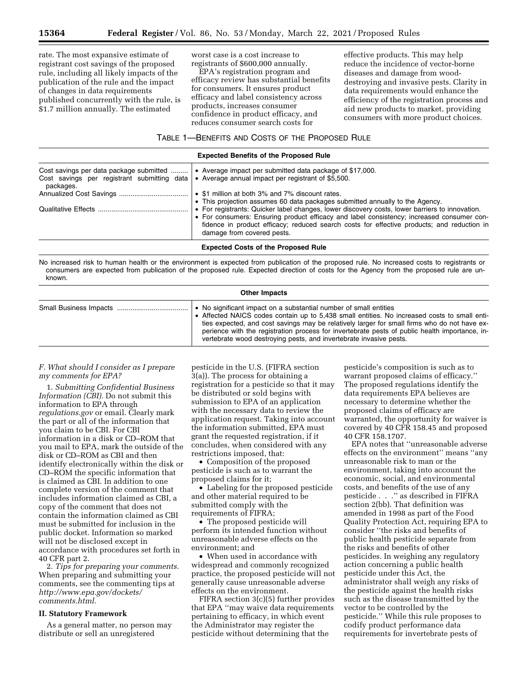rate. The most expansive estimate of registrant cost savings of the proposed rule, including all likely impacts of the publication of the rule and the impact of changes in data requirements published concurrently with the rule, is \$1.7 million annually. The estimated

worst case is a cost increase to registrants of \$600,000 annually.

EPA's registration program and efficacy review has substantial benefits for consumers. It ensures product efficacy and label consistency across products, increases consumer confidence in product efficacy, and reduces consumer search costs for

effective products. This may help reduce the incidence of vector-borne diseases and damage from wooddestroying and invasive pests. Clarity in data requirements would enhance the efficiency of the registration process and aid new products to market, providing consumers with more product choices.

#### TABLE 1—BENEFITS AND COSTS OF THE PROPOSED RULE

| <b>Expected Benefits of the Proposed Rule</b>                                                       |                                                                                                                                                                                                                                                                                                                         |  |
|-----------------------------------------------------------------------------------------------------|-------------------------------------------------------------------------------------------------------------------------------------------------------------------------------------------------------------------------------------------------------------------------------------------------------------------------|--|
| Cost savings per data package submitted<br>Cost savings per registrant submitting data<br>packages. | • Average impact per submitted data package of \$17,000.<br>• Average annual impact per registrant of \$5,500.                                                                                                                                                                                                          |  |
|                                                                                                     | • \$1 million at both 3% and 7% discount rates.<br>• This projection assumes 60 data packages submitted annually to the Agency.                                                                                                                                                                                         |  |
|                                                                                                     | • For registrants: Quicker label changes, lower discovery costs, lower barriers to innovation.<br>• For consumers: Ensuring product efficacy and label consistency; increased consumer con-<br>fidence in product efficacy; reduced search costs for effective products; and reduction in<br>damage from covered pests. |  |
|                                                                                                     | <b>Expected Costs of the Proposed Rule</b>                                                                                                                                                                                                                                                                              |  |

No increased risk to human health or the environment is expected from publication of the proposed rule. No increased costs to registrants or consumers are expected from publication of the proposed rule. Expected direction of costs for the Agency from the proposed rule are unknown.

#### **Other Impacts**

|  | • No significant impact on a substantial number of small entities<br>• Affected NAICS codes contain up to 5,438 small entities. No increased costs to small enti-<br>ties expected, and cost savings may be relatively larger for small firms who do not have ex-<br>perience with the registration process for invertebrate pests of public health importance, in-<br>vertebrate wood destroying pests, and invertebrate invasive pests. |
|--|-------------------------------------------------------------------------------------------------------------------------------------------------------------------------------------------------------------------------------------------------------------------------------------------------------------------------------------------------------------------------------------------------------------------------------------------|
|--|-------------------------------------------------------------------------------------------------------------------------------------------------------------------------------------------------------------------------------------------------------------------------------------------------------------------------------------------------------------------------------------------------------------------------------------------|

#### *F. What should I consider as I prepare my comments for EPA?*

1. *Submitting Confidential Business Information (CBI).* Do not submit this information to EPA through *regulations.gov* or email. Clearly mark the part or all of the information that you claim to be CBI. For CBI information in a disk or CD–ROM that you mail to EPA, mark the outside of the disk or CD–ROM as CBI and then identify electronically within the disk or CD–ROM the specific information that is claimed as CBI. In addition to one complete version of the comment that includes information claimed as CBI, a copy of the comment that does not contain the information claimed as CBI must be submitted for inclusion in the public docket. Information so marked will not be disclosed except in accordance with procedures set forth in 40 CFR part 2.

2. *Tips for preparing your comments.*  When preparing and submitting your comments, see the commenting tips at *[http://www.epa.gov/dockets/](http://www.epa.gov/dockets/comments.html)  [comments.html](http://www.epa.gov/dockets/comments.html)*.

#### **II. Statutory Framework**

As a general matter, no person may distribute or sell an unregistered

pesticide in the U.S. (FIFRA section 3(a)). The process for obtaining a registration for a pesticide so that it may be distributed or sold begins with submission to EPA of an application with the necessary data to review the application request. Taking into account the information submitted, EPA must grant the requested registration, if it concludes, when considered with any restrictions imposed, that:

• Composition of the proposed pesticide is such as to warrant the proposed claims for it;

• Labeling for the proposed pesticide and other material required to be submitted comply with the requirements of FIFRA;

• The proposed pesticide will perform its intended function without unreasonable adverse effects on the environment; and

• When used in accordance with widespread and commonly recognized practice, the proposed pesticide will not generally cause unreasonable adverse effects on the environment.

FIFRA section 3(c)(5) further provides that EPA ''may waive data requirements pertaining to efficacy, in which event the Administrator may register the pesticide without determining that the

pesticide's composition is such as to warrant proposed claims of efficacy.'' The proposed regulations identify the data requirements EPA believes are necessary to determine whether the proposed claims of efficacy are warranted, the opportunity for waiver is covered by 40 CFR 158.45 and proposed 40 CFR 158.1707.

EPA notes that ''unreasonable adverse effects on the environment'' means ''any unreasonable risk to man or the environment, taking into account the economic, social, and environmental costs, and benefits of the use of any pesticide . . .'' as described in FIFRA section 2(bb). That definition was amended in 1998 as part of the Food Quality Protection Act, requiring EPA to consider ''the risks and benefits of public health pesticide separate from the risks and benefits of other pesticides. In weighing any regulatory action concerning a public health pesticide under this Act, the administrator shall weigh any risks of the pesticide against the health risks such as the disease transmitted by the vector to be controlled by the pesticide.'' While this rule proposes to codify product performance data requirements for invertebrate pests of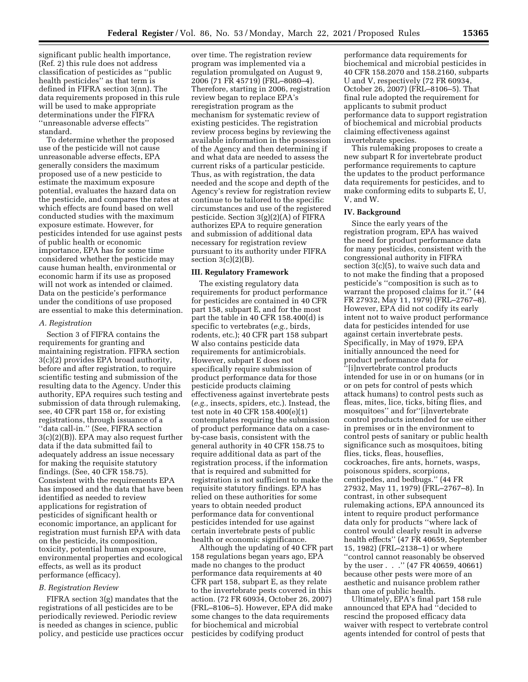significant public health importance, (Ref. 2) this rule does not address classification of pesticides as ''public health pesticides'' as that term is defined in FIFRA section 3(nn). The data requirements proposed in this rule will be used to make appropriate determinations under the FIFRA ''unreasonable adverse effects'' standard.

To determine whether the proposed use of the pesticide will not cause unreasonable adverse effects, EPA generally considers the maximum proposed use of a new pesticide to estimate the maximum exposure potential, evaluates the hazard data on the pesticide, and compares the rates at which effects are found based on well conducted studies with the maximum exposure estimate. However, for pesticides intended for use against pests of public health or economic importance, EPA has for some time considered whether the pesticide may cause human health, environmental or economic harm if its use as proposed will not work as intended or claimed. Data on the pesticide's performance under the conditions of use proposed are essential to make this determination.

#### *A. Registration*

Section 3 of FIFRA contains the requirements for granting and maintaining registration. FIFRA section 3(c)(2) provides EPA broad authority, before and after registration, to require scientific testing and submission of the resulting data to the Agency. Under this authority, EPA requires such testing and submission of data through rulemaking, see, 40 CFR part 158 or, for existing registrations, through issuance of a ''data call-in.'' (See, FIFRA section 3(c)(2)(B)). EPA may also request further data if the data submitted fail to adequately address an issue necessary for making the requisite statutory findings. (See, 40 CFR 158.75). Consistent with the requirements EPA has imposed and the data that have been identified as needed to review applications for registration of pesticides of significant health or economic importance, an applicant for registration must furnish EPA with data on the pesticide, its composition, toxicity, potential human exposure, environmental properties and ecological effects, as well as its product performance (efficacy).

#### *B. Registration Review*

FIFRA section 3(g) mandates that the registrations of all pesticides are to be periodically reviewed. Periodic review is needed as changes in science, public policy, and pesticide use practices occur

over time. The registration review program was implemented via a regulation promulgated on August 9, 2006 (71 FR 45719) (FRL–8080–4). Therefore, starting in 2006, registration review began to replace EPA's reregistration program as the mechanism for systematic review of existing pesticides. The registration review process begins by reviewing the available information in the possession of the Agency and then determining if and what data are needed to assess the current risks of a particular pesticide. Thus, as with registration, the data needed and the scope and depth of the Agency's review for registration review continue to be tailored to the specific circumstances and use of the registered pesticide. Section 3(g)(2)(A) of FIFRA authorizes EPA to require generation and submission of additional data necessary for registration review pursuant to its authority under FIFRA section  $3(c)(2)(B)$ .

# **III. Regulatory Framework**

The existing regulatory data requirements for product performance for pesticides are contained in 40 CFR part 158, subpart E, and for the most part the table in 40 CFR 158.400(d) is specific to vertebrates (*e.g.,* birds, rodents, etc.); 40 CFR part 158 subpart W also contains pesticide data requirements for antimicrobials. However, subpart E does not specifically require submission of product performance data for those pesticide products claiming effectiveness against invertebrate pests (*e.g.,* insects, spiders, etc.). Instead, the test note in 40 CFR 158.400(e)(1) contemplates requiring the submission of product performance data on a caseby-case basis, consistent with the general authority in 40 CFR 158.75 to require additional data as part of the registration process, if the information that is required and submitted for registration is not sufficient to make the requisite statutory findings. EPA has relied on these authorities for some years to obtain needed product performance data for conventional pesticides intended for use against certain invertebrate pests of public health or economic significance.

Although the updating of 40 CFR part 158 regulations began years ago, EPA made no changes to the product performance data requirements at 40 CFR part 158, subpart E, as they relate to the invertebrate pests covered in this action. (72 FR 60934, October 26, 2007) (FRL–8106–5). However, EPA did make some changes to the data requirements for biochemical and microbial pesticides by codifying product

performance data requirements for biochemical and microbial pesticides in 40 CFR 158.2070 and 158.2160, subparts U and V, respectively (72 FR 60934, October 26, 2007) (FRL–8106–5). That final rule adopted the requirement for applicants to submit product performance data to support registration of biochemical and microbial products claiming effectiveness against invertebrate species.

This rulemaking proposes to create a new subpart R for invertebrate product performance requirements to capture the updates to the product performance data requirements for pesticides, and to make conforming edits to subparts E, U, V, and W.

# **IV. Background**

Since the early years of the registration program, EPA has waived the need for product performance data for many pesticides, consistent with the congressional authority in FIFRA section 3(c)(5), to waive such data and to not make the finding that a proposed pesticide's ''composition is such as to warrant the proposed claims for it.'' (44 FR 27932, May 11, 1979) (FRL–2767–8). However, EPA did not codify its early intent not to waive product performance data for pesticides intended for use against certain invertebrate pests. Specifically, in May of 1979, EPA initially announced the need for product performance data for ''[i]nvertebrate control products intended for use in or on humans (or in or on pets for control of pests which attack humans) to control pests such as fleas, mites, lice, ticks, biting flies, and mosquitoes'' and for''[i]nvertebrate control products intended for use either in premises or in the environment to control pests of sanitary or public health significance such as mosquitoes, biting flies, ticks, fleas, houseflies, cockroaches, fire ants, hornets, wasps, poisonous spiders, scorpions, centipedes, and bedbugs.'' (44 FR 27932, May 11, 1979) (FRL–2767–8). In contrast, in other subsequent rulemaking actions, EPA announced its intent to require product performance data only for products ''where lack of control would clearly result in adverse health effects'' (47 FR 40659, September 15, 1982) (FRL–2138–1) or where ''control cannot reasonably be observed by the user . . .'' (47 FR 40659, 40661) because other pests were more of an aesthetic and nuisance problem rather than one of public health.

Ultimately, EPA's final part 158 rule announced that EPA had ''decided to rescind the proposed efficacy data waiver with respect to vertebrate control agents intended for control of pests that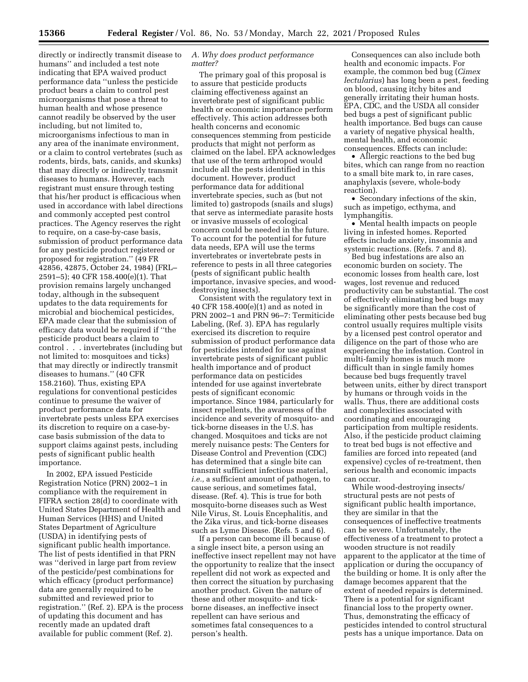directly or indirectly transmit disease to humans'' and included a test note indicating that EPA waived product performance data ''unless the pesticide product bears a claim to control pest microorganisms that pose a threat to human health and whose presence cannot readily be observed by the user including, but not limited to, microorganisms infectious to man in any area of the inanimate environment, or a claim to control vertebrates (such as rodents, birds, bats, canids, and skunks) that may directly or indirectly transmit diseases to humans. However, each registrant must ensure through testing that his/her product is efficacious when used in accordance with label directions and commonly accepted pest control practices. The Agency reserves the right to require, on a case-by-case basis, submission of product performance data for any pesticide product registered or proposed for registration.'' (49 FR 42856, 42875, October 24, 1984) (FRL– 2591–5); 40 CFR 158.400(e)(1). That provision remains largely unchanged today, although in the subsequent updates to the data requirements for microbial and biochemical pesticides, EPA made clear that the submission of efficacy data would be required if ''the pesticide product bears a claim to control . . . invertebrates (including but not limited to: mosquitoes and ticks) that may directly or indirectly transmit diseases to humans.'' (40 CFR 158.2160). Thus, existing EPA regulations for conventional pesticides continue to presume the waiver of product performance data for invertebrate pests unless EPA exercises its discretion to require on a case-bycase basis submission of the data to support claims against pests, including pests of significant public health importance.

In 2002, EPA issued Pesticide Registration Notice (PRN) 2002–1 in compliance with the requirement in FIFRA section 28(d) to coordinate with United States Department of Health and Human Services (HHS) and United States Department of Agriculture (USDA) in identifying pests of significant public health importance. The list of pests identified in that PRN was ''derived in large part from review of the pesticide/pest combinations for which efficacy (product performance) data are generally required to be submitted and reviewed prior to registration.'' (Ref. 2). EPA is the process of updating this document and has recently made an updated draft available for public comment (Ref. 2).

#### *A. Why does product performance matter?*

The primary goal of this proposal is to assure that pesticide products claiming effectiveness against an invertebrate pest of significant public health or economic importance perform effectively. This action addresses both health concerns and economic consequences stemming from pesticide products that might not perform as claimed on the label. EPA acknowledges that use of the term arthropod would include all the pests identified in this document. However, product performance data for additional invertebrate species, such as (but not limited to) gastropods (snails and slugs) that serve as intermediate parasite hosts or invasive mussels of ecological concern could be needed in the future. To account for the potential for future data needs, EPA will use the terms invertebrates or invertebrate pests in reference to pests in all three categories (pests of significant public health importance, invasive species, and wooddestroying insects).

Consistent with the regulatory text in 40 CFR 158.400(e)(1) and as noted in PRN 2002–1 and PRN 96–7: Termiticide Labeling, (Ref. 3). EPA has regularly exercised its discretion to require submission of product performance data for pesticides intended for use against invertebrate pests of significant public health importance and of product performance data on pesticides intended for use against invertebrate pests of significant economic importance. Since 1984, particularly for insect repellents, the awareness of the incidence and severity of mosquito- and tick-borne diseases in the U.S. has changed. Mosquitoes and ticks are not merely nuisance pests: The Centers for Disease Control and Prevention (CDC) has determined that a single bite can transmit sufficient infectious material, *i.e.,* a sufficient amount of pathogen, to cause serious, and sometimes fatal, disease. (Ref. 4). This is true for both mosquito-borne diseases such as West Nile Virus, St. Louis Encephalitis, and the Zika virus, and tick-borne diseases such as Lyme Disease. (Refs. 5 and 6).

If a person can become ill because of a single insect bite, a person using an ineffective insect repellent may not have the opportunity to realize that the insect repellent did not work as expected and then correct the situation by purchasing another product. Given the nature of these and other mosquito- and tickborne diseases, an ineffective insect repellent can have serious and sometimes fatal consequences to a person's health.

Consequences can also include both health and economic impacts. For example, the common bed bug (*Cimex lectularius*) has long been a pest, feeding on blood, causing itchy bites and generally irritating their human hosts. EPA, CDC, and the USDA all consider bed bugs a pest of significant public health importance. Bed bugs can cause a variety of negative physical health, mental health, and economic consequences. Effects can include:

• Allergic reactions to the bed bug bites, which can range from no reaction to a small bite mark to, in rare cases, anaphylaxis (severe, whole-body reaction).

• Secondary infections of the skin, such as impetigo, ecthyma, and lymphangitis.

• Mental health impacts on people living in infested homes. Reported effects include anxiety, insomnia and systemic reactions. (Refs. 7 and 8).

Bed bug infestations are also an economic burden on society. The economic losses from health care, lost wages, lost revenue and reduced productivity can be substantial. The cost of effectively eliminating bed bugs may be significantly more than the cost of eliminating other pests because bed bug control usually requires multiple visits by a licensed pest control operator and diligence on the part of those who are experiencing the infestation. Control in multi-family homes is much more difficult than in single family homes because bed bugs frequently travel between units, either by direct transport by humans or through voids in the walls. Thus, there are additional costs and complexities associated with coordinating and encouraging participation from multiple residents. Also, if the pesticide product claiming to treat bed bugs is not effective and families are forced into repeated (and expensive) cycles of re-treatment, then serious health and economic impacts can occur.

While wood-destroying insects/ structural pests are not pests of significant public health importance, they are similar in that the consequences of ineffective treatments can be severe. Unfortunately, the effectiveness of a treatment to protect a wooden structure is not readily apparent to the applicator at the time of application or during the occupancy of the building or home. It is only after the damage becomes apparent that the extent of needed repairs is determined. There is a potential for significant financial loss to the property owner. Thus, demonstrating the efficacy of pesticides intended to control structural pests has a unique importance. Data on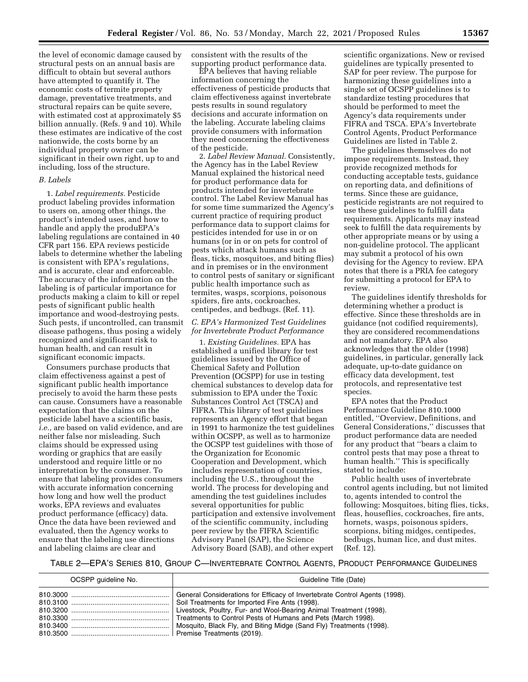the level of economic damage caused by structural pests on an annual basis are difficult to obtain but several authors have attempted to quantify it. The economic costs of termite property damage, preventative treatments, and structural repairs can be quite severe, with estimated cost at approximately \$5 billion annually. (Refs. 9 and 10). While these estimates are indicative of the cost nationwide, the costs borne by an individual property owner can be significant in their own right, up to and including, loss of the structure.

#### *B. Labels*

1. *Label requirements.* Pesticide product labeling provides information to users on, among other things, the product's intended uses, and how to handle and apply the produEPA's labeling regulations are contained in 40 CFR part 156. EPA reviews pesticide labels to determine whether the labeling is consistent with EPA's regulations, and is accurate, clear and enforceable. The accuracy of the information on the labeling is of particular importance for products making a claim to kill or repel pests of significant public health importance and wood-destroying pests. Such pests, if uncontrolled, can transmit disease pathogens, thus posing a widely recognized and significant risk to human health, and can result in significant economic impacts.

Consumers purchase products that claim effectiveness against a pest of significant public health importance precisely to avoid the harm these pests can cause. Consumers have a reasonable expectation that the claims on the pesticide label have a scientific basis, *i.e.,* are based on valid evidence, and are neither false nor misleading. Such claims should be expressed using wording or graphics that are easily understood and require little or no interpretation by the consumer. To ensure that labeling provides consumers with accurate information concerning how long and how well the product works, EPA reviews and evaluates product performance (efficacy) data. Once the data have been reviewed and evaluated, then the Agency works to ensure that the labeling use directions and labeling claims are clear and

consistent with the results of the supporting product performance data.

EPA believes that having reliable information concerning the effectiveness of pesticide products that claim effectiveness against invertebrate pests results in sound regulatory decisions and accurate information on the labeling. Accurate labeling claims provide consumers with information they need concerning the effectiveness of the pesticide.

2. *Label Review Manual.* Consistently, the Agency has in the Label Review Manual explained the historical need for product performance data for products intended for invertebrate control. The Label Review Manual has for some time summarized the Agency's current practice of requiring product performance data to support claims for pesticides intended for use in or on humans (or in or on pets for control of pests which attack humans such as fleas, ticks, mosquitoes, and biting flies) and in premises or in the environment to control pests of sanitary or significant public health importance such as termites, wasps, scorpions, poisonous spiders, fire ants, cockroaches, centipedes, and bedbugs. (Ref. 11).

## *C. EPA's Harmonized Test Guidelines for Invertebrate Product Performance*

1. *Existing Guidelines.* EPA has established a unified library for test guidelines issued by the Office of Chemical Safety and Pollution Prevention (OCSPP) for use in testing chemical substances to develop data for submission to EPA under the Toxic Substances Control Act (TSCA) and FIFRA. This library of test guidelines represents an Agency effort that began in 1991 to harmonize the test guidelines within OCSPP, as well as to harmonize the OCSPP test guidelines with those of the Organization for Economic Cooperation and Development, which includes representation of countries, including the U.S., throughout the world. The process for developing and amending the test guidelines includes several opportunities for public participation and extensive involvement of the scientific community, including peer review by the FIFRA Scientific Advisory Panel (SAP), the Science Advisory Board (SAB), and other expert

scientific organizations. New or revised guidelines are typically presented to SAP for peer review. The purpose for harmonizing these guidelines into a single set of OCSPP guidelines is to standardize testing procedures that should be performed to meet the Agency's data requirements under FIFRA and TSCA. EPA's Invertebrate Control Agents, Product Performance Guidelines are listed in Table 2.

The guidelines themselves do not impose requirements. Instead, they provide recognized methods for conducting acceptable tests, guidance on reporting data, and definitions of terms. Since these are guidance, pesticide registrants are not required to use these guidelines to fulfill data requirements. Applicants may instead seek to fulfill the data requirements by other appropriate means or by using a non-guideline protocol. The applicant may submit a protocol of his own devising for the Agency to review. EPA notes that there is a PRIA fee category for submitting a protocol for EPA to review.

The guidelines identify thresholds for determining whether a product is effective. Since these thresholds are in guidance (not codified requirements), they are considered recommendations and not mandatory. EPA also acknowledges that the older (1998) guidelines, in particular, generally lack adequate, up-to-date guidance on efficacy data development, test protocols, and representative test species.

EPA notes that the Product Performance Guideline 810.1000 entitled, ''Overview, Definitions, and General Considerations,'' discusses that product performance data are needed for any product that ''bears a claim to control pests that may pose a threat to human health.'' This is specifically stated to include:

Public health uses of invertebrate control agents including, but not limited to, agents intended to control the following: Mosquitoes, biting flies, ticks, fleas, houseflies, cockroaches, fire ants, hornets, wasps, poisonous spiders, scorpions, biting midges, centipedes, bedbugs, human lice, and dust mites. (Ref. 12).

## TABLE 2—EPA'S SERIES 810, GROUP C—INVERTEBRATE CONTROL AGENTS, PRODUCT PERFORMANCE GUIDELINES

| OCSPP quideline No. | Guideline Title (Date)                                                                                                                                                                                                  |
|---------------------|-------------------------------------------------------------------------------------------------------------------------------------------------------------------------------------------------------------------------|
|                     | General Considerations for Efficacy of Invertebrate Control Agents (1998).<br>Livestock, Poultry, Fur- and Wool-Bearing Animal Treatment (1998).<br>Mosquito, Black Fly, and Biting Midge (Sand Fly) Treatments (1998). |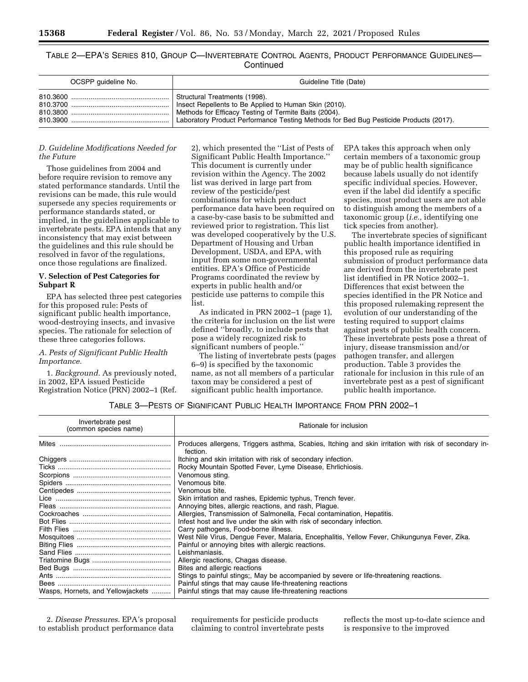TABLE 2—EPA'S SERIES 810, GROUP C—INVERTEBRATE CONTROL AGENTS, PRODUCT PERFORMANCE GUIDELINES— **Continued** 

| OCSPP quideline No. | Guideline Title (Date)                                                                |
|---------------------|---------------------------------------------------------------------------------------|
| 810.3600            | Structural Treatments (1998).                                                         |
|                     | Insect Repellents to Be Applied to Human Skin (2010).                                 |
|                     | Methods for Efficacy Testing of Termite Baits (2004).                                 |
|                     | Laboratory Product Performance Testing Methods for Bed Bug Pesticide Products (2017). |

#### *D. Guideline Modifications Needed for the Future*

Those guidelines from 2004 and before require revision to remove any stated performance standards. Until the revisions can be made, this rule would supersede any species requirements or performance standards stated, or implied, in the guidelines applicable to invertebrate pests. EPA intends that any inconsistency that may exist between the guidelines and this rule should be resolved in favor of the regulations, once those regulations are finalized.

## **V. Selection of Pest Categories for Subpart R**

EPA has selected three pest categories for this proposed rule: Pests of significant public health importance, wood-destroying insects, and invasive species. The rationale for selection of these three categories follows.

## *A. Pests of Significant Public Health Importance.*

1. *Background.* As previously noted, in 2002, EPA issued Pesticide Registration Notice (PRN) 2002–1 (Ref.

2), which presented the ''List of Pests of Significant Public Health Importance.'' This document is currently under revision within the Agency. The 2002 list was derived in large part from review of the pesticide/pest combinations for which product performance data have been required on a case-by-case basis to be submitted and reviewed prior to registration. This list was developed cooperatively by the U.S. Department of Housing and Urban Development, USDA, and EPA, with input from some non-governmental entities. EPA's Office of Pesticide Programs coordinated the review by experts in public health and/or pesticide use patterns to compile this list.

As indicated in PRN 2002–1 (page 1), the criteria for inclusion on the list were defined ''broadly, to include pests that pose a widely recognized risk to significant numbers of people.''

The listing of invertebrate pests (pages 6–9) is specified by the taxonomic name, as not all members of a particular taxon may be considered a pest of significant public health importance.

EPA takes this approach when only certain members of a taxonomic group may be of public health significance because labels usually do not identify specific individual species. However, even if the label did identify a specific species, most product users are not able to distinguish among the members of a taxonomic group (*i.e.,* identifying one tick species from another).

The invertebrate species of significant public health importance identified in this proposed rule as requiring submission of product performance data are derived from the invertebrate pest list identified in PR Notice 2002–1. Differences that exist between the species identified in the PR Notice and this proposed rulemaking represent the evolution of our understanding of the testing required to support claims against pests of public health concern. These invertebrate pests pose a threat of injury, disease transmission and/or pathogen transfer, and allergen production. Table 3 provides the rationale for inclusion in this rule of an invertebrate pest as a pest of significant public health importance.

#### TABLE 3—PESTS OF SIGNIFICANT PUBLIC HEALTH IMPORTANCE FROM PRN 2002–1

| Invertebrate pest<br>(common species name) | Rationale for inclusion                                                                                          |  |
|--------------------------------------------|------------------------------------------------------------------------------------------------------------------|--|
|                                            | Produces allergens, Triggers asthma, Scabies, Itching and skin irritation with risk of secondary in-<br>fection. |  |
|                                            | Itching and skin irritation with risk of secondary infection.                                                    |  |
|                                            | Rocky Mountain Spotted Fever, Lyme Disease, Ehrlichiosis.                                                        |  |
|                                            | Venomous sting.                                                                                                  |  |
|                                            | Venomous bite.                                                                                                   |  |
|                                            | Venomous bite.                                                                                                   |  |
|                                            | Skin irritation and rashes, Epidemic typhus, Trench fever.                                                       |  |
|                                            | Annoving bites, allergic reactions, and rash, Plague.                                                            |  |
|                                            | Allergies, Transmission of Salmonella, Fecal contamination, Hepatitis.                                           |  |
|                                            | Infest host and live under the skin with risk of secondary infection.                                            |  |
|                                            | Carry pathogens, Food-borne illness.                                                                             |  |
|                                            | West Nile Virus, Dengue Fever, Malaria, Encephalitis, Yellow Fever, Chikungunya Fever, Zika.                     |  |
|                                            | Painful or annoying bites with allergic reactions.                                                               |  |
|                                            | Leishmaniasis.                                                                                                   |  |
|                                            | Allergic reactions, Chagas disease.                                                                              |  |
|                                            | Bites and allergic reactions                                                                                     |  |
|                                            | Stings to painful stings;, May be accompanied by severe or life-threatening reactions.                           |  |
|                                            | Painful stings that may cause life-threatening reactions                                                         |  |
| Wasps, Hornets, and Yellowiackets          | Painful stings that may cause life-threatening reactions                                                         |  |

2. *Disease Pressures.* EPA's proposal to establish product performance data

requirements for pesticide products claiming to control invertebrate pests reflects the most up-to-date science and is responsive to the improved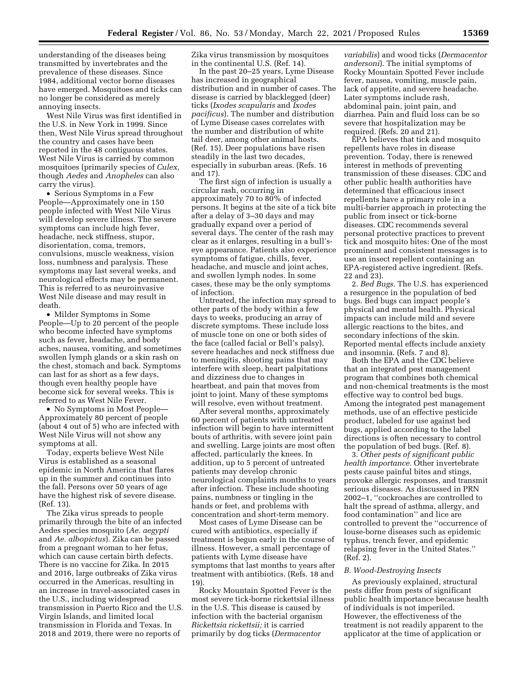understanding of the diseases being transmitted by invertebrates and the prevalence of these diseases. Since 1984, additional vector borne diseases have emerged. Mosquitoes and ticks can no longer be considered as merely annoying insects.

West Nile Virus was first identified in the U.S. in New York in 1999. Since then, West Nile Virus spread throughout the country and cases have been reported in the 48 contiguous states. West Nile Virus is carried by common mosquitoes (primarily species of *Culex,*  though *Aedes* and *Anopheles* can also carry the virus).

• Serious Symptoms in a Few People—Approximately one in 150 people infected with West Nile Virus will develop severe illness. The severe symptoms can include high fever, headache, neck stiffness, stupor, disorientation, coma, tremors, convulsions, muscle weakness, vision loss, numbness and paralysis. These symptoms may last several weeks, and neurological effects may be permanent. This is referred to as neuroinvasive West Nile disease and may result in death.

• Milder Symptoms in Some People—Up to 20 percent of the people who become infected have symptoms such as fever, headache, and body aches, nausea, vomiting, and sometimes swollen lymph glands or a skin rash on the chest, stomach and back. Symptoms can last for as short as a few days, though even healthy people have become sick for several weeks. This is referred to as West Nile Fever.

• No Symptoms in Most People— Approximately 80 percent of people (about 4 out of 5) who are infected with West Nile Virus will not show any symptoms at all.

Today, experts believe West Nile Virus is established as a seasonal epidemic in North America that flares up in the summer and continues into the fall. Persons over 50 years of age have the highest risk of severe disease. (Ref. 13).

The Zika virus spreads to people primarily through the bite of an infected Aedes species mosquito (*Ae. aegypti*  and *Ae. albopictus*). Zika can be passed from a pregnant woman to her fetus, which can cause certain birth defects. There is no vaccine for Zika. In 2015 and 2016, large outbreaks of Zika virus occurred in the Americas, resulting in an increase in travel-associated cases in the U.S., including widespread transmission in Puerto Rico and the U.S. Virgin Islands, and limited local transmission in Florida and Texas. In 2018 and 2019, there were no reports of

Zika virus transmission by mosquitoes in the continental U.S. (Ref. 14).

In the past 20–25 years, Lyme Disease has increased in geographical distribution and in number of cases. The disease is carried by blacklegged (deer) ticks (*Ixodes scapularis* and *Ixodes pacificus*). The number and distribution of Lyme Disease cases correlates with the number and distribution of white tail deer, among other animal hosts. (Ref. 15). Deer populations have risen steadily in the last two decades, especially in suburban areas. (Refs. 16 and 17).

The first sign of infection is usually a circular rash, occurring in approximately 70 to 80% of infected persons. It begins at the site of a tick bite after a delay of 3–30 days and may gradually expand over a period of several days. The center of the rash may clear as it enlarges, resulting in a bull'seye appearance. Patients also experience symptoms of fatigue, chills, fever, headache, and muscle and joint aches, and swollen lymph nodes. In some cases, these may be the only symptoms of infection.

Untreated, the infection may spread to other parts of the body within a few days to weeks, producing an array of discrete symptoms. These include loss of muscle tone on one or both sides of the face (called facial or Bell's palsy), severe headaches and neck stiffness due to meningitis, shooting pains that may interfere with sleep, heart palpitations and dizziness due to changes in heartbeat, and pain that moves from joint to joint. Many of these symptoms will resolve, even without treatment.

After several months, approximately 60 percent of patients with untreated infection will begin to have intermittent bouts of arthritis, with severe joint pain and swelling. Large joints are most often affected, particularly the knees. In addition, up to 5 percent of untreated patients may develop chronic neurological complaints months to years after infection. These include shooting pains, numbness or tingling in the hands or feet, and problems with concentration and short-term memory.

Most cases of Lyme Disease can be cured with antibiotics, especially if treatment is begun early in the course of illness. However, a small percentage of patients with Lyme disease have symptoms that last months to years after treatment with antibiotics. (Refs. 18 and 19).

Rocky Mountain Spotted Fever is the most severe tick-borne rickettsial illness in the U.S. This disease is caused by infection with the bacterial organism *Rickettsia rickettsii;* it is carried primarily by dog ticks (*Dermacentor* 

*variabilis*) and wood ticks (*Dermacentor andersoni*). The initial symptoms of Rocky Mountain Spotted Fever include fever, nausea, vomiting, muscle pain, lack of appetite, and severe headache. Later symptoms include rash, abdominal pain, joint pain, and diarrhea. Pain and fluid loss can be so severe that hospitalization may be required. (Refs. 20 and 21).

EPA believes that tick and mosquito repellents have roles in disease prevention. Today, there is renewed interest in methods of preventing transmission of these diseases. CDC and other public health authorities have determined that efficacious insect repellents have a primary role in a multi-barrier approach in protecting the public from insect or tick-borne diseases. CDC recommends several personal protective practices to prevent tick and mosquito bites: One of the most prominent and consistent messages is to use an insect repellent containing an EPA-registered active ingredient. (Refs. 22 and 23).

2. *Bed Bugs.* The U.S. has experienced a resurgence in the population of bed bugs. Bed bugs can impact people's physical and mental health. Physical impacts can include mild and severe allergic reactions to the bites, and secondary infections of the skin. Reported mental effects include anxiety and insomnia. (Refs. 7 and 8).

Both the EPA and the CDC believe that an integrated pest management program that combines both chemical and non-chemical treatments is the most effective way to control bed bugs. Among the integrated pest management methods, use of an effective pesticide product, labeled for use against bed bugs, applied according to the label directions is often necessary to control the population of bed bugs. (Ref. 8).

3. *Other pests of significant public health importance.* Other invertebrate pests cause painful bites and stings, provoke allergic responses, and transmit serious diseases. As discussed in PRN 2002–1, ''cockroaches are controlled to halt the spread of asthma, allergy, and food contamination'' and lice are controlled to prevent the ''occurrence of louse-borne diseases such as epidemic typhus, trench fever, and epidemic relapsing fever in the United States.'' (Ref. 2).

# *B. Wood-Destroying Insects*

As previously explained, structural pests differ from pests of significant public health importance because health of individuals is not imperiled. However, the effectiveness of the treatment is not readily apparent to the applicator at the time of application or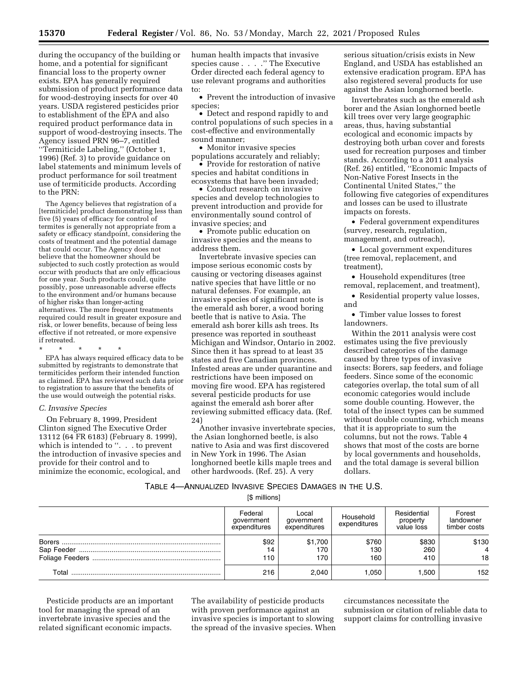during the occupancy of the building or home, and a potential for significant financial loss to the property owner exists. EPA has generally required submission of product performance data for wood-destroying insects for over 40 years. USDA registered pesticides prior to establishment of the EPA and also required product performance data in support of wood-destroying insects. The Agency issued PRN 96–7, entitled ''Termiticide Labeling,'' (October 1, 1996) (Ref. 3) to provide guidance on label statements and minimum levels of product performance for soil treatment use of termiticide products. According to the PRN:

The Agency believes that registration of a [termiticide] product demonstrating less than five (5) years of efficacy for control of termites is generally not appropriate from a safety or efficacy standpoint, considering the costs of treatment and the potential damage that could occur. The Agency does not believe that the homeowner should be subjected to such costly protection as would occur with products that are only efficacious for one year. Such products could, quite possibly, pose unreasonable adverse effects to the environment and/or humans because of higher risks than longer-acting alternatives. The more frequent treatments required could result in greater exposure and risk, or lower benefits, because of being less effective if not retreated, or more expensive if retreated.

# \* \* \* \* \*

EPA has always required efficacy data to be submitted by registrants to demonstrate that termiticides perform their intended function as claimed. EPA has reviewed such data prior to registration to assure that the benefits of the use would outweigh the potential risks.

#### *C. Invasive Species*

On February 8, 1999, President Clinton signed The Executive Order 13112 (64 FR 6183) (February 8. 1999), which is intended to ''. . . to prevent the introduction of invasive species and provide for their control and to minimize the economic, ecological, and human health impacts that invasive species cause . . . .'' The Executive Order directed each federal agency to use relevant programs and authorities to:

• Prevent the introduction of invasive species;

• Detect and respond rapidly to and control populations of such species in a cost-effective and environmentally sound manner;

• Monitor invasive species

populations accurately and reliably; • Provide for restoration of native species and habitat conditions in ecosystems that have been invaded;

• Conduct research on invasive species and develop technologies to prevent introduction and provide for environmentally sound control of invasive species; and

• Promote public education on invasive species and the means to address them.

Invertebrate invasive species can impose serious economic costs by causing or vectoring diseases against native species that have little or no natural defenses. For example, an invasive species of significant note is the emerald ash borer, a wood boring beetle that is native to Asia. The emerald ash borer kills ash trees. Its presence was reported in southeast Michigan and Windsor, Ontario in 2002. Since then it has spread to at least 35 states and five Canadian provinces. Infested areas are under quarantine and restrictions have been imposed on moving fire wood. EPA has registered several pesticide products for use against the emerald ash borer after reviewing submitted efficacy data. (Ref. 24)

Another invasive invertebrate species, the Asian longhorned beetle, is also native to Asia and was first discovered in New York in 1996. The Asian longhorned beetle kills maple trees and other hardwoods. (Ref. 25). A very

serious situation/crisis exists in New England, and USDA has established an extensive eradication program. EPA has also registered several products for use against the Asian longhorned beetle.

Invertebrates such as the emerald ash borer and the Asian longhorned beetle kill trees over very large geographic areas, thus, having substantial ecological and economic impacts by destroying both urban cover and forests used for recreation purposes and timber stands. According to a 2011 analysis (Ref. 26) entitled, ''Economic Impacts of Non-Native Forest Insects in the Continental United States,'' the following five categories of expenditures and losses can be used to illustrate impacts on forests.

• Federal government expenditures (survey, research, regulation, management, and outreach),

• Local government expenditures (tree removal, replacement, and treatment),

• Household expenditures (tree removal, replacement, and treatment),

• Residential property value losses, and

• Timber value losses to forest landowners.

Within the 2011 analysis were cost estimates using the five previously described categories of the damage caused by three types of invasive insects: Borers, sap feeders, and foliage feeders. Since some of the economic categories overlap, the total sum of all economic categories would include some double counting. However, the total of the insect types can be summed without double counting, which means that it is appropriate to sum the columns, but not the rows. Table 4 shows that most of the costs are borne by local governments and households, and the total damage is several billion dollars.

TABLE 4—ANNUALIZED INVASIVE SPECIES DAMAGES IN THE U.S.

[\$ millions]

|       | Federal<br>government<br>expenditures | Local<br>government<br>expenditures | Household<br>expenditures | Residential<br>property<br>value loss | Forest<br>landowner<br>timber costs |
|-------|---------------------------------------|-------------------------------------|---------------------------|---------------------------------------|-------------------------------------|
|       | \$92<br>14<br>110                     | \$1,700<br>170<br>170               | \$760<br>130<br>160       | \$830<br>260<br>410                   | \$130<br>18                         |
| Total | 216                                   | 2.040                               | .050                      | 1.500                                 | 152                                 |

Pesticide products are an important tool for managing the spread of an invertebrate invasive species and the related significant economic impacts.

The availability of pesticide products with proven performance against an invasive species is important to slowing the spread of the invasive species. When

circumstances necessitate the submission or citation of reliable data to support claims for controlling invasive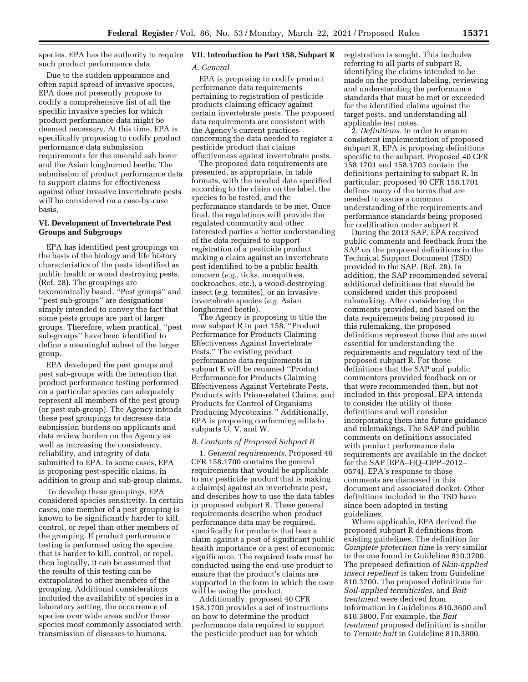species, EPA has the authority to require **VII. Introduction to Part 158, Subpart R**  such product performance data.

Due to the sudden appearance and often rapid spread of invasive species, EPA does not presently propose to codify a comprehensive list of all the specific invasive species for which product performance data might be deemed necessary. At this time, EPA is specifically proposing to codify product performance data submission requirements for the emerald ash borer and the Asian longhorned beetle. The submission of product performance data to support claims for effectiveness against other invasive invertebrate pests will be considered on a case-by-case basis.

## **VI. Development of Invertebrate Pest Groups and Subgroups**

EPA has identified pest groupings on the basis of the biology and life history characteristics of the pests identified as public health or wood destroying pests. (Ref. 28). The groupings are taxonomically based. ''Pest groups'' and ''pest sub-groups'' are designations simply intended to convey the fact that some pests groups are part of larger groups. Therefore, when practical, ''pest sub-groups'' have been identified to define a meaningful subset of the larger group.

EPA developed the pest groups and pest sub-groups with the intention that product performance testing performed on a particular species can adequately represent all members of the pest group (or pest sub-group). The Agency intends these pest groupings to decrease data submission burdens on applicants and data review burden on the Agency as well as increasing the consistency, reliability, and integrity of data submitted to EPA. In some cases, EPA is proposing pest-specific claims, in addition to group and sub-group claims.

To develop these groupings, EPA considered species sensitivity. In certain cases, one member of a pest grouping is known to be significantly harder to kill, control, or repel than other members of the grouping. If product performance testing is performed using the species that is harder to kill, control, or repel, then logically, it can be assumed that the results of this testing can be extrapolated to other members of the grouping. Additional considerations included the availability of species in a laboratory setting, the occurrence of species over wide areas and/or those species most commonly associated with transmission of diseases to humans.

#### *A. General*

EPA is proposing to codify product performance data requirements pertaining to registration of pesticide products claiming efficacy against certain invertebrate pests. The proposed data requirements are consistent with the Agency's current practices concerning the data needed to register a pesticide product that claims effectiveness against invertebrate pests.

The proposed data requirements are presented, as appropriate, in table formats, with the needed data specified according to the claim on the label, the species to be tested, and the performance standards to be met. Once final, the regulations will provide the regulated community and other interested parties a better understanding of the data required to support registration of a pesticide product making a claim against an invertebrate pest identified to be a public health concern (*e.g.,* ticks, mosquitoes, cockroaches, etc.), a wood-destroying insect (*e.g.* termites), or an invasive invertebrate species (*e.g.* Asian longhorned beetle).

The Agency is proposing to title the new subpart R in part 158, ''Product Performance for Products Claiming Effectiveness Against Invertebrate Pests.'' The existing product performance data requirements in subpart E will be renamed ''Product Performance for Products Claiming Effectiveness Against Vertebrate Pests, Products with Prion-related Claims, and Products for Control of Organisms Producing Mycotoxins.'' Additionally, EPA is proposing conforming edits to subparts U, V, and W.

#### *B. Contents of Proposed Subpart R*

1. *General requirements.* Proposed 40 CFR 158.1700 contains the general requirements that would be applicable to any pesticide product that is making a claim(s) against an invertebrate pest, and describes how to use the data tables in proposed subpart R. These general requirements describe when product performance data may be required, specifically for products that bear a claim against a pest of significant public health importance or a pest of economic significance. The required tests must be conducted using the end-use product to ensure that the product's claims are supported in the form in which the user will be using the product.

Additionally, proposed 40 CFR 158.1700 provides a set of instructions on how to determine the product performance data required to support the pesticide product use for which

registration is sought. This includes referring to all parts of subpart R, identifying the claims intended to be made on the product labeling, reviewing and understanding the performance standards that must be met or exceeded for the identified claims against the target pests, and understanding all applicable test notes.

2. *Definitions.* In order to ensure consistent implementation of proposed subpart R, EPA is proposing definitions specific to the subpart. Proposed 40 CFR 158.1701 and 158.1703 contain the definitions pertaining to subpart R. In particular, proposed 40 CFR 158.1701 defines many of the terms that are needed to assure a common understanding of the requirements and performance standards being proposed for codification under subpart R.

During the 2013 SAP, EPA received public comments and feedback from the SAP on the proposed definitions in the Technical Support Document (TSD) provided to the SAP. (Ref. 28). In addition, the SAP recommended several additional definitions that should be considered under this proposed rulemaking. After considering the comments provided, and based on the data requirements being proposed in this rulemaking, the proposed definitions represent those that are most essential for understanding the requirements and regulatory text of the proposed subpart R. For those definitions that the SAP and public commenters provided feedback on or that were recommended then, but not included in this proposal, EPA intends to consider the utility of those definitions and will consider incorporating them into future guidance and rulemakings. The SAP and public comments on definitions associated with product performance data requirements are available in the docket for the SAP [EPA–HQ–OPP–2012– 0574]. EPA's response to those comments are discussed in this document and associated docket. Other definitions included in the TSD have since been adopted in testing guidelines.

Where applicable, EPA derived the proposed subpart R definitions from existing guidelines. The definition for *Complete protection time* is very similar to the one found in Guideline 810.3700. The proposed definition of *Skin-applied insect repellent* is taken from Guideline 810.3700. The proposed definitions for *Soil-applied termiticides,* and *Bait treatment* were derived from information in Guidelines 810.3600 and 810.3800. For example, the *Bait treatment* proposed definition is similar to *Termite bait* in Guideline 810.3800.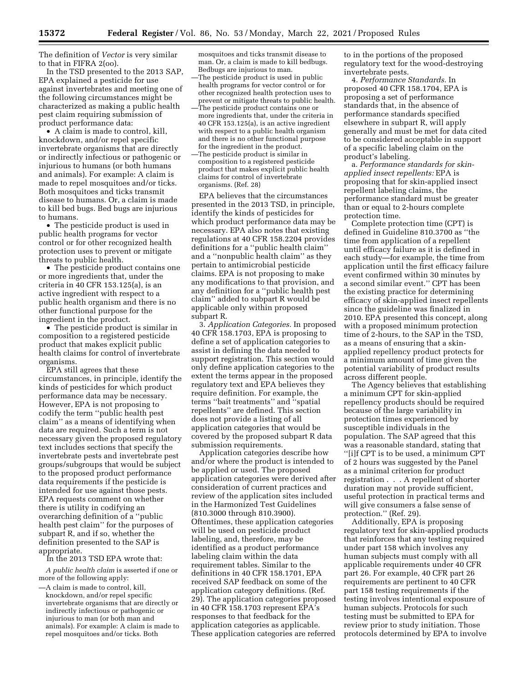The definition of *Vector* is very similar to that in FIFRA 2(oo).

In the TSD presented to the 2013 SAP, EPA explained a pesticide for use against invertebrates and meeting one of the following circumstances might be characterized as making a public health pest claim requiring submission of product performance data:

• A claim is made to control, kill, knockdown, and/or repel specific invertebrate organisms that are directly or indirectly infectious or pathogenic or injurious to humans (or both humans and animals). For example: A claim is made to repel mosquitoes and/or ticks. Both mosquitoes and ticks transmit disease to humans. Or, a claim is made to kill bed bugs. Bed bugs are injurious to humans.

• The pesticide product is used in public health programs for vector control or for other recognized health protection uses to prevent or mitigate threats to public health.

• The pesticide product contains one or more ingredients that, under the criteria in 40 CFR 153.125(a), is an active ingredient with respect to a public health organism and there is no other functional purpose for the ingredient in the product.

• The pesticide product is similar in composition to a registered pesticide product that makes explicit public health claims for control of invertebrate organisms.

EPA still agrees that these circumstances, in principle, identify the kinds of pesticides for which product performance data may be necessary. However, EPA is not proposing to codify the term ''public health pest claim'' as a means of identifying when data are required. Such a term is not necessary given the proposed regulatory text includes sections that specify the invertebrate pests and invertebrate pest groups/subgroups that would be subject to the proposed product performance data requirements if the pesticide is intended for use against those pests. EPA requests comment on whether there is utility in codifying an overarching definition of a ''public health pest claim'' for the purposes of subpart R, and if so, whether the definition presented to the SAP is appropriate.

In the 2013 TSD EPA wrote that:

*A public health claim* is asserted if one or more of the following apply:

mosquitoes and ticks transmit disease to man. Or, a claim is made to kill bedbugs. Bedbugs are injurious to man. —The pesticide product is used in public health programs for vector control or for other recognized health protection uses to prevent or mitigate threats to public health. —The pesticide product contains one or more ingredients that, under the criteria in 40 CFR 153.125(a), is an active ingredient with respect to a public health organism and there is no other functional purpose for the ingredient in the product. —The pesticide product is similar in composition to a registered pesticide product that makes explicit public health

claims for control of invertebrate

organisms. (Ref. 28)

EPA believes that the circumstances presented in the 2013 TSD, in principle, identify the kinds of pesticides for which product performance data may be necessary. EPA also notes that existing regulations at 40 CFR 158.2204 provides definitions for a ''public health claim'' and a ''nonpublic health claim'' as they pertain to antimicrobial pesticide claims. EPA is not proposing to make any modifications to that provision, and any definition for a ''public health pest claim'' added to subpart R would be applicable only within proposed subpart R.

3. *Application Categories.* In proposed 40 CFR 158.1703, EPA is proposing to define a set of application categories to assist in defining the data needed to support registration. This section would only define application categories to the extent the terms appear in the proposed regulatory text and EPA believes they require definition. For example, the terms ''bait treatments'' and ''spatial repellents'' are defined. This section does not provide a listing of all application categories that would be covered by the proposed subpart R data submission requirements.

Application categories describe how and/or where the product is intended to be applied or used. The proposed application categories were derived after consideration of current practices and review of the application sites included in the Harmonized Test Guidelines (810.3000 through 810.3900). Oftentimes, these application categories will be used on pesticide product labeling, and, therefore, may be identified as a product performance labeling claim within the data requirement tables. Similar to the definitions in 40 CFR 158.1701, EPA received SAP feedback on some of the application category definitions. (Ref. 29). The application categories proposed in 40 CFR 158.1703 represent EPA's responses to that feedback for the application categories as applicable. These application categories are referred

to in the portions of the proposed regulatory text for the wood-destroying invertebrate pests.

4. *Performance Standards.* In proposed 40 CFR 158.1704, EPA is proposing a set of performance standards that, in the absence of performance standards specified elsewhere in subpart R, will apply generally and must be met for data cited to be considered acceptable in support of a specific labeling claim on the product's labeling.

a. *Performance standards for skinapplied insect repellents:* EPA is proposing that for skin-applied insect repellent labeling claims, the performance standard must be greater than or equal to 2-hours complete protection time.

Complete protection time (CPT) is defined in Guideline 810.3700 as ''the time from application of a repellent until efficacy failure as it is defined in each study—for example, the time from application until the first efficacy failure event confirmed within 30 minutes by a second similar event.'' CPT has been the existing practice for determining efficacy of skin-applied insect repellents since the guideline was finalized in 2010. EPA presented this concept, along with a proposed minimum protection time of 2-hours, to the SAP in the TSD, as a means of ensuring that a skinapplied repellency product protects for a minimum amount of time given the potential variability of product results across different people.

The Agency believes that establishing a minimum CPT for skin-applied repellency products should be required because of the large variability in protection times experienced by susceptible individuals in the population. The SAP agreed that this was a reasonable standard, stating that ''[i]f CPT is to be used, a minimum CPT of 2 hours was suggested by the Panel as a minimal criterion for product registration . . . A repellent of shorter duration may not provide sufficient, useful protection in practical terms and will give consumers a false sense of protection.'' (Ref. 29).

Additionally, EPA is proposing regulatory text for skin-applied products that reinforces that any testing required under part 158 which involves any human subjects must comply with all applicable requirements under 40 CFR part 26. For example, 40 CFR part 26 requirements are pertinent to 40 CFR part 158 testing requirements if the testing involves intentional exposure of human subjects. Protocols for such testing must be submitted to EPA for review prior to study initiation. Those protocols determined by EPA to involve

<sup>—</sup>A claim is made to control, kill, knockdown, and/or repel specific invertebrate organisms that are directly or indirectly infectious or pathogenic or injurious to man (or both man and animals). For example: A claim is made to repel mosquitoes and/or ticks. Both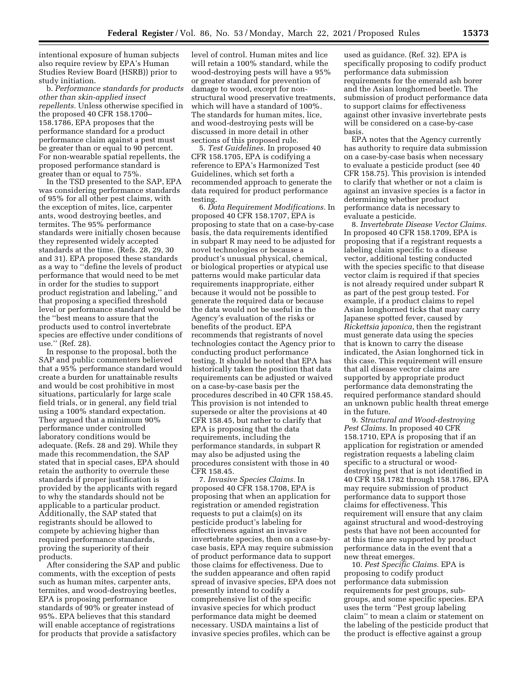intentional exposure of human subjects also require review by EPA's Human Studies Review Board (HSRB)) prior to study initiation.

b. *Performance standards for products other than skin-applied insect repellents.* Unless otherwise specified in the proposed 40 CFR 158.1700– 158.1786, EPA proposes that the performance standard for a product performance claim against a pest must be greater than or equal to 90 percent. For non-wearable spatial repellents, the proposed performance standard is greater than or equal to 75%.

In the TSD presented to the SAP, EPA was considering performance standards of 95% for all other pest claims, with the exception of mites, lice, carpenter ants, wood destroying beetles, and termites. The 95% performance standards were initially chosen because they represented widely accepted standards at the time. (Refs. 28, 29, 30 and 31). EPA proposed these standards as a way to ''define the levels of product performance that would need to be met in order for the studies to support product registration and labeling,'' and that proposing a specified threshold level or performance standard would be the ''best means to assure that the products used to control invertebrate species are effective under conditions of use.'' (Ref. 28).

In response to the proposal, both the SAP and public commenters believed that a 95% performance standard would create a burden for unattainable results and would be cost prohibitive in most situations, particularly for large scale field trials, or in general, any field trial using a 100% standard expectation. They argued that a minimum 90% performance under controlled laboratory conditions would be adequate. (Refs. 28 and 29). While they made this recommendation, the SAP stated that in special cases, EPA should retain the authority to overrule these standards if proper justification is provided by the applicants with regard to why the standards should not be applicable to a particular product. Additionally, the SAP stated that registrants should be allowed to compete by achieving higher than required performance standards, proving the superiority of their products.

After considering the SAP and public comments, with the exception of pests such as human mites, carpenter ants, termites, and wood-destroying beetles, EPA is proposing performance standards of 90% or greater instead of 95%. EPA believes that this standard will enable acceptance of registrations for products that provide a satisfactory

level of control. Human mites and lice will retain a 100% standard, while the wood-destroying pests will have a 95% or greater standard for prevention of damage to wood, except for nonstructural wood preservative treatments, which will have a standard of 100%. The standards for human mites, lice, and wood-destroying pests will be discussed in more detail in other sections of this proposed rule.

5. *Test Guidelines.* In proposed 40 CFR 158.1705, EPA is codifying a reference to EPA's Harmonized Test Guidelines, which set forth a recommended approach to generate the data required for product performance testing.

6. *Data Requirement Modifications.* In proposed 40 CFR 158.1707, EPA is proposing to state that on a case-by-case basis, the data requirements identified in subpart R may need to be adjusted for novel technologies or because a product's unusual physical, chemical, or biological properties or atypical use patterns would make particular data requirements inappropriate, either because it would not be possible to generate the required data or because the data would not be useful in the Agency's evaluation of the risks or benefits of the product. EPA recommends that registrants of novel technologies contact the Agency prior to conducting product performance testing. It should be noted that EPA has historically taken the position that data requirements can be adjusted or waived on a case-by-case basis per the procedures described in 40 CFR 158.45. This provision is not intended to supersede or alter the provisions at 40 CFR 158.45, but rather to clarify that EPA is proposing that the data requirements, including the performance standards, in subpart R may also be adjusted using the procedures consistent with those in 40 CFR 158.45.

7. *Invasive Species Claims.* In proposed 40 CFR 158.1708, EPA is proposing that when an application for registration or amended registration requests to put a claim(s) on its pesticide product's labeling for effectiveness against an invasive invertebrate species, then on a case-bycase basis, EPA may require submission of product performance data to support those claims for effectiveness. Due to the sudden appearance and often rapid spread of invasive species, EPA does not presently intend to codify a comprehensive list of the specific invasive species for which product performance data might be deemed necessary. USDA maintains a list of invasive species profiles, which can be

used as guidance. (Ref. 32). EPA is specifically proposing to codify product performance data submission requirements for the emerald ash borer and the Asian longhorned beetle. The submission of product performance data to support claims for effectiveness against other invasive invertebrate pests will be considered on a case-by-case basis.

EPA notes that the Agency currently has authority to require data submission on a case-by-case basis when necessary to evaluate a pesticide product (see 40 CFR 158.75). This provision is intended to clarify that whether or not a claim is against an invasive species is a factor in determining whether product performance data is necessary to evaluate a pesticide.

8. *Invertebrate Disease Vector Claims.*  In proposed 40 CFR 158.1709, EPA is proposing that if a registrant requests a labeling claim specific to a disease vector, additional testing conducted with the species specific to that disease vector claim is required if that species is not already required under subpart R as part of the pest group tested. For example, if a product claims to repel Asian longhorned ticks that may carry Japanese spotted fever, caused by *Rickettsia japonica,* then the registrant must generate data using the species that is known to carry the disease indicated, the Asian longhorned tick in this case. This requirement will ensure that all disease vector claims are supported by appropriate product performance data demonstrating the required performance standard should an unknown public health threat emerge in the future.

9. *Structural and Wood-destroying Pest Claims.* In proposed 40 CFR 158.1710, EPA is proposing that if an application for registration or amended registration requests a labeling claim specific to a structural or wooddestroying pest that is not identified in 40 CFR 158.1782 through 158.1786, EPA may require submission of product performance data to support those claims for effectiveness. This requirement will ensure that any claim against structural and wood-destroying pests that have not been accounted for at this time are supported by product performance data in the event that a new threat emerges.

10. *Pest Specific Claims.* EPA is proposing to codify product performance data submission requirements for pest groups, subgroups, and some specific species. EPA uses the term ''Pest group labeling claim'' to mean a claim or statement on the labeling of the pesticide product that the product is effective against a group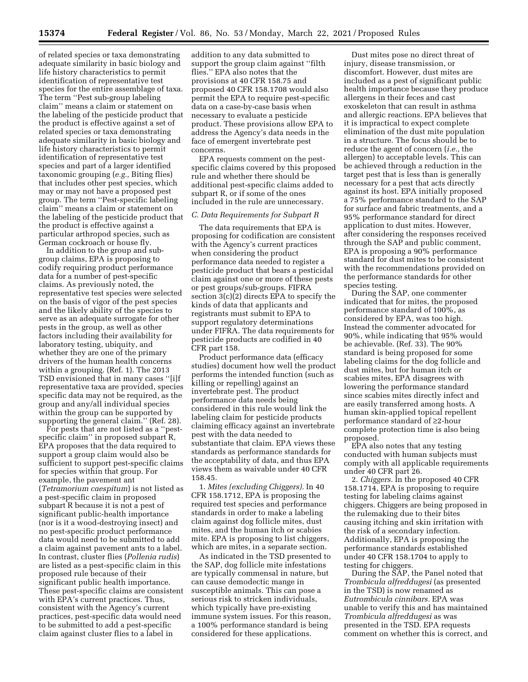of related species or taxa demonstrating adequate similarity in basic biology and life history characteristics to permit identification of representative test species for the entire assemblage of taxa. The term ''Pest sub-group labeling claim'' means a claim or statement on the labeling of the pesticide product that the product is effective against a set of related species or taxa demonstrating adequate similarity in basic biology and life history characteristics to permit identification of representative test species and part of a larger identified taxonomic grouping (*e.g.,* Biting flies) that includes other pest species, which may or may not have a proposed pest group. The term ''Pest-specific labeling claim'' means a claim or statement on the labeling of the pesticide product that the product is effective against a particular arthropod species, such as German cockroach or house fly.

In addition to the group and subgroup claims, EPA is proposing to codify requiring product performance data for a number of pest-specific claims. As previously noted, the representative test species were selected on the basis of vigor of the pest species and the likely ability of the species to serve as an adequate surrogate for other pests in the group, as well as other factors including their availability for laboratory testing, ubiquity, and whether they are one of the primary drivers of the human health concerns within a grouping. (Ref. 1). The 2013 TSD envisioned that in many cases ''[i]f representative taxa are provided, species specific data may not be required, as the group and any/all individual species within the group can be supported by supporting the general claim.'' (Ref. 28).

For pests that are not listed as a ''pestspecific claim'' in proposed subpart R, EPA proposes that the data required to support a group claim would also be sufficient to support pest-specific claims for species within that group. For example, the pavement ant (*Tetramorium caespitum*) is not listed as a pest-specific claim in proposed subpart R because it is not a pest of significant public-health importance (nor is it a wood-destroying insect) and no pest-specific product performance data would need to be submitted to add a claim against pavement ants to a label. In contrast, cluster flies (*Pollenia rudis*) are listed as a pest-specific claim in this proposed rule because of their significant public health importance. These pest-specific claims are consistent with EPA's current practices. Thus, consistent with the Agency's current practices, pest-specific data would need to be submitted to add a pest-specific claim against cluster flies to a label in

addition to any data submitted to support the group claim against ''filth flies.'' EPA also notes that the provisions at 40 CFR 158.75 and proposed 40 CFR 158.1708 would also permit the EPA to require pest-specific data on a case-by-case basis when necessary to evaluate a pesticide product. These provisions allow EPA to address the Agency's data needs in the face of emergent invertebrate pest concerns.

EPA requests comment on the pestspecific claims covered by this proposed rule and whether there should be additional pest-specific claims added to subpart R, or if some of the ones included in the rule are unnecessary.

#### *C. Data Requirements for Subpart R*

The data requirements that EPA is proposing for codification are consistent with the Agency's current practices when considering the product performance data needed to register a pesticide product that bears a pesticidal claim against one or more of these pests or pest groups/sub-groups. FIFRA section 3(c)(2) directs EPA to specify the kinds of data that applicants and registrants must submit to EPA to support regulatory determinations under FIFRA. The data requirements for pesticide products are codified in 40 CFR part 158.

Product performance data (efficacy studies) document how well the product performs the intended function (such as killing or repelling) against an invertebrate pest. The product performance data needs being considered in this rule would link the labeling claim for pesticide products claiming efficacy against an invertebrate pest with the data needed to substantiate that claim. EPA views these standards as performance standards for the acceptability of data, and thus EPA views them as waivable under 40 CFR 158.45.

1. *Mites (excluding Chiggers).* In 40 CFR 158.1712, EPA is proposing the required test species and performance standards in order to make a labeling claim against dog follicle mites, dust mites, and the human itch or scabies mite. EPA is proposing to list chiggers, which are mites, in a separate section.

As indicated in the TSD presented to the SAP, dog follicle mite infestations are typically commensal in nature, but can cause demodectic mange in susceptible animals. This can pose a serious risk to stricken individuals, which typically have pre-existing immune system issues. For this reason, a 100% performance standard is being considered for these applications.

Dust mites pose no direct threat of injury, disease transmission, or discomfort. However, dust mites are included as a pest of significant public health importance because they produce allergens in their feces and cast exoskeleton that can result in asthma and allergic reactions. EPA believes that it is impractical to expect complete elimination of the dust mite population in a structure. The focus should be to reduce the agent of concern (*i.e.,* the allergen) to acceptable levels. This can be achieved through a reduction in the target pest that is less than is generally necessary for a pest that acts directly against its host. EPA initially proposed a 75% performance standard to the SAP for surface and fabric treatments, and a 95% performance standard for direct application to dust mites. However, after considering the responses received through the SAP and public comment, EPA is proposing a 90% performance standard for dust mites to be consistent with the recommendations provided on the performance standards for other species testing.

During the SAP, one commenter indicated that for mites, the proposed performance standard of 100%, as considered by EPA, was too high. Instead the commenter advocated for 90%, while indicating that 95% would be achievable. (Ref. 33). The 90% standard is being proposed for some labeling claims for the dog follicle and dust mites, but for human itch or scabies mites, EPA disagrees with lowering the performance standard since scabies mites directly infect and are easily transferred among hosts. A human skin-applied topical repellent performance standard of ≥2-hour complete protection time is also being proposed.

EPA also notes that any testing conducted with human subjects must comply with all applicable requirements under 40 CFR part 26.

2. *Chiggers.* In the proposed 40 CFR 158.1714, EPA is proposing to require testing for labeling claims against chiggers. Chiggers are being proposed in the rulemaking due to their bites causing itching and skin irritation with the risk of a secondary infection. Additionally, EPA is proposing the performance standards established under 40 CFR 158.1704 to apply to testing for chiggers.

During the SAP, the Panel noted that *Trombicula alfreddugesi* (as presented in the TSD) is now renamed as *Eutrombicula cinnibars.* EPA was unable to verify this and has maintained *Trombicula alfreddugesi* as was presented in the TSD. EPA requests comment on whether this is correct, and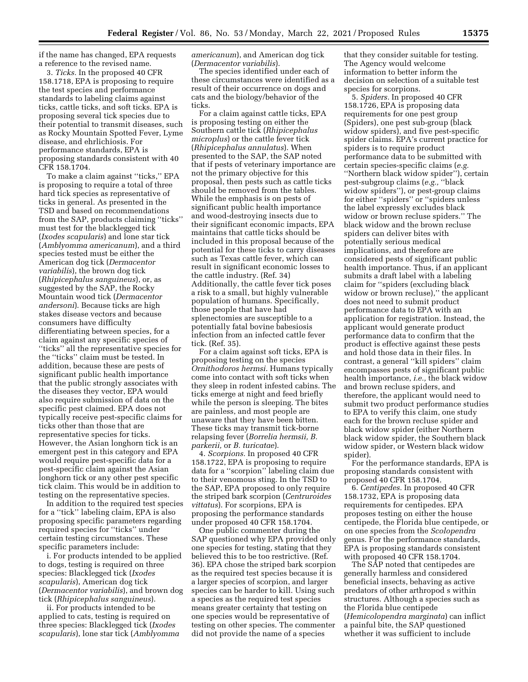if the name has changed, EPA requests a reference to the revised name.

3. *Ticks.* In the proposed 40 CFR 158.1718, EPA is proposing to require the test species and performance standards to labeling claims against ticks, cattle ticks, and soft ticks. EPA is proposing several tick species due to their potential to transmit diseases, such as Rocky Mountain Spotted Fever, Lyme disease, and ehrlichiosis. For performance standards, EPA is proposing standards consistent with 40 CFR 158.1704.

To make a claim against ''ticks,'' EPA is proposing to require a total of three hard tick species as representative of ticks in general. As presented in the TSD and based on recommendations from the SAP, products claiming ''ticks'' must test for the blacklegged tick (*Ixodes scapularis*) and lone star tick (*Amblyomma americanum*), and a third species tested must be either the American dog tick (*Dermacentor variabilis*), the brown dog tick (*Rhipicephalus sanguineus*), or, as suggested by the SAP, the Rocky Mountain wood tick (*Dermacentor andersoni*). Because ticks are high stakes disease vectors and because consumers have difficulty differentiating between species, for a claim against any specific species of ''ticks'' all the representative species for the ''ticks'' claim must be tested. In addition, because these are pests of significant public health importance that the public strongly associates with the diseases they vector, EPA would also require submission of data on the specific pest claimed. EPA does not typically receive pest-specific claims for ticks other than those that are representative species for ticks. However, the Asian longhorn tick is an emergent pest in this category and EPA would require pest-specific data for a pest-specific claim against the Asian longhorn tick or any other pest specific tick claim. This would be in addition to testing on the representative species.

In addition to the required test species for a ''tick'' labeling claim, EPA is also proposing specific parameters regarding required species for ''ticks'' under certain testing circumstances. These specific parameters include:

i. For products intended to be applied to dogs, testing is required on three species: Blacklegged tick (*Ixodes scapularis*), American dog tick (*Dermacentor variabilis*), and brown dog tick (*Rhipicephalus sanguineus*).

ii. For products intended to be applied to cats, testing is required on three species: Blacklegged tick (*Ixodes scapularis*), lone star tick (*Amblyomma*  *americanum*), and American dog tick (*Dermacentor variabilis*).

The species identified under each of these circumstances were identified as a result of their occurrence on dogs and cats and the biology/behavior of the ticks.

For a claim against cattle ticks, EPA is proposing testing on either the Southern cattle tick (*Rhipicephalus microplus*) or the cattle fever tick (*Rhipicephalus annulatus*). When presented to the SAP, the SAP noted that if pests of veterinary importance are not the primary objective for this proposal, then pests such as cattle ticks should be removed from the tables. While the emphasis is on pests of significant public health importance and wood-destroying insects due to their significant economic impacts, EPA maintains that cattle ticks should be included in this proposal because of the potential for these ticks to carry diseases such as Texas cattle fever, which can result in significant economic losses to the cattle industry. (Ref. 34) Additionally, the cattle fever tick poses a risk to a small, but highly vulnerable population of humans. Specifically, those people that have had splenectomies are susceptible to a potentially fatal bovine babesiosis infection from an infected cattle fever tick. (Ref. 35).

For a claim against soft ticks, EPA is proposing testing on the species *Ornithodoros hermsi.* Humans typically come into contact with soft ticks when they sleep in rodent infested cabins. The ticks emerge at night and feed briefly while the person is sleeping. The bites are painless, and most people are unaware that they have been bitten. These ticks may transmit tick-borne relapsing fever (*Borrelia hermsii, B. parkerii,* or *B. turicatae*).

4. *Scorpions.* In proposed 40 CFR 158.1722, EPA is proposing to require data for a ''scorpion'' labeling claim due to their venomous sting. In the TSD to the SAP, EPA proposed to only require the striped bark scorpion (*Centruroides vittatus*). For scorpions, EPA is proposing the performance standards under proposed 40 CFR 158.1704.

One public commenter during the SAP questioned why EPA provided only one species for testing, stating that they believed this to be too restrictive. (Ref. 36). EPA chose the striped bark scorpion as the required test species because it is a larger species of scorpion, and larger species can be harder to kill. Using such a species as the required test species means greater certainty that testing on one species would be representative of testing on other species. The commenter did not provide the name of a species

that they consider suitable for testing. The Agency would welcome information to better inform the decision on selection of a suitable test species for scorpions.

5. *Spiders.* In proposed 40 CFR 158.1726, EPA is proposing data requirements for one pest group (Spiders), one pest sub-group (black widow spiders), and five pest-specific spider claims. EPA's current practice for spiders is to require product performance data to be submitted with certain species-specific claims (*e.g.*  ''Northern black widow spider''), certain pest-subgroup claims (*e.g.,* ''black widow spiders''), or pest-group claims for either ''spiders'' or ''spiders unless the label expressly excludes black widow or brown recluse spiders.'' The black widow and the brown recluse spiders can deliver bites with potentially serious medical implications, and therefore are considered pests of significant public health importance. Thus, if an applicant submits a draft label with a labeling claim for ''spiders (excluding black widow or brown recluse)," the applicant does not need to submit product performance data to EPA with an application for registration. Instead, the applicant would generate product performance data to confirm that the product is effective against these pests and hold those data in their files. In contrast, a general ''kill spiders'' claim encompasses pests of significant public health importance, *i.e.,* the black widow and brown recluse spiders, and therefore, the applicant would need to submit two product performance studies to EPA to verify this claim, one study each for the brown recluse spider and black widow spider (either Northern black widow spider, the Southern black widow spider, or Western black widow spider).

For the performance standards, EPA is proposing standards consistent with proposed 40 CFR 158.1704.

6. *Centipedes.* In proposed 40 CFR 158.1732, EPA is proposing data requirements for centipedes. EPA proposes testing on either the house centipede, the Florida blue centipede, or on one species from the *Scolopendra*  genus. For the performance standards, EPA is proposing standards consistent with proposed 40 CFR 158.1704.

The SAP noted that centipedes are generally harmless and considered beneficial insects, behaving as active predators of other arthropod s within structures. Although a species such as the Florida blue centipede (*Hemicolopendra marginata*) can inflict a painful bite, the SAP questioned whether it was sufficient to include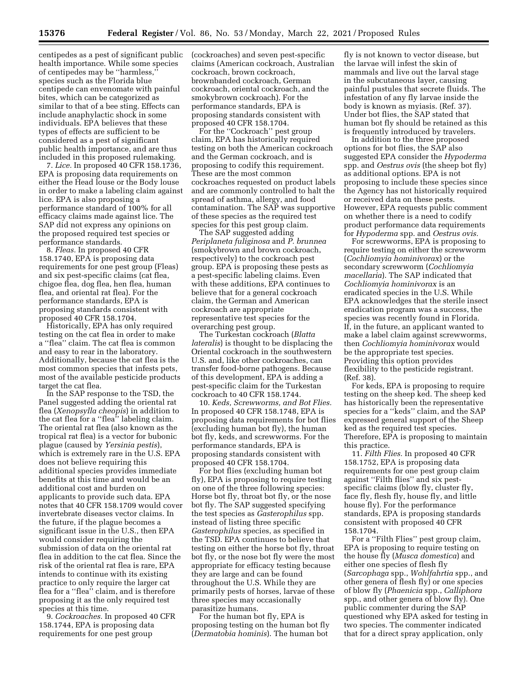centipedes as a pest of significant public health importance. While some species of centipedes may be ''harmless,'' species such as the Florida blue centipede can envenomate with painful bites, which can be categorized as similar to that of a bee sting. Effects can include anaphylactic shock in some individuals. EPA believes that these types of effects are sufficient to be considered as a pest of significant public health importance, and are thus included in this proposed rulemaking.

7. *Lice.* In proposed 40 CFR 158.1736, EPA is proposing data requirements on either the Head louse or the Body louse in order to make a labeling claim against lice. EPA is also proposing a performance standard of 100% for all efficacy claims made against lice. The SAP did not express any opinions on the proposed required test species or performance standards.

8. *Fleas.* In proposed 40 CFR 158.1740, EPA is proposing data requirements for one pest group (Fleas) and six pest-specific claims (cat flea, chigoe flea, dog flea, hen flea, human flea, and oriental rat flea). For the performance standards, EPA is proposing standards consistent with proposed 40 CFR 158.1704.

Historically, EPA has only required testing on the cat flea in order to make a ''flea'' claim. The cat flea is common and easy to rear in the laboratory. Additionally, because the cat flea is the most common species that infests pets, most of the available pesticide products target the cat flea.

In the SAP response to the TSD, the Panel suggested adding the oriental rat flea (*Xenopsylla cheopis*) in addition to the cat flea for a ''flea'' labeling claim. The oriental rat flea (also known as the tropical rat flea) is a vector for bubonic plague (caused by *Yersinia pestis*), which is extremely rare in the U.S. EPA does not believe requiring this additional species provides immediate benefits at this time and would be an additional cost and burden on applicants to provide such data. EPA notes that 40 CFR 158.1709 would cover invertebrate diseases vector claims. In the future, if the plague becomes a significant issue in the U.S., then EPA would consider requiring the submission of data on the oriental rat flea in addition to the cat flea. Since the risk of the oriental rat flea is rare, EPA intends to continue with its existing practice to only require the larger cat flea for a ''flea'' claim, and is therefore proposing it as the only required test species at this time.

9. *Cockroaches.* In proposed 40 CFR 158.1744, EPA is proposing data requirements for one pest group

(cockroaches) and seven pest-specific claims (American cockroach, Australian cockroach, brown cockroach, brownbanded cockroach, German cockroach, oriental cockroach, and the smokybrown cockroach). For the performance standards, EPA is proposing standards consistent with proposed 40 CFR 158.1704.

For the ''Cockroach'' pest group claim, EPA has historically required testing on both the American cockroach and the German cockroach, and is proposing to codify this requirement. These are the most common cockroaches requested on product labels and are commonly controlled to halt the spread of asthma, allergy, and food contamination. The SAP was supportive of these species as the required test species for this pest group claim.

The SAP suggested adding *Periplaneta fuliginosa* and *P. brunnea*  (smokybrown and brown cockroach, respectively) to the cockroach pest group. EPA is proposing these pests as a pest-specific labeling claims. Even with these additions, EPA continues to believe that for a general cockroach claim, the German and American cockroach are appropriate representative test species for the overarching pest group.

The Turkestan cockroach (*Blatta lateralis*) is thought to be displacing the Oriental cockroach in the southwestern U.S. and, like other cockroaches, can transfer food-borne pathogens. Because of this development, EPA is adding a pest-specific claim for the Turkestan cockroach to 40 CFR 158.1744.

10. *Keds, Screwworms, and Bot Flies.*  In proposed 40 CFR 158.1748, EPA is proposing data requirements for bot flies (excluding human bot fly), the human bot fly, keds, and screwworms. For the performance standards, EPA is proposing standards consistent with proposed 40 CFR 158.1704.

For bot flies (excluding human bot fly), EPA is proposing to require testing on one of the three following species: Horse bot fly, throat bot fly, or the nose bot fly. The SAP suggested specifying the test species as *Gasterophilus* spp. instead of listing three specific *Gasterophilus* species, as specified in the TSD. EPA continues to believe that testing on either the horse bot fly, throat bot fly, or the nose bot fly were the most appropriate for efficacy testing because they are large and can be found throughout the U.S. While they are primarily pests of horses, larvae of these three species may occasionally parasitize humans.

For the human bot fly, EPA is proposing testing on the human bot fly (*Dermatobia hominis*). The human bot

fly is not known to vector disease, but the larvae will infest the skin of mammals and live out the larval stage in the subcutaneous layer, causing painful pustules that secrete fluids. The infestation of any fly larvae inside the body is known as myiasis. (Ref. 37). Under bot flies, the SAP stated that human bot fly should be retained as this is frequently introduced by travelers.

In addition to the three proposed options for bot flies, the SAP also suggested EPA consider the *Hypoderma*  spp. and *Oestrus ovis* (the sheep bot fly) as additional options. EPA is not proposing to include these species since the Agency has not historically required or received data on these pests. However, EPA requests public comment on whether there is a need to codify product performance data requirements for *Hypoderma* spp. and *Oestrus ovis.* 

For screwworms, EPA is proposing to require testing on either the screwworm (*Cochliomyia hominivorax*) or the secondary screwworm (*Cochliomyia macellaria*). The SAP indicated that *Cochliomyia hominivorax* is an eradicated species in the U.S. While EPA acknowledges that the sterile insect eradication program was a success, the species was recently found in Florida. If, in the future, an applicant wanted to make a label claim against screwworms, then *Cochliomyia hominivorax* would be the appropriate test species. Providing this option provides flexibility to the pesticide registrant. (Ref. 38).

For keds, EPA is proposing to require testing on the sheep ked. The sheep ked has historically been the representative species for a ''keds'' claim, and the SAP expressed general support of the Sheep ked as the required test species. Therefore, EPA is proposing to maintain this practice.

11. *Filth Flies.* In proposed 40 CFR 158.1752, EPA is proposing data requirements for one pest group claim against ''Filth flies'' and six pestspecific claims (blow fly, cluster fly, face fly, flesh fly, house fly, and little house fly). For the performance standards, EPA is proposing standards consistent with proposed 40 CFR 158.1704.

For a ''Filth Flies'' pest group claim, EPA is proposing to require testing on the house fly (*Musca domestica*) and either one species of flesh fly (*Sarcophaga* spp., *Wohlfahrtia* spp., and other genera of flesh fly) or one species of blow fly (*Phaenicia* spp., *Calliphora*  spp., and other genera of blow fly). One public commenter during the SAP questioned why EPA asked for testing in two species. The commenter indicated that for a direct spray application, only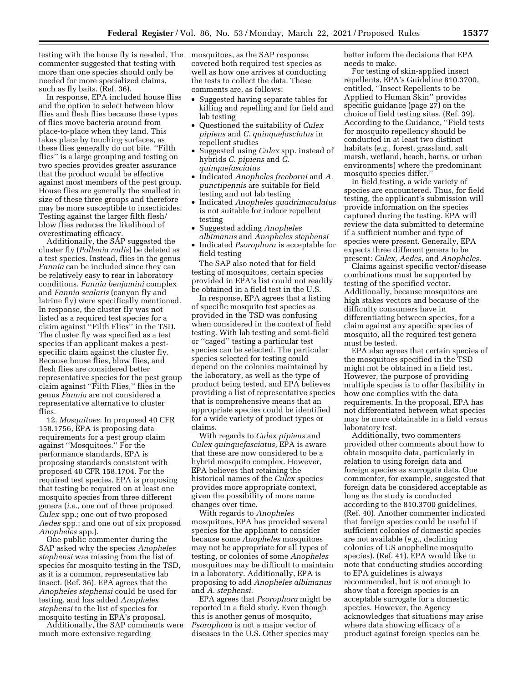testing with the house fly is needed. The mosquitoes, as the SAP response commenter suggested that testing with more than one species should only be needed for more specialized claims, such as fly baits. (Ref. 36).

In response, EPA included house flies and the option to select between blow flies and flesh flies because these types of flies move bacteria around from place-to-place when they land. This takes place by touching surfaces, as these flies generally do not bite. ''Filth flies'' is a large grouping and testing on two species provides greater assurance that the product would be effective against most members of the pest group. House flies are generally the smallest in size of these three groups and therefore may be more susceptible to insecticides. Testing against the larger filth flesh/ blow flies reduces the likelihood of overestimating efficacy.

Additionally, the SAP suggested the cluster fly (*Pollenia rudis*) be deleted as a test species. Instead, flies in the genus *Fannia* can be included since they can be relatively easy to rear in laboratory conditions. *Fannia benjamini* complex and *Fannia scalaris* (canyon fly and latrine fly) were specifically mentioned. In response, the cluster fly was not listed as a required test species for a claim against ''Filth Flies'' in the TSD. The cluster fly was specified as a test species if an applicant makes a pestspecific claim against the cluster fly. Because house flies, blow flies, and flesh flies are considered better representative species for the pest group claim against ''Filth Flies,'' flies in the genus *Fannia* are not considered a representative alternative to cluster flies.

12. *Mosquitoes.* In proposed 40 CFR 158.1756, EPA is proposing data requirements for a pest group claim against ''Mosquitoes.'' For the performance standards, EPA is proposing standards consistent with proposed 40 CFR 158.1704. For the required test species, EPA is proposing that testing be required on at least one mosquito species from three different genera (*i.e.,* one out of three proposed *Culex* spp.; one out of two proposed *Aedes* spp.; and one out of six proposed *Anopheles* spp.).

One public commenter during the SAP asked why the species *Anopheles stephensi* was missing from the list of species for mosquito testing in the TSD, as it is a common, representative lab insect. (Ref. 36). EPA agrees that the *Anopheles stephensi* could be used for testing, and has added *Anopheles stephensi* to the list of species for mosquito testing in EPA's proposal.

Additionally, the SAP comments were much more extensive regarding

covered both required test species as well as how one arrives at conducting the tests to collect the data. These comments are, as follows:

- Suggested having separate tables for killing and repelling and for field and lab testing
- Questioned the suitability of *Culex pipiens* and *C. quinquefasciatus* in repellent studies
- Suggested using *Culex* spp. instead of hybrids *C. pipiens* and *C. quinquefasciatus*
- Indicated *Anopheles freeborni* and *A. punctipennis* are suitable for field testing and not lab testing
- Indicated *Anopheles quadrimaculatus*  is not suitable for indoor repellent testing
- Suggested adding *Anopheles albimanus* and *Anopheles stephensi*
- Indicated *Psorophora* is acceptable for field testing

The SAP also noted that for field testing of mosquitoes, certain species provided in EPA's list could not readily be obtained in a field test in the U.S.

In response, EPA agrees that a listing of specific mosquito test species as provided in the TSD was confusing when considered in the context of field testing. With lab testing and semi-field or ''caged'' testing a particular test species can be selected. The particular species selected for testing could depend on the colonies maintained by the laboratory, as well as the type of product being tested, and EPA believes providing a list of representative species that is comprehensive means that an appropriate species could be identified for a wide variety of product types or claims.

With regards to *Culex pipiens* and *Culex quinquefasciatus,* EPA is aware that these are now considered to be a hybrid mosquito complex. However, EPA believes that retaining the historical names of the *Culex* species provides more appropriate context, given the possibility of more name changes over time.

With regards to *Anopheles*  mosquitoes, EPA has provided several species for the applicant to consider because some *Anopheles* mosquitoes may not be appropriate for all types of testing, or colonies of some *Anopheles*  mosquitoes may be difficult to maintain in a laboratory. Additionally, EPA is proposing to add *Anopheles albimanus*  and *A. stephensi.* 

EPA agrees that *Psorophora* might be reported in a field study. Even though this is another genus of mosquito, *Psorophora* is not a major vector of diseases in the U.S. Other species may

better inform the decisions that EPA needs to make.

For testing of skin-applied insect repellents, EPA's Guideline 810.3700, entitled, ''Insect Repellents to be Applied to Human Skin'' provides specific guidance (page 27) on the choice of field testing sites. (Ref. 39). According to the Guidance, ''Field tests for mosquito repellency should be conducted in at least two distinct habitats (*e.g.,* forest, grassland, salt marsh, wetland, beach, barns, or urban environments) where the predominant mosquito species differ.''

In field testing, a wide variety of species are encountered. Thus, for field testing, the applicant's submission will provide information on the species captured during the testing. EPA will review the data submitted to determine if a sufficient number and type of species were present. Generally, EPA expects three different genera to be present: *Culex, Aedes,* and *Anopheles.* 

Claims against specific vector/disease combinations must be supported by testing of the specified vector. Additionally, because mosquitoes are high stakes vectors and because of the difficulty consumers have in differentiating between species, for a claim against any specific species of mosquito, all the required test genera must be tested.

EPA also agrees that certain species of the mosquitoes specified in the TSD might not be obtained in a field test. However, the purpose of providing multiple species is to offer flexibility in how one complies with the data requirements. In the proposal, EPA has not differentiated between what species may be more obtainable in a field versus laboratory test.

Additionally, two commenters provided other comments about how to obtain mosquito data, particularly in relation to using foreign data and foreign species as surrogate data. One commenter, for example, suggested that foreign data be considered acceptable as long as the study is conducted according to the 810.3700 guidelines. (Ref. 40). Another commenter indicated that foreign species could be useful if sufficient colonies of domestic species are not available (*e.g.,* declining colonies of US anopheline mosquito species). (Ref. 41). EPA would like to note that conducting studies according to EPA guidelines is always recommended, but is not enough to show that a foreign species is an acceptable surrogate for a domestic species. However, the Agency acknowledges that situations may arise where data showing efficacy of a product against foreign species can be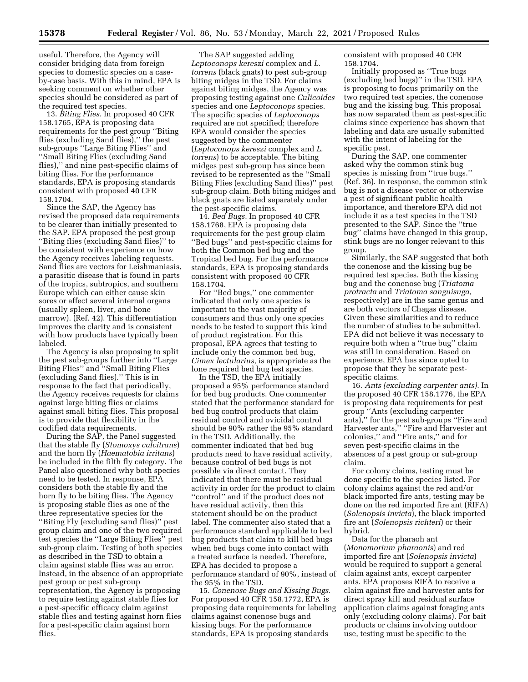useful. Therefore, the Agency will consider bridging data from foreign species to domestic species on a caseby-case basis. With this in mind, EPA is seeking comment on whether other species should be considered as part of the required test species.

13. *Biting Flies.* In proposed 40 CFR 158.1765, EPA is proposing data requirements for the pest group ''Biting flies (excluding Sand flies),'' the pest sub-groups ''Large Biting Flies'' and ''Small Biting Flies (excluding Sand flies),'' and nine pest-specific claims of biting flies. For the performance standards, EPA is proposing standards consistent with proposed 40 CFR 158.1704.

Since the SAP, the Agency has revised the proposed data requirements to be clearer than initially presented to the SAP. EPA proposed the pest group ''Biting flies (excluding Sand flies)'' to be consistent with experience on how the Agency receives labeling requests. Sand flies are vectors for Leishmaniasis, a parasitic disease that is found in parts of the tropics, subtropics, and southern Europe which can either cause skin sores or affect several internal organs (usually spleen, liver, and bone marrow). (Ref. 42). This differentiation improves the clarity and is consistent with how products have typically been labeled.

The Agency is also proposing to split the pest sub-groups further into ''Large Biting Flies'' and ''Small Biting Flies (excluding Sand flies).'' This is in response to the fact that periodically, the Agency receives requests for claims against large biting flies or claims against small biting flies. This proposal is to provide that flexibility in the codified data requirements.

During the SAP, the Panel suggested that the stable fly (*Stomoxys calcitrans*) and the horn fly (*Haematobia irritans*) be included in the filth fly category. The Panel also questioned why both species need to be tested. In response, EPA considers both the stable fly and the horn fly to be biting flies. The Agency is proposing stable flies as one of the three representative species for the ''Biting Fly (excluding sand flies)'' pest group claim and one of the two required test species the ''Large Biting Flies'' pest sub-group claim. Testing of both species as described in the TSD to obtain a claim against stable flies was an error. Instead, in the absence of an appropriate pest group or pest sub-group representation, the Agency is proposing to require testing against stable flies for a pest-specific efficacy claim against stable flies and testing against horn flies for a pest-specific claim against horn flies.

The SAP suggested adding *Leptoconops kereszi* complex and *L. torrens* (black gnats) to pest sub-group biting midges in the TSD. For claims against biting midges, the Agency was proposing testing against one *Culicoides*  species and one *Leptoconops* species. The specific species of *Leptoconops*  required are not specified; therefore EPA would consider the species suggested by the commenter (*Leptoconops kereszi* complex and *L. torrens*) to be acceptable. The biting midges pest sub-group has since been revised to be represented as the ''Small Biting Flies (excluding Sand flies)'' pest sub-group claim. Both biting midges and black gnats are listed separately under the pest-specific claims.

14. *Bed Bugs.* In proposed 40 CFR 158.1768, EPA is proposing data requirements for the pest group claim ''Bed bugs'' and pest-specific claims for both the Common bed bug and the Tropical bed bug. For the performance standards, EPA is proposing standards consistent with proposed 40 CFR 158.1704.

For ''Bed bugs,'' one commenter indicated that only one species is important to the vast majority of consumers and thus only one species needs to be tested to support this kind of product registration. For this proposal, EPA agrees that testing to include only the common bed bug, *Cimex lectularius,* is appropriate as the lone required bed bug test species.

In the TSD, the EPA initially proposed a 95% performance standard for bed bug products. One commenter stated that the performance standard for bed bug control products that claim residual control and ovicidal control should be 90% rather the 95% standard in the TSD. Additionally, the commenter indicated that bed bug products need to have residual activity, because control of bed bugs is not possible via direct contact. They indicated that there must be residual activity in order for the product to claim ''control'' and if the product does not have residual activity, then this statement should be on the product label. The commenter also stated that a performance standard applicable to bed bug products that claim to kill bed bugs when bed bugs come into contact with a treated surface is needed. Therefore, EPA has decided to propose a performance standard of 90%, instead of the 95% in the TSD.

15. *Conenose Bugs and Kissing Bugs.*  For proposed 40 CFR 158.1772, EPA is proposing data requirements for labeling claims against conenose bugs and kissing bugs. For the performance standards, EPA is proposing standards

consistent with proposed 40 CFR 158.1704.

Initially proposed as ''True bugs (excluding bed bugs)'' in the TSD, EPA is proposing to focus primarily on the two required test species, the conenose bug and the kissing bug. This proposal has now separated them as pest-specific claims since experience has shown that labeling and data are usually submitted with the intent of labeling for the specific pest.

During the SAP, one commenter asked why the common stink bug species is missing from ''true bugs.'' (Ref. 36). In response, the common stink bug is not a disease vector or otherwise a pest of significant public health importance, and therefore EPA did not include it as a test species in the TSD presented to the SAP. Since the ''true bug'' claims have changed in this group, stink bugs are no longer relevant to this group.

Similarly, the SAP suggested that both the conenose and the kissing bug be required test species. Both the kissing bug and the conenose bug (*Triatoma protracta* and *Triatoma sanguisuga,*  respectively) are in the same genus and are both vectors of Chagas disease. Given these similarities and to reduce the number of studies to be submitted, EPA did not believe it was necessary to require both when a ''true bug'' claim was still in consideration. Based on experience, EPA has since opted to propose that they be separate pestspecific claims.

16. *Ants (excluding carpenter ants).* In the proposed 40 CFR 158.1776, the EPA is proposing data requirements for pest group ''Ants (excluding carpenter ants),'' for the pest sub-groups ''Fire and Harvester ants," "Fire and Harvester ant colonies,'' and ''Fire ants,'' and for seven pest-specific claims in the absences of a pest group or sub-group claim.

For colony claims, testing must be done specific to the species listed. For colony claims against the red and/or black imported fire ants, testing may be done on the red imported fire ant (RIFA) (*Solenopsis invicta*), the black imported fire ant (*Solenopsis richteri*) or their hybrid.

Data for the pharaoh ant (*Monomorium pharaonis*) and red imported fire ant (*Solenopsis invicta*) would be required to support a general claim against ants, except carpenter ants. EPA proposes RIFA to receive a claim against fire and harvester ants for direct spray kill and residual surface application claims against foraging ants only (excluding colony claims). For bait products or claims involving outdoor use, testing must be specific to the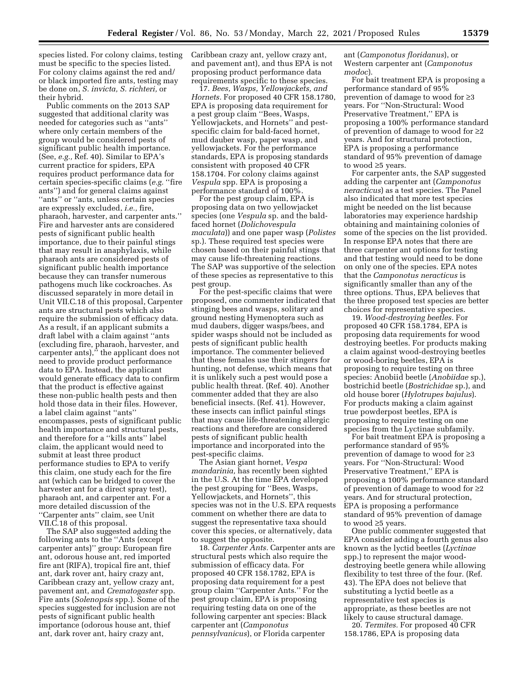species listed. For colony claims, testing must be specific to the species listed. For colony claims against the red and/ or black imported fire ants, testing may be done on, *S. invicta, S. richteri,* or their hybrid.

Public comments on the 2013 SAP suggested that additional clarity was needed for categories such as ''ants'' where only certain members of the group would be considered pests of significant public health importance. (See, *e.g.,* Ref. 40). Similar to EPA's current practice for spiders, EPA requires product performance data for certain species-specific claims (*e.g.* ''fire ants'') and for general claims against ''ants'' or ''ants, unless certain species are expressly excluded, *i.e.,* fire, pharaoh, harvester, and carpenter ants.'' Fire and harvester ants are considered pests of significant public health importance, due to their painful stings that may result in anaphylaxis, while pharaoh ants are considered pests of significant public health importance because they can transfer numerous pathogens much like cockroaches. As discussed separately in more detail in Unit VII.C.18 of this proposal, Carpenter ants are structural pests which also require the submission of efficacy data. As a result, if an applicant submits a draft label with a claim against ''ants (excluding fire, pharaoh, harvester, and carpenter ants)," the applicant does not need to provide product performance data to EPA. Instead, the applicant would generate efficacy data to confirm that the product is effective against these non-public health pests and then hold those data in their files. However, a label claim against ''ants'' encompasses, pests of significant public health importance and structural pests, and therefore for a ''kills ants'' label claim, the applicant would need to submit at least three product performance studies to EPA to verify this claim, one study each for the fire ant (which can be bridged to cover the harvester ant for a direct spray test), pharaoh ant, and carpenter ant. For a more detailed discussion of the ''Carpenter ants'' claim, see Unit VII.C.18 of this proposal.

The SAP also suggested adding the following ants to the ''Ants (except carpenter ants)'' group: European fire ant, odorous house ant, red imported fire ant (RIFA), tropical fire ant, thief ant, dark rover ant, hairy crazy ant, Caribbean crazy ant, yellow crazy ant, pavement ant, and *Crematogaster* spp. Fire ants (*Solenopsis* spp.). Some of the species suggested for inclusion are not pests of significant public health importance (odorous house ant, thief ant, dark rover ant, hairy crazy ant,

Caribbean crazy ant, yellow crazy ant, and pavement ant), and thus EPA is not proposing product performance data requirements specific to these species.

17. *Bees, Wasps, Yellowjackets, and Hornets.* For proposed 40 CFR 158.1780, EPA is proposing data requirement for a pest group claim ''Bees, Wasps, Yellowjackets, and Hornets'' and pestspecific claim for bald-faced hornet, mud dauber wasp, paper wasp, and yellowjackets. For the performance standards, EPA is proposing standards consistent with proposed 40 CFR 158.1704. For colony claims against *Vespula* spp. EPA is proposing a performance standard of 100%.

For the pest group claim, EPA is proposing data on two yellowjacket species (one *Vespula* sp. and the baldfaced hornet (*Dolichovespula maculata*)) and one paper wasp (*Polistes*  sp.). These required test species were chosen based on their painful stings that may cause life-threatening reactions. The SAP was supportive of the selection of these species as representative to this pest group.

For the pest-specific claims that were proposed, one commenter indicated that stinging bees and wasps, solitary and ground nesting Hymenoptera such as mud daubers, digger wasps/bees, and spider wasps should not be included as pests of significant public health importance. The commenter believed that these females use their stingers for hunting, not defense, which means that it is unlikely such a pest would pose a public health threat. (Ref. 40). Another commenter added that they are also beneficial insects. (Ref. 41). However, these insects can inflict painful stings that may cause life-threatening allergic reactions and therefore are considered pests of significant public health importance and incorporated into the pest-specific claims.

The Asian giant hornet, *Vespa mandarinia,* has recently been sighted in the U.S. At the time EPA developed the pest grouping for ''Bees, Wasps, Yellowjackets, and Hornets'', this species was not in the U.S. EPA requests comment on whether there are data to suggest the representative taxa should cover this species, or alternatively, data to suggest the opposite.

18. *Carpenter Ants.* Carpenter ants are structural pests which also require the submission of efficacy data. For proposed 40 CFR 158.1782, EPA is proposing data requirement for a pest group claim ''Carpenter Ants.'' For the pest group claim, EPA is proposing requiring testing data on one of the following carpenter ant species: Black carpenter ant (*Camponotus pennsylvanicus*), or Florida carpenter

ant (*Camponotus floridanus*), or Western carpenter ant (*Camponotus modoc*).

For bait treatment EPA is proposing a performance standard of 95% prevention of damage to wood for ≥3 years. For ''Non-Structural: Wood Preservative Treatment,'' EPA is proposing a 100% performance standard of prevention of damage to wood for ≥2 years. And for structural protection, EPA is proposing a performance standard of 95% prevention of damage to wood ≥5 years.

For carpenter ants, the SAP suggested adding the carpenter ant (*Camponotus neracticus*) as a test species. The Panel also indicated that more test species might be needed on the list because laboratories may experience hardship obtaining and maintaining colonies of some of the species on the list provided. In response EPA notes that there are three carpenter ant options for testing and that testing would need to be done on only one of the species. EPA notes that the *Camponotus neracticus* is significantly smaller than any of the three options. Thus, EPA believes that the three proposed test species are better choices for representative species.

19. *Wood-destroying beetles.* For proposed 40 CFR 158.1784, EPA is proposing data requirements for wood destroying beetles. For products making a claim against wood-destroying beetles or wood-boring beetles, EPA is proposing to require testing on three species: Anobiid beetle (*Anobiidae* sp.), bostrichid beetle (*Bostrichidae* sp.), and old house borer (*Hylotrupes bajulus*). For products making a claim against true powderpost beetles, EPA is proposing to require testing on one species from the Lyctinae subfamily.

For bait treatment EPA is proposing a performance standard of 95% prevention of damage to wood for ≥3 years. For ''Non-Structural: Wood Preservative Treatment,'' EPA is proposing a 100% performance standard of prevention of damage to wood for ≥2 years. And for structural protection, EPA is proposing a performance standard of 95% prevention of damage to wood ≥5 years.

One public commenter suggested that EPA consider adding a fourth genus also known as the lyctid beetles (*Lyctinae*  spp.) to represent the major wooddestroying beetle genera while allowing flexibility to test three of the four. (Ref. 43). The EPA does not believe that substituting a lyctid beetle as a representative test species is appropriate, as these beetles are not likely to cause structural damage.

20. *Termites.* For proposed 40 CFR 158.1786, EPA is proposing data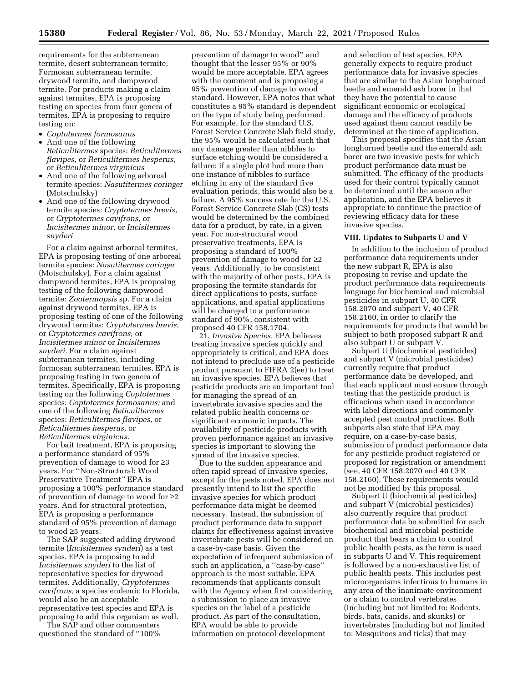requirements for the subterranean termite, desert subterranean termite, Formosan subterranean termite, drywood termite, and dampwood termite. For products making a claim against termites, EPA is proposing testing on species from four genera of termites. EPA is proposing to require testing on:

- *Coptotermes formosanus*
- And one of the following *Reticulitermes* species: *Reticulitermes flavipes,* or *Reticulitermes hesperus,*  or *Reticulitermes virginicus*
- And one of the following arboreal termite species: *Nasutitermes coringer*  (Motschulsky)
- And one of the following drywood termite species: *Cryptotermes brevis,*  or *Cryptotermes cavifrons,* or *Incisitermes minor,* or *Incisitermes snyderi*

For a claim against arboreal termites, EPA is proposing testing of one arboreal termite species: *Nasutitermes coringer*  (Motschulsky). For a claim against dampwood termites, EPA is proposing testing of the following dampwood termite: *Zootermopsis* sp. For a claim against drywood termites, EPA is proposing testing of one of the following drywood termites: *Cryptotermes brevis,*  or *Cryptotermes cavifrons,* or *Incisitermes minor* or *Incisitermes snyderi.* For a claim against subterranean termites, including formosan subterranean termites, EPA is proposing testing in two genera of termites. Specifically, EPA is proposing testing on the following *Coptotermes*  species: *Coptotermes formosanus;* and one of the following *Reticulitermes*  species: *Reticulitermes flavipes,* or *Reticulitermes hesperus,* or *Reticulitermes virginicus.* 

For bait treatment, EPA is proposing a performance standard of 95% prevention of damage to wood for ≥3 years. For ''Non-Structural: Wood Preservative Treatment'' EPA is proposing a 100% performance standard of prevention of damage to wood for ≥2 years. And for structural protection, EPA is proposing a performance standard of 95% prevention of damage to wood ≥5 years.

The SAP suggested adding drywood termite (*Incisitermes synderi*) as a test species. EPA is proposing to add *Incisitermes snyderi* to the list of representative species for drywood termites. Additionally, *Cryptotermes cavifrons,* a species endemic to Florida, would also be an acceptable representative test species and EPA is proposing to add this organism as well.

The SAP and other commenters questioned the standard of ''100%

prevention of damage to wood'' and thought that the lesser 95% or 90% would be more acceptable. EPA agrees with the comment and is proposing a 95% prevention of damage to wood standard. However, EPA notes that what constitutes a 95% standard is dependent on the type of study being performed. For example, for the standard U.S. Forest Service Concrete Slab field study, the 95% would be calculated such that any damage greater than nibbles to surface etching would be considered a failure; if a single plot had more than one instance of nibbles to surface etching in any of the standard five evaluation periods, this would also be a failure. A 95% success rate for the U.S. Forest Service Concrete Slab (CS) tests would be determined by the combined data for a product, by rate, in a given year. For non-structural wood preservative treatments, EPA is proposing a standard of 100% prevention of damage to wood for ≥2 years. Additionally, to be consistent with the majority of other pests, EPA is proposing the termite standards for direct applications to pests, surface applications, and spatial applications will be changed to a performance standard of 90%, consistent with proposed 40 CFR 158.1704.

21. *Invasive Species.* EPA believes treating invasive species quickly and appropriately is critical, and EPA does not intend to preclude use of a pesticide product pursuant to FIFRA 2(ee) to treat an invasive species. EPA believes that pesticide products are an important tool for managing the spread of an invertebrate invasive species and the related public health concerns or significant economic impacts. The availability of pesticide products with proven performance against an invasive species is important to slowing the spread of the invasive species.

Due to the sudden appearance and often rapid spread of invasive species, except for the pests noted, EPA does not presently intend to list the specific invasive species for which product performance data might be deemed necessary. Instead, the submission of product performance data to support claims for effectiveness against invasive invertebrate pests will be considered on a case-by-case basis. Given the expectation of infrequent submission of such an application, a ''case-by-case'' approach is the most suitable. EPA recommends that applicants consult with the Agency when first considering a submission to place an invasive species on the label of a pesticide product. As part of the consultation, EPA would be able to provide information on protocol development

and selection of test species. EPA generally expects to require product performance data for invasive species that are similar to the Asian longhorned beetle and emerald ash borer in that they have the potential to cause significant economic or ecological damage and the efficacy of products used against them cannot readily be determined at the time of application.

This proposal specifies that the Asian longhorned beetle and the emerald ash borer are two invasive pests for which product performance data must be submitted. The efficacy of the products used for their control typically cannot be determined until the season after application, and the EPA believes it appropriate to continue the practice of reviewing efficacy data for these invasive species.

#### **VIII. Updates to Subparts U and V**

In addition to the inclusion of product performance data requirements under the new subpart R, EPA is also proposing to revise and update the product performance data requirements language for biochemical and microbial pesticides in subpart U, 40 CFR 158.2070 and subpart V, 40 CFR 158.2160, in order to clarify the requirements for products that would be subject to both proposed subpart R and also subpart U or subpart V.

Subpart U (biochemical pesticides) and subpart V (microbial pesticides) currently require that product performance data be developed, and that each applicant must ensure through testing that the pesticide product is efficacious when used in accordance with label directions and commonly accepted pest control practices. Both subparts also state that EPA may require, on a case-by-case basis, submission of product performance data for any pesticide product registered or proposed for registration or amendment (see, 40 CFR 158.2070 and 40 CFR 158.2160). These requirements would not be modified by this proposal.

Subpart U (biochemical pesticides) and subpart V (microbial pesticides) also currently require that product performance data be submitted for each biochemical and microbial pesticide product that bears a claim to control public health pests, as the term is used in subparts U and V. This requirement is followed by a non-exhaustive list of public health pests. This includes pest microorganisms infectious to humans in any area of the inanimate environment or a claim to control vertebrates (including but not limited to: Rodents, birds, bats, canids, and skunks) or invertebrates (including but not limited to: Mosquitoes and ticks) that may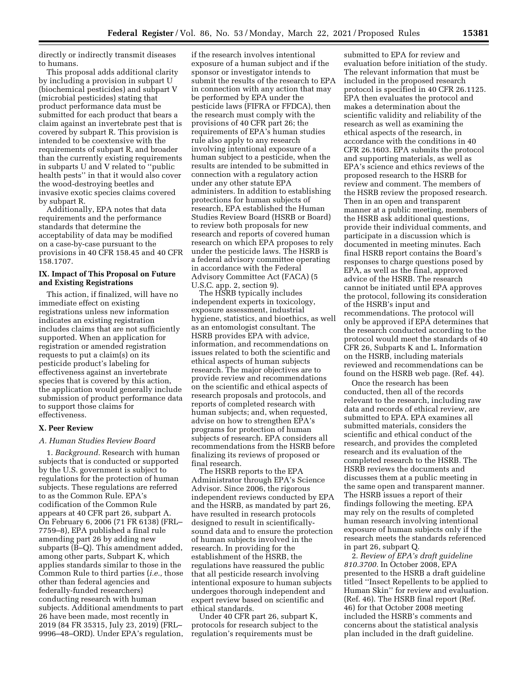directly or indirectly transmit diseases to humans.

This proposal adds additional clarity by including a provision in subpart U (biochemical pesticides) and subpart V (microbial pesticides) stating that product performance data must be submitted for each product that bears a claim against an invertebrate pest that is covered by subpart R. This provision is intended to be coextensive with the requirements of subpart R, and broader than the currently existing requirements in subparts U and V related to ''public health pests'' in that it would also cover the wood-destroying beetles and invasive exotic species claims covered by subpart R.

Additionally, EPA notes that data requirements and the performance standards that determine the acceptability of data may be modified on a case-by-case pursuant to the provisions in 40 CFR 158.45 and 40 CFR 158.1707.

## **IX. Impact of This Proposal on Future and Existing Registrations**

This action, if finalized, will have no immediate effect on existing registrations unless new information indicates an existing registration includes claims that are not sufficiently supported. When an application for registration or amended registration requests to put a claim(s) on its pesticide product's labeling for effectiveness against an invertebrate species that is covered by this action, the application would generally include submission of product performance data to support those claims for effectiveness.

#### **X. Peer Review**

## *A. Human Studies Review Board*

1. *Background.* Research with human subjects that is conducted or supported by the U.S. government is subject to regulations for the protection of human subjects. These regulations are referred to as the Common Rule. EPA's codification of the Common Rule appears at 40 CFR part 26, subpart A. On February 6, 2006 (71 FR 6138) (FRL– 7759–8), EPA published a final rule amending part 26 by adding new subparts (B–Q). This amendment added, among other parts, Subpart K, which applies standards similar to those in the Common Rule to third parties (*i.e.,* those other than federal agencies and federally-funded researchers) conducting research with human subjects. Additional amendments to part 26 have been made, most recently in 2019 (84 FR 35315, July 23, 2019) (FRL– 9996–48–ORD). Under EPA's regulation,

if the research involves intentional exposure of a human subject and if the sponsor or investigator intends to submit the results of the research to EPA in connection with any action that may be performed by EPA under the pesticide laws (FIFRA or FFDCA), then the research must comply with the provisions of 40 CFR part 26; the requirements of EPA's human studies rule also apply to any research involving intentional exposure of a human subject to a pesticide, when the results are intended to be submitted in connection with a regulatory action under any other statute EPA administers. In addition to establishing protections for human subjects of research, EPA established the Human Studies Review Board (HSRB or Board) to review both proposals for new research and reports of covered human research on which EPA proposes to rely under the pesticide laws. The HSRB is a federal advisory committee operating in accordance with the Federal Advisory Committee Act (FACA) (5 U.S.C. app. 2, section 9).

The HSRB typically includes independent experts in toxicology, exposure assessment, industrial hygiene, statistics, and bioethics, as well as an entomologist consultant. The HSRB provides EPA with advice, information, and recommendations on issues related to both the scientific and ethical aspects of human subjects research. The major objectives are to provide review and recommendations on the scientific and ethical aspects of research proposals and protocols, and reports of completed research with human subjects; and, when requested, advise on how to strengthen EPA's programs for protection of human subjects of research. EPA considers all recommendations from the HSRB before finalizing its reviews of proposed or final research.

The HSRB reports to the EPA Administrator through EPA's Science Advisor. Since 2006, the rigorous independent reviews conducted by EPA and the HSRB, as mandated by part 26, have resulted in research protocols designed to result in scientificallysound data and to ensure the protection of human subjects involved in the research. In providing for the establishment of the HSRB, the regulations have reassured the public that all pesticide research involving intentional exposure to human subjects undergoes thorough independent and expert review based on scientific and ethical standards.

Under 40 CFR part 26, subpart K, protocols for research subject to the regulation's requirements must be

submitted to EPA for review and evaluation before initiation of the study. The relevant information that must be included in the proposed research protocol is specified in 40 CFR 26.1125. EPA then evaluates the protocol and makes a determination about the scientific validity and reliability of the research as well as examining the ethical aspects of the research, in accordance with the conditions in 40 CFR 26.1603. EPA submits the protocol and supporting materials, as well as EPA's science and ethics reviews of the proposed research to the HSRB for review and comment. The members of the HSRB review the proposed research. Then in an open and transparent manner at a public meeting, members of the HSRB ask additional questions, provide their individual comments, and participate in a discussion which is documented in meeting minutes. Each final HSRB report contains the Board's responses to charge questions posed by EPA, as well as the final, approved advice of the HSRB. The research cannot be initiated until EPA approves the protocol, following its consideration of the HSRB's input and recommendations. The protocol will only be approved if EPA determines that the research conducted according to the protocol would meet the standards of 40 CFR 26, Subparts K and L. Information on the HSRB, including materials reviewed and recommendations can be found on the HSRB web page. (Ref. 44).

Once the research has been conducted, then all of the records relevant to the research, including raw data and records of ethical review, are submitted to EPA. EPA examines all submitted materials, considers the scientific and ethical conduct of the research, and provides the completed research and its evaluation of the completed research to the HSRB. The HSRB reviews the documents and discusses them at a public meeting in the same open and transparent manner. The HSRB issues a report of their findings following the meeting. EPA may rely on the results of completed human research involving intentional exposure of human subjects only if the research meets the standards referenced in part 26, subpart Q.

2. *Review of EPA's draft guideline 810.3700.* In October 2008, EPA presented to the HSRB a draft guideline titled ''Insect Repellents to be applied to Human Skin'' for review and evaluation. (Ref. 46). The HSRB final report (Ref. 46) for that October 2008 meeting included the HSRB's comments and concerns about the statistical analysis plan included in the draft guideline.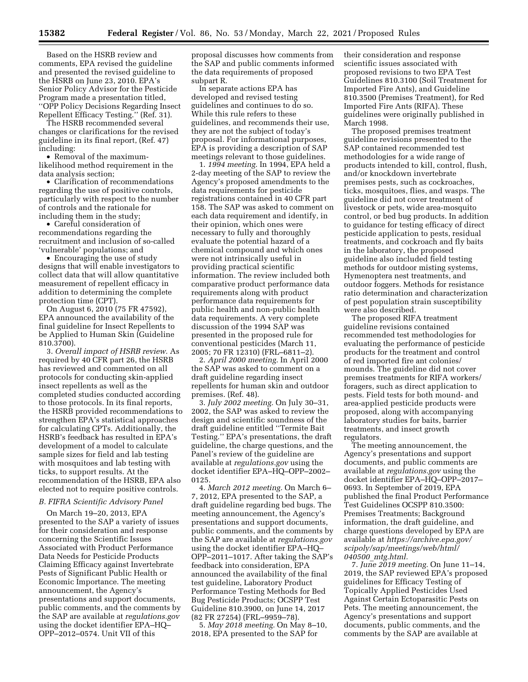Based on the HSRB review and comments, EPA revised the guideline and presented the revised guideline to the HSRB on June 23, 2010. EPA's Senior Policy Advisor for the Pesticide Program made a presentation titled, ''OPP Policy Decisions Regarding Insect Repellent Efficacy Testing.'' (Ref. 31).

The HSRB recommended several changes or clarifications for the revised guideline in its final report, (Ref. 47) including:

• Removal of the maximumlikelihood method requirement in the data analysis section;

• Clarification of recommendations regarding the use of positive controls, particularly with respect to the number of controls and the rationale for including them in the study;

• Careful consideration of recommendations regarding the recruitment and inclusion of so-called 'vulnerable' populations; and

• Encouraging the use of study designs that will enable investigators to collect data that will allow quantitative measurement of repellent efficacy in addition to determining the complete protection time (CPT).

On August 6, 2010 (75 FR 47592), EPA announced the availability of the final guideline for Insect Repellents to be Applied to Human Skin (Guideline 810.3700).

3. *Overall impact of HSRB review.* As required by 40 CFR part 26, the HSRB has reviewed and commented on all protocols for conducting skin-applied insect repellents as well as the completed studies conducted according to those protocols. In its final reports, the HSRB provided recommendations to strengthen EPA's statistical approaches for calculating CPTs. Additionally, the HSRB's feedback has resulted in EPA's development of a model to calculate sample sizes for field and lab testing with mosquitoes and lab testing with ticks, to support results. At the recommendation of the HSRB, EPA also elected not to require positive controls.

#### *B. FIFRA Scientific Advisory Panel*

On March 19–20, 2013, EPA presented to the SAP a variety of issues for their consideration and response concerning the Scientific Issues Associated with Product Performance Data Needs for Pesticide Products Claiming Efficacy against Invertebrate Pests of Significant Public Health or Economic Importance. The meeting announcement, the Agency's presentations and support documents, public comments, and the comments by the SAP are available at *regulations.gov*  using the docket identifier EPA–HQ– OPP–2012–0574. Unit VII of this

proposal discusses how comments from the SAP and public comments informed the data requirements of proposed subpart R.

In separate actions EPA has developed and revised testing guidelines and continues to do so. While this rule refers to these guidelines, and recommends their use, they are not the subject of today's proposal. For informational purposes, EPA is providing a description of SAP meetings relevant to those guidelines.

1. *1994 meeting.* In 1994, EPA held a 2-day meeting of the SAP to review the Agency's proposed amendments to the data requirements for pesticide registrations contained in 40 CFR part 158. The SAP was asked to comment on each data requirement and identify, in their opinion, which ones were necessary to fully and thoroughly evaluate the potential hazard of a chemical compound and which ones were not intrinsically useful in providing practical scientific information. The review included both comparative product performance data requirements along with product performance data requirements for public health and non-public health data requirements. A very complete discussion of the 1994 SAP was presented in the proposed rule for conventional pesticides (March 11, 2005; 70 FR 12310) (FRL–6811–2).

2. *April 2000 meeting.* In April 2000 the SAP was asked to comment on a draft guideline regarding insect repellents for human skin and outdoor premises. (Ref. 48).

3. *July 2002 meeting.* On July 30–31, 2002, the SAP was asked to review the design and scientific soundness of the draft guideline entitled ''Termite Bait Testing.'' EPA's presentations, the draft guideline, the charge questions, and the Panel's review of the guideline are available at *regulations.gov* using the docket identifier EPA–HQ–OPP–2002– 0125.

4. *March 2012 meeting.* On March 6– 7, 2012, EPA presented to the SAP, a draft guideline regarding bed bugs. The meeting announcement, the Agency's presentations and support documents, public comments, and the comments by the SAP are available at *regulations.gov*  using the docket identifier EPA–HQ– OPP–2011–1017. After taking the SAP's feedback into consideration, EPA announced the availability of the final test guideline, Laboratory Product Performance Testing Methods for Bed Bug Pesticide Products; OCSPP Test Guideline 810.3900, on June 14, 2017 (82 FR 27254) (FRL–9959–78).

5. *May 2018 meeting.* On May 8–10, 2018, EPA presented to the SAP for

their consideration and response scientific issues associated with proposed revisions to two EPA Test Guidelines 810.3100 (Soil Treatment for Imported Fire Ants), and Guideline 810.3500 (Premises Treatment), for Red Imported Fire Ants (RIFA). These guidelines were originally published in March 1998.

The proposed premises treatment guideline revisions presented to the SAP contained recommended test methodologies for a wide range of products intended to kill, control, flush, and/or knockdown invertebrate premises pests, such as cockroaches, ticks, mosquitoes, flies, and wasps. The guideline did not cover treatment of livestock or pets, wide area-mosquito control, or bed bug products. In addition to guidance for testing efficacy of direct pesticide application to pests, residual treatments, and cockroach and fly baits in the laboratory, the proposed guideline also included field testing methods for outdoor misting systems, Hymenoptera nest treatments, and outdoor foggers. Methods for resistance ratio determination and characterization of pest population strain susceptibility were also described.

The proposed RIFA treatment guideline revisions contained recommended test methodologies for evaluating the performance of pesticide products for the treatment and control of red imported fire ant colonies/ mounds. The guideline did not cover premises treatments for RIFA workers/ foragers, such as direct application to pests. Field tests for both mound- and area-applied pesticide products were proposed, along with accompanying laboratory studies for baits, barrier treatments, and insect growth regulators.

The meeting announcement, the Agency's presentations and support documents, and public comments are available at *regulations.gov* using the docket identifier EPA–HQ–OPP–2017– 0693. In September of 2019, EPA published the final Product Performance Test Guidelines OCSPP 810.3500: Premises Treatments; Background information, the draft guideline, and charge questions developed by EPA are available at *[https://archive.epa.gov/](https://archive.epa.gov/scipoly/sap/meetings/web/html/040500_mtg.html) [scipoly/sap/meetings/web/html/](https://archive.epa.gov/scipoly/sap/meetings/web/html/040500_mtg.html)  040500*\_*[mtg.html.](https://archive.epa.gov/scipoly/sap/meetings/web/html/040500_mtg.html)* 

7. *June 2019 meeting.* On June 11–14, 2019, the SAP reviewed EPA's proposed guidelines for Efficacy Testing of Topically Applied Pesticides Used Against Certain Ectoparasitic Pests on Pets. The meeting announcement, the Agency's presentations and support documents, public comments, and the comments by the SAP are available at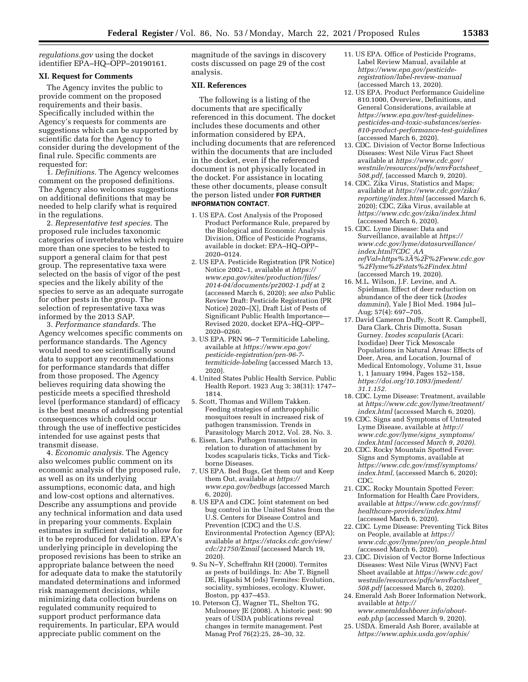*regulations.gov* using the docket identifier EPA–HQ–OPP–20190161.

## **XI. Request for Comments**

The Agency invites the public to provide comment on the proposed requirements and their basis. Specifically included within the Agency's requests for comments are suggestions which can be supported by scientific data for the Agency to consider during the development of the final rule. Specific comments are requested for:

1. *Definitions.* The Agency welcomes comment on the proposed definitions. The Agency also welcomes suggestions on additional definitions that may be needed to help clarify what is required in the regulations.

2. *Representative test species.* The proposed rule includes taxonomic categories of invertebrates which require more than one species to be tested to support a general claim for that pest group. The representative taxa were selected on the basis of vigor of the pest species and the likely ability of the species to serve as an adequate surrogate for other pests in the group. The selection of representative taxa was informed by the 2013 SAP.

3. *Performance standards.* The Agency welcomes specific comments on performance standards. The Agency would need to see scientifically sound data to support any recommendations for performance standards that differ from those proposed. The Agency believes requiring data showing the pesticide meets a specified threshold level (performance standard) of efficacy is the best means of addressing potential consequences which could occur through the use of ineffective pesticides intended for use against pests that transmit disease.

4. *Economic analysis.* The Agency also welcomes public comment on its economic analysis of the proposed rule, as well as on its underlying assumptions, economic data, and high and low-cost options and alternatives. Describe any assumptions and provide any technical information and data used in preparing your comments. Explain estimates in sufficient detail to allow for it to be reproduced for validation. EPA's underlying principle in developing the proposed revisions has been to strike an appropriate balance between the need for adequate data to make the statutorily mandated determinations and informed risk management decisions, while minimizing data collection burdens on regulated community required to support product performance data requirements. In particular, EPA would appreciate public comment on the

magnitude of the savings in discovery costs discussed on page 29 of the cost analysis.

#### **XII. References**

The following is a listing of the documents that are specifically referenced in this document. The docket includes these documents and other information considered by EPA, including documents that are referenced within the documents that are included in the docket, even if the referenced document is not physically located in the docket. For assistance in locating these other documents, please consult the person listed under **FOR FURTHER INFORMATION CONTACT**.

- 1. US EPA. Cost Analysis of the Proposed Product Performance Rule, prepared by the Biological and Economic Analysis Division, Office of Pesticide Programs, available in docket: EPA–HQ–OPP– 2020–0124.
- 2. US EPA. Pesticide Registration (PR Notice) Notice 2002–1, available at *[https://](https://www.epa.gov/sites/production/files/2014-04/documents/pr2002-1.pdf) [www.epa.gov/sites/production/files/](https://www.epa.gov/sites/production/files/2014-04/documents/pr2002-1.pdf) [2014-04/documents/pr2002-1.pdf](https://www.epa.gov/sites/production/files/2014-04/documents/pr2002-1.pdf)* at 2 (accessed March 6, 2020); *see also* Public Review Draft: Pesticide Registration (PR Notice) 2020–[X], Draft List of Pests of Significant Public Health Importance— Revised 2020, docket EPA–HQ–OPP– 2020–0260.
- 3. US EPA. PRN 96–7 Termiticide Labeling, available at *[https://www.epa.gov/](https://www.epa.gov/pesticide-registration/prn-96-7-termiticide-labeling)  [pesticide-registration/prn-96-7](https://www.epa.gov/pesticide-registration/prn-96-7-termiticide-labeling)  [termiticide-labeling](https://www.epa.gov/pesticide-registration/prn-96-7-termiticide-labeling)* (accessed March 13, 2020).
- 4. United States Public Health Service. Public Health Report. 1923 Aug 3; 38(31): 1747– 1814.
- 5. Scott, Thomas and Willem Takken. Feeding strategies of anthropophilic mosquitoes result in increased risk of pathogen transmission. Trends in Parasitology March 2012, Vol. 28, No. 3.
- 6. Eisen, Lars. Pathogen transmission in relation to duration of attachment by Ixodes scapularis ticks, Ticks and Tickborne Diseases.
- 7. US EPA. Bed Bugs, Get them out and Keep them Out, available at *[https://](https://www.epa.gov/bedbugs) [www.epa.gov/bedbugs](https://www.epa.gov/bedbugs)* (accessed March 6, 2020).
- 8. US EPA and CDC. Joint statement on bed bug control in the United States from the U.S. Centers for Disease Control and Prevention (CDC) and the U.S. Environmental Protection Agency (EPA); available at *[https://stacks.cdc.gov/view/](https://stacks.cdc.gov/view/cdc/21750/Email)  [cdc/21750/Email](https://stacks.cdc.gov/view/cdc/21750/Email)* (accessed March 19, 2020).
- 9. Su N–Y, Scheffrahn RH (2000). Termites as pests of buildings. In: Abe T, Bignell DE, Higashi M (eds) Termites: Evolution, sociality, symbioses, ecology. Kluwer, Boston, pp 437–453.
- 10. Peterson CJ, Wagner TL, Shelton TG, Mulrooney JE (2008). A historic pest: 90 years of USDA publications reveal changes in termite management. Pest Manag Prof 76(2):25, 28–30, 32.
- 11. US EPA. Office of Pesticide Programs, Label Review Manual, available at *[https://www.epa.gov/pesticide](https://www.epa.gov/pesticide-registration/label-review-manual)[registration/label-review-manual](https://www.epa.gov/pesticide-registration/label-review-manual)*  (accessed March 13, 2020).
- 12. US EPA. Product Performance Guideline 810.1000, Overview, Definitions, and General Considerations, available at *[https://www.epa.gov/test-guidelines](https://www.epa.gov/test-guidelines-pesticides-and-toxic-substances/series-810-product-performance-test-guidelines)[pesticides-and-toxic-substances/series-](https://www.epa.gov/test-guidelines-pesticides-and-toxic-substances/series-810-product-performance-test-guidelines)[810-product-performance-test-guidelines](https://www.epa.gov/test-guidelines-pesticides-and-toxic-substances/series-810-product-performance-test-guidelines)*  (accessed March 6, 2020).
- 13. CDC. Division of Vector Borne Infectious Diseases: West Nile Virus Fact Sheet available at *[https://www.cdc.gov/](https://www.cdc.gov/westnile/resources/pdfs/wnvFactsheet_508.pdf) [westnile/resources/pdfs/wnvFactsheet](https://www.cdc.gov/westnile/resources/pdfs/wnvFactsheet_508.pdf)*\_ *[508.pdf,](https://www.cdc.gov/westnile/resources/pdfs/wnvFactsheet_508.pdf)* (accessed March 9, 2020).
- 14. CDC. Zika Virus, Statistics and Maps; available at *[https://www.cdc.gov/zika/](https://www.cdc.gov/zika/reporting/index.html)  [reporting/index.html](https://www.cdc.gov/zika/reporting/index.html)* (accessed March 6, 2020); CDC, Zika Virus, available at *<https://www.cdc.gov/zika/index.html>*  (accessed March 6, 2020).
- 15. CDC. Lyme Disease: Data and Surveillance, available at *[https://](https://www.cdc.gov/lyme/datasurveillance/index.html?CDC_AA_refVal=https%3A%2F%2Fwww.cdc.gov%2Flyme%2Fstats%2Findex.html) [www.cdc.gov/lyme/datasurveillance/](https://www.cdc.gov/lyme/datasurveillance/index.html?CDC_AA_refVal=https%3A%2F%2Fwww.cdc.gov%2Flyme%2Fstats%2Findex.html)  [index.html?CDC](https://www.cdc.gov/lyme/datasurveillance/index.html?CDC_AA_refVal=https%3A%2F%2Fwww.cdc.gov%2Flyme%2Fstats%2Findex.html)*\_*AA*\_ *[refVal=https%3A%2F%2Fwww.cdc.gov](https://www.cdc.gov/lyme/datasurveillance/index.html?CDC_AA_refVal=https%3A%2F%2Fwww.cdc.gov%2Flyme%2Fstats%2Findex.html) [%2Flyme%2Fstats%2Findex.html](https://www.cdc.gov/lyme/datasurveillance/index.html?CDC_AA_refVal=https%3A%2F%2Fwww.cdc.gov%2Flyme%2Fstats%2Findex.html)*  (accessed March 19, 2020).
- 16. M.L. Wilson, J.F. Levine, and A. Spielman. Effect of deer reduction on abundance of the deer tick (*Ixodes dammini*), Yale J Biol Med. 1984 Jul– Aug; 57(4): 697–705.
- 17. David Cameron Duffy, Scott R. Campbell, Dara Clark, Chris Dimotta, Susan Gurney. *Ixodes scapularis* (Acari: Ixodidae) Deer Tick Mesoscale Populations in Natural Areas: Effects of Deer, Area, and Location, Journal of Medical Entomology, Volume 31, Issue 1, 1 January 1994, Pages 152–158, *[https://doi.org/10.1093/jmedent/](https://doi.org/10.1093/jmedent/31.1.152)  [31.1.152.](https://doi.org/10.1093/jmedent/31.1.152)*
- 18. CDC. Lyme Disease: Treatment, available at *[https://www.cdc.gov/lyme/treatment/](https://www.cdc.gov/lyme/treatment/index.html)  [index.html](https://www.cdc.gov/lyme/treatment/index.html)* (accessed March 6, 2020).
- 19. CDC. Signs and Symptoms of Untreated Lyme Disease, available at *[http://](http://www.cdc.gov/lyme/signs_symptoms/index.html) [www.cdc.gov/lyme/signs](http://www.cdc.gov/lyme/signs_symptoms/index.html)*\_*symptoms/ [index.html](http://www.cdc.gov/lyme/signs_symptoms/index.html) (accessed March 9, 2020).*
- 20. CDC. Rocky Mountain Spotted Fever: Signs and Symptoms, available at *[https://www.cdc.gov/rmsf/symptoms/](https://www.cdc.gov/rmsf/symptoms/index.html)  [index.html,](https://www.cdc.gov/rmsf/symptoms/index.html)* (accessed March 6, 2020); CDC.
- 21. CDC. Rocky Mountain Spotted Fever: Information for Health Care Providers, available at *[https://www.cdc.gov/rmsf/](https://www.cdc.gov/rmsf/healthcare-providers/index.html)  [healthcare-providers/index.html](https://www.cdc.gov/rmsf/healthcare-providers/index.html)*  (accessed March 6, 2020).
- 22. CDC. Lyme Disease: Preventing Tick Bites on People, available at *[https://](https://www.cdc.gov/lyme/prev/on_people.html) [www.cdc.gov/lyme/prev/on](https://www.cdc.gov/lyme/prev/on_people.html)*\_*people.html (*accessed March 6, 2020).
- 23. CDC. Division of Vector Borne Infectious Diseases: West Nile Virus (WNV) Fact Sheet available at *[https://www.cdc.gov/](https://www.cdc.gov/westnile/resources/pdfs/wnvFactsheet_508.pdf)  [westnile/resources/pdfs/wnvFactsheet](https://www.cdc.gov/westnile/resources/pdfs/wnvFactsheet_508.pdf)*\_ *[508.pdf](https://www.cdc.gov/westnile/resources/pdfs/wnvFactsheet_508.pdf)* (accessed March 6, 2020).
- 24. Emerald Ash Borer Information Network, available at *[http://](http://www.emeraldashborer.info/about-eab.php) [www.emeraldashborer.info/about](http://www.emeraldashborer.info/about-eab.php)[eab.php](http://www.emeraldashborer.info/about-eab.php)* (accessed March 9, 2020).
- 25. USDA. Emerald Ash Borer, available at *[https://www.aphis.usda.gov/aphis/](https://www.aphis.usda.gov/aphis/ourfocus/planthealth/plant-pest-and-disease-programs/pests-and-diseases/emerald-ash-borer)*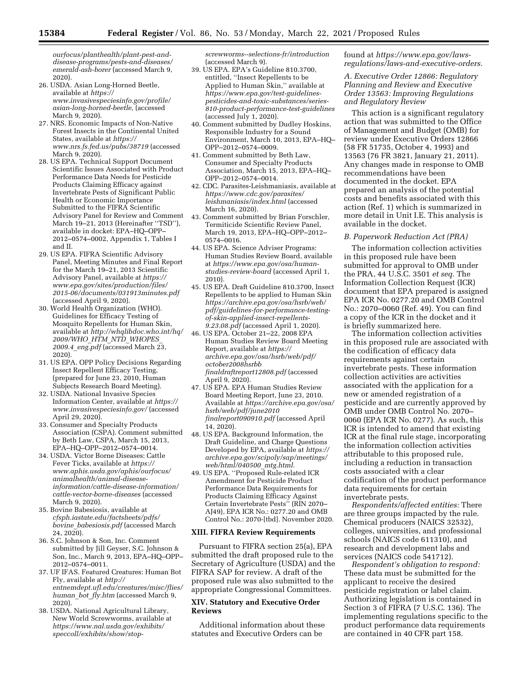*[ourfocus/planthealth/plant-pest-and](https://www.aphis.usda.gov/aphis/ourfocus/planthealth/plant-pest-and-disease-programs/pests-and-diseases/emerald-ash-borer)[disease-programs/pests-and-diseases/](https://www.aphis.usda.gov/aphis/ourfocus/planthealth/plant-pest-and-disease-programs/pests-and-diseases/emerald-ash-borer)  [emerald-ash-borer](https://www.aphis.usda.gov/aphis/ourfocus/planthealth/plant-pest-and-disease-programs/pests-and-diseases/emerald-ash-borer)* (accessed March 9, 2020).

- 26. USDA. Asian Long-Horned Beetle, available at *[https://](https://www.invasivespeciesinfo.gov/profile/asian-long-horned-beetle) [www.invasivespeciesinfo.gov/profile/](https://www.invasivespeciesinfo.gov/profile/asian-long-horned-beetle)  [asian-long-horned-beetle,](https://www.invasivespeciesinfo.gov/profile/asian-long-horned-beetle)* (accessed March 9, 2020).
- 27. NRS. Economic Impacts of Non-Native Forest Insects in the Continental United States, available at *[https://](https://www.nrs.fs.fed.us/pubs/38719) [www.nrs.fs.fed.us/pubs/38719](https://www.nrs.fs.fed.us/pubs/38719)* (accessed March 9, 2020).
- 28. US EPA. Technical Support Document Scientific Issues Associated with Product Performance Data Needs for Pesticide Products Claiming Efficacy against Invertebrate Pests of Significant Public Health or Economic Importance Submitted to the FIFRA Scientific Advisory Panel for Review and Comment March 19–21, 2013 (Hereinafter ''TSD''), available in docket: EPA–HQ–OPP– 2012–0574–0002, Appendix 1, Tables I and II.
- 29. US EPA. FIFRA Scientific Advisory Panel, Meeting Minutes and Final Report for the March 19–21, 2013 Scientific Advisory Panel, available at *[https://](https://www.epa.gov/sites/production/files/2015-06/documents/031913minutes.pdf) [www.epa.gov/sites/production/files/](https://www.epa.gov/sites/production/files/2015-06/documents/031913minutes.pdf) [2015-06/documents/031913minutes.pdf](https://www.epa.gov/sites/production/files/2015-06/documents/031913minutes.pdf)*  (accessed April 9, 2020).
- 30. World Health Organization (WHO). Guidelines for Efficacy Testing of Mosquito Repellents for Human Skin, available at *[http://whqlibdoc.who.int/hq/](http://whqlibdoc.who.int/hq/2009/WHO_HTM_NTD_WHOPES_2009.4_eng.pdf) [2009/WHO](http://whqlibdoc.who.int/hq/2009/WHO_HTM_NTD_WHOPES_2009.4_eng.pdf)*\_*HTM*\_*NTD*\_*WHOPES*\_ *2009.4*\_*[eng.pdf](http://whqlibdoc.who.int/hq/2009/WHO_HTM_NTD_WHOPES_2009.4_eng.pdf)* (accessed March 23, 2020).
- 31. US EPA. OPP Policy Decisions Regarding Insect Repellent Efficacy Testing, (prepared for June 23, 2010, Human Subjects Research Board Meeting).
- 32. USDA. National Invasive Species Information Center, available at *[https://](https://www.invasivespeciesinfo.gov/) [www.invasivespeciesinfo.gov/](https://www.invasivespeciesinfo.gov/)* (accessed April 29, 2020).
- 33. Consumer and Specialty Products Association (CSPA). Comment submitted by Beth Law, CSPA, March 15, 2013, EPA–HQ–OPP–2012–0574–0014.
- 34. USDA. Victor Borne Diseases: Cattle Fever Ticks, available at *[https://](https://www.aphis.usda.gov/aphis/ourfocus/animalhealth/animal-disease-information/cattle-disease-information/cattle-vector-borne-diseases) [www.aphis.usda.gov/aphis/ourfocus/](https://www.aphis.usda.gov/aphis/ourfocus/animalhealth/animal-disease-information/cattle-disease-information/cattle-vector-borne-diseases) [animalhealth/animal-disease](https://www.aphis.usda.gov/aphis/ourfocus/animalhealth/animal-disease-information/cattle-disease-information/cattle-vector-borne-diseases)[information/cattle-disease-information/](https://www.aphis.usda.gov/aphis/ourfocus/animalhealth/animal-disease-information/cattle-disease-information/cattle-vector-borne-diseases) [cattle-vector-borne-diseases](https://www.aphis.usda.gov/aphis/ourfocus/animalhealth/animal-disease-information/cattle-disease-information/cattle-vector-borne-diseases)* (accessed March 9, 2020).
- 35. Bovine Babesiosis, available at *cfsph.iastate.edu/factsheets/pdfs/ bovine*\_*babesiosis.pdf* (accessed March 24, 2020).
- 36. S.C. Johnson & Son, Inc. Comment submitted by Jill Geyser, S.C. Johnson & Son, Inc., March 9, 2013, EPA–HQ–OPP– 2012–0574–0011.
- 37. UF IFAS. Featured Creatures: Human Bot Fly, available at *[http://](http://entnemdept.ufl.edu/creatures/misc/flies/human_bot_fly.htm) [entnemdept.ufl.edu/creatures/misc/flies/](http://entnemdept.ufl.edu/creatures/misc/flies/human_bot_fly.htm)  [human](http://entnemdept.ufl.edu/creatures/misc/flies/human_bot_fly.htm)*\_*bot*\_*fly.htm* (accessed March 9, 2020).
- 38. USDA. National Agricultural Library, New World Screwworms, available at *[https://www.nal.usda.gov/exhibits/](https://www.nal.usda.gov/exhibits/speccoll/exhibits/show/stop-screwworms--selections-fr/introduction)  [speccoll/exhibits/show/stop-](https://www.nal.usda.gov/exhibits/speccoll/exhibits/show/stop-screwworms--selections-fr/introduction)*

*[screwworms--selections-fr/introduction](https://www.nal.usda.gov/exhibits/speccoll/exhibits/show/stop-screwworms--selections-fr/introduction)*  (accessed March 9).

- 39. US EPA. EPA's Guideline 810.3700, entitled, ''Insect Repellents to be Applied to Human Skin,'' available at *[https://www.epa.gov/test-guidelines](https://www.epa.gov/test-guidelines-pesticides-and-toxic-substances/series-810-product-performance-test-guidelines)[pesticides-and-toxic-substances/series-](https://www.epa.gov/test-guidelines-pesticides-and-toxic-substances/series-810-product-performance-test-guidelines)[810-product-performance-test-guidelines](https://www.epa.gov/test-guidelines-pesticides-and-toxic-substances/series-810-product-performance-test-guidelines)*  (accessed July 1, 2020).
- 40. Comment submitted by Dudley Hoskins, Responsible Industry for a Sound Environment, March 10, 2013, EPA–HQ– OPP–2012–0574–0009.
- 41. Comment submitted by Beth Law, Consumer and Specialty Products Association, March 15, 2013, EPA–HQ– OPP–2012–0574–0014.
- 42. CDC. Parasites-Leishmaniasis, available at *[https://www.cdc.gov/parasites/](https://www.cdc.gov/parasites/leishmaniasis/index.html)  [leishmaniasis/index.html](https://www.cdc.gov/parasites/leishmaniasis/index.html)* (accessed March 16, 2020).
- 43. Comment submitted by Brian Forschler, Termiticide Scientific Review Panel, March 19, 2013, EPA–HQ–OPP–2012– 0574–0016.
- 44. US EPA. Science Adviser Programs: Human Studies Review Board, available at *[https://www.epa.gov/osa/human](https://www.epa.gov/osa/human-studies-review-board)[studies-review-board](https://www.epa.gov/osa/human-studies-review-board)* (accessed April 1, 2010).
- 45. US EPA. Draft Guideline 810.3700, Insect Repellents to be applied to Human Skin *[https://archive.epa.gov/osa/hsrb/web/](https://archive.epa.gov/osa/hsrb/web/pdf/guidelines-for-performance-testing-of-skin-applied-insect-repellents-9.23.08.pdf) [pdf/guidelines-for-performance-testing](https://archive.epa.gov/osa/hsrb/web/pdf/guidelines-for-performance-testing-of-skin-applied-insect-repellents-9.23.08.pdf)[of-skin-applied-insect-repellents-](https://archive.epa.gov/osa/hsrb/web/pdf/guidelines-for-performance-testing-of-skin-applied-insect-repellents-9.23.08.pdf)[9.23.08.pdf](https://archive.epa.gov/osa/hsrb/web/pdf/guidelines-for-performance-testing-of-skin-applied-insect-repellents-9.23.08.pdf)* (accessed April 1, 2020).
- 46. US EPA. October 21–22, 2008 EPA Human Studies Review Board Meeting Report, available at *[https://](https://archive.epa.gov/osa/hsrb/web/pdf/october2008hsrbbfinaldraftreport12808.pdf) [archive.epa.gov/osa/hsrb/web/pdf/](https://archive.epa.gov/osa/hsrb/web/pdf/october2008hsrbbfinaldraftreport12808.pdf) [october2008hsrbb](https://archive.epa.gov/osa/hsrb/web/pdf/october2008hsrbbfinaldraftreport12808.pdf) [finaldraftreport12808.pdf](https://archive.epa.gov/osa/hsrb/web/pdf/october2008hsrbbfinaldraftreport12808.pdf)* (accessed April 9, 2020).
- 47. US EPA. EPA Human Studies Review Board Meeting Report, June 23, 2010. Available at *[https://archive.epa.gov/osa/](https://archive.epa.gov/osa/hsrb/web/pdf/june2010finalreport090910.pdf) [hsrb/web/pdf/june2010](https://archive.epa.gov/osa/hsrb/web/pdf/june2010finalreport090910.pdf) [finalreport090910.pdf](https://archive.epa.gov/osa/hsrb/web/pdf/june2010finalreport090910.pdf)* (accessed April 14, 2020).
- 48. US EPA. Background Information, the Draft Guideline, and Charge Questions Developed by EPA, available at *[https://](https://archive.epa.gov/scipoly/sap/meetings/web/html/040500_mtg.html)  [archive.epa.gov/scipoly/sap/meetings/](https://archive.epa.gov/scipoly/sap/meetings/web/html/040500_mtg.html)  [web/html/040500](https://archive.epa.gov/scipoly/sap/meetings/web/html/040500_mtg.html)*\_*mtg.html.*
- 49. US EPA. ''Proposed Rule-related ICR Amendment for Pesticide Product Performance Data Requirements for Products Claiming Efficacy Against Certain Invertebrate Pests'' (RIN 2070– AJ49), EPA ICR No.: 0277.20 and OMB Control No.: 2070-[tbd]. November 2020.

## **XIII. FIFRA Review Requirements**

Pursuant to FIFRA section 25(a), EPA submitted the draft proposed rule to the Secretary of Agriculture (USDA) and the FIFRA SAP for review. A draft of the proposed rule was also submitted to the appropriate Congressional Committees.

## **XIV. Statutory and Executive Order Reviews**

Additional information about these statutes and Executive Orders can be

found at *[https://www.epa.gov/laws](https://www.epa.gov/laws-regulations/laws-and-executive-orders)[regulations/laws-and-executive-orders.](https://www.epa.gov/laws-regulations/laws-and-executive-orders)* 

*A. Executive Order 12866: Regulatory Planning and Review and Executive Order 13563: Improving Regulations and Regulatory Review* 

This action is a significant regulatory action that was submitted to the Office of Management and Budget (OMB) for review under Executive Orders 12866 (58 FR 51735, October 4, 1993) and 13563 (76 FR 3821, January 21, 2011). Any changes made in response to OMB recommendations have been documented in the docket. EPA prepared an analysis of the potential costs and benefits associated with this action (Ref. 1) which is summarized in more detail in Unit I.E. This analysis is available in the docket.

## *B. Paperwork Reduction Act (PRA)*

The information collection activities in this proposed rule have been submitted for approval to OMB under the PRA, 44 U.S.C. 3501 *et seq.* The Information Collection Request (ICR) document that EPA prepared is assigned EPA ICR No. 0277.20 and OMB Control No.: 2070–0060 (Ref. 49). You can find a copy of the ICR in the docket and it is briefly summarized here.

The information collection activities in this proposed rule are associated with the codification of efficacy data requirements against certain invertebrate pests. These information collection activities are activities associated with the application for a new or amended registration of a pesticide and are currently approved by OMB under OMB Control No. 2070– 0060 (EPA ICR No. 0277). As such, this ICR is intended to amend that existing ICR at the final rule stage, incorporating the information collection activities attributable to this proposed rule, including a reduction in transaction costs associated with a clear codification of the product performance data requirements for certain invertebrate pests.

*Respondents/affected entities:* There are three groups impacted by the rule. Chemical producers (NAICS 32532), colleges, universities, and professional schools (NAICS code 611310), and research and development labs and services (NAICS code 541712).

*Respondent's obligation to respond:*  These data must be submitted for the applicant to receive the desired pesticide registration or label claim. Authorizing legislation is contained in Section 3 of FIFRA (7 U.S.C. 136). The implementing regulations specific to the product performance data requirements are contained in 40 CFR part 158.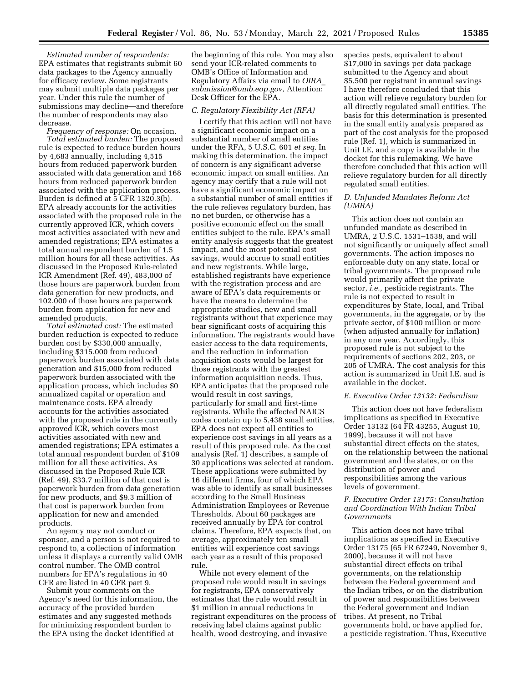*Estimated number of respondents:*  EPA estimates that registrants submit 60 data packages to the Agency annually for efficacy review. Some registrants may submit multiple data packages per year. Under this rule the number of submissions may decline—and therefore the number of respondents may also decrease.

*Frequency of response:* On occasion. *Total estimated burden:* The proposed rule is expected to reduce burden hours by 4,683 annually, including 4,515 hours from reduced paperwork burden associated with data generation and 168 hours from reduced paperwork burden associated with the application process. Burden is defined at 5 CFR 1320.3(b). EPA already accounts for the activities associated with the proposed rule in the currently approved ICR, which covers most activities associated with new and amended registrations; EPA estimates a total annual respondent burden of 1.5 million hours for all these activities. As discussed in the Proposed Rule-related ICR Amendment (Ref. 49), 483,000 of those hours are paperwork burden from data generation for new products, and 102,000 of those hours are paperwork burden from application for new and amended products.

*Total estimated cost:* The estimated burden reduction is expected to reduce burden cost by \$330,000 annually, including \$315,000 from reduced paperwork burden associated with data generation and \$15,000 from reduced paperwork burden associated with the application process, which includes \$0 annualized capital or operation and maintenance costs. EPA already accounts for the activities associated with the proposed rule in the currently approved ICR, which covers most activities associated with new and amended registrations; EPA estimates a total annual respondent burden of \$109 million for all these activities. As discussed in the Proposed Rule ICR (Ref. 49), \$33.7 million of that cost is paperwork burden from data generation for new products, and \$9.3 million of that cost is paperwork burden from application for new and amended products.

An agency may not conduct or sponsor, and a person is not required to respond to, a collection of information unless it displays a currently valid OMB control number. The OMB control numbers for EPA's regulations in 40 CFR are listed in 40 CFR part 9.

Submit your comments on the Agency's need for this information, the accuracy of the provided burden estimates and any suggested methods for minimizing respondent burden to the EPA using the docket identified at

the beginning of this rule. You may also send your ICR-related comments to OMB's Office of Information and Regulatory Affairs via email to *[OIRA](mailto:OIRA_submission@omb.eop.gov)*\_ *[submission@omb.eop.gov,](mailto:OIRA_submission@omb.eop.gov)* Attention: Desk Officer for the EPA.

#### *C. Regulatory Flexibility Act (RFA)*

I certify that this action will not have a significant economic impact on a substantial number of small entities under the RFA, 5 U.S.C. 601 *et seq.* In making this determination, the impact of concern is any significant adverse economic impact on small entities. An agency may certify that a rule will not have a significant economic impact on a substantial number of small entities if the rule relieves regulatory burden, has no net burden, or otherwise has a positive economic effect on the small entities subject to the rule. EPA's small entity analysis suggests that the greatest impact, and the most potential cost savings, would accrue to small entities and new registrants. While large, established registrants have experience with the registration process and are aware of EPA's data requirements or have the means to determine the appropriate studies, new and small registrants without that experience may bear significant costs of acquiring this information. The registrants would have easier access to the data requirements, and the reduction in information acquisition costs would be largest for those registrants with the greatest information acquisition needs. Thus, EPA anticipates that the proposed rule would result in cost savings, particularly for small and first-time registrants. While the affected NAICS codes contain up to 5,438 small entities, EPA does not expect all entities to experience cost savings in all years as a result of this proposed rule. As the cost analysis (Ref. 1) describes, a sample of 30 applications was selected at random. These applications were submitted by 16 different firms, four of which EPA was able to identify as small businesses according to the Small Business Administration Employees or Revenue Thresholds. About 60 packages are received annually by EPA for control claims. Therefore, EPA expects that, on average, approximately ten small entities will experience cost savings each year as a result of this proposed rule.

While not every element of the proposed rule would result in savings for registrants, EPA conservatively estimates that the rule would result in \$1 million in annual reductions in registrant expenditures on the process of receiving label claims against public health, wood destroying, and invasive

species pests, equivalent to about \$17,000 in savings per data package submitted to the Agency and about \$5,500 per registrant in annual savings I have therefore concluded that this action will relieve regulatory burden for all directly regulated small entities. The basis for this determination is presented in the small entity analysis prepared as part of the cost analysis for the proposed rule (Ref. 1), which is summarized in Unit I.E, and a copy is available in the docket for this rulemaking. We have therefore concluded that this action will relieve regulatory burden for all directly regulated small entities.

## *D. Unfunded Mandates Reform Act (UMRA)*

This action does not contain an unfunded mandate as described in UMRA, 2 U.S.C. 1531–1538, and will not significantly or uniquely affect small governments. The action imposes no enforceable duty on any state, local or tribal governments. The proposed rule would primarily affect the private sector, *i.e.,* pesticide registrants. The rule is not expected to result in expenditures by State, local, and Tribal governments, in the aggregate, or by the private sector, of \$100 million or more (when adjusted annually for inflation) in any one year. Accordingly, this proposed rule is not subject to the requirements of sections 202, 203, or 205 of UMRA. The cost analysis for this action is summarized in Unit I.E. and is available in the docket.

## *E. Executive Order 13132: Federalism*

This action does not have federalism implications as specified in Executive Order 13132 (64 FR 43255, August 10, 1999), because it will not have substantial direct effects on the states, on the relationship between the national government and the states, or on the distribution of power and responsibilities among the various levels of government.

#### *F. Executive Order 13175: Consultation and Coordination With Indian Tribal Governments*

This action does not have tribal implications as specified in Executive Order 13175 (65 FR 67249, November 9, 2000), because it will not have substantial direct effects on tribal governments, on the relationship between the Federal government and the Indian tribes, or on the distribution of power and responsibilities between the Federal government and Indian tribes. At present, no Tribal governments hold, or have applied for, a pesticide registration. Thus, Executive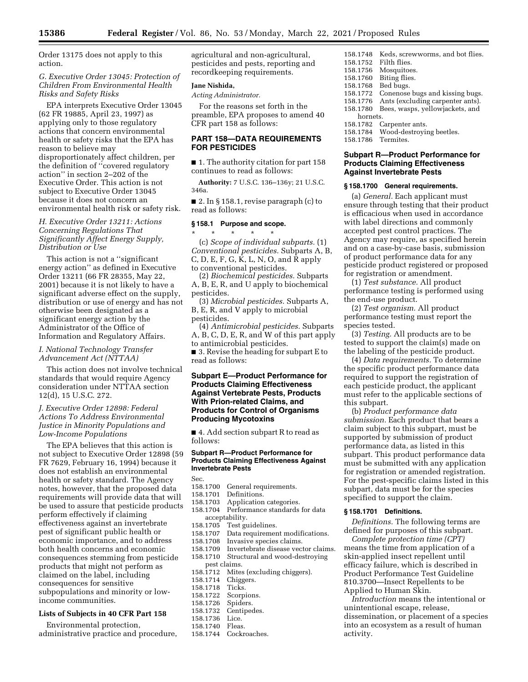Order 13175 does not apply to this action.

#### *G. Executive Order 13045: Protection of Children From Environmental Health Risks and Safety Risks*

EPA interprets Executive Order 13045 (62 FR 19885, April 23, 1997) as applying only to those regulatory actions that concern environmental health or safety risks that the EPA has reason to believe may disproportionately affect children, per the definition of ''covered regulatory action'' in section 2–202 of the Executive Order. This action is not subject to Executive Order 13045 because it does not concern an environmental health risk or safety risk.

## *H. Executive Order 13211: Actions Concerning Regulations That Significantly Affect Energy Supply, Distribution or Use*

This action is not a ''significant energy action'' as defined in Executive Order 13211 (66 FR 28355, May 22, 2001) because it is not likely to have a significant adverse effect on the supply, distribution or use of energy and has not otherwise been designated as a significant energy action by the Administrator of the Office of Information and Regulatory Affairs.

## *I. National Technology Transfer Advancement Act (NTTAA)*

This action does not involve technical standards that would require Agency consideration under NTTAA section 12(d), 15 U.S.C. 272.

## *J. Executive Order 12898: Federal Actions To Address Environmental Justice in Minority Populations and Low-Income Populations*

The EPA believes that this action is not subject to Executive Order 12898 (59 FR 7629, February 16, 1994) because it does not establish an environmental health or safety standard. The Agency notes, however, that the proposed data requirements will provide data that will be used to assure that pesticide products perform effectively if claiming effectiveness against an invertebrate pest of significant public health or economic importance, and to address both health concerns and economic consequences stemming from pesticide products that might not perform as claimed on the label, including consequences for sensitive subpopulations and minority or lowincome communities.

#### **Lists of Subjects in 40 CFR Part 158**

Environmental protection, administrative practice and procedure, agricultural and non-agricultural, pesticides and pests, reporting and recordkeeping requirements.

# **Jane Nishida,**

*Acting Administrator.* 

For the reasons set forth in the preamble, EPA proposes to amend 40 CFR part 158 as follows:

## **PART 158—DATA REQUIREMENTS FOR PESTICIDES**

■ 1. The authority citation for part 158 continues to read as follows:

**Authority:** 7 U.S.C. 136–136y; 21 U.S.C. 346a.

■ 2. In § 158.1, revise paragraph (c) to read as follows:

#### **§ 158.1 Purpose and scope.**

\* \* \* \* \* (c) *Scope of individual subparts.* (1) *Conventional pesticides.* Subparts A, B, C, D, E, F, G, K, L, N, O, and R apply to conventional pesticides.

(2) *Biochemical pesticides.* Subparts A, B, E, R, and U apply to biochemical pesticides.

(3) *Microbial pesticides.* Subparts A, B, E, R, and V apply to microbial pesticides.

(4) *Antimicrobial pesticides.* Subparts A, B, C, D, E, R, and W of this part apply to antimicrobial pesticides.

■ 3. Revise the heading for subpart E to read as follows:

## **Subpart E—Product Performance for Products Claiming Effectiveness Against Vertebrate Pests, Products With Prion-related Claims, and Products for Control of Organisms Producing Mycotoxins**

■ 4. Add section subpart R to read as follows:

## **Subpart R—Product Performance for Products Claiming Effectiveness Against Invertebrate Pests**

- Sec.<br>158.1700 General requirements.
- 
- 158.1701 Definitions.<br>158.1703 Application
- 158.1703 Application categories.<br>158.1704 Performance standards Performance standards for data
- acceptability.<br>158.1705 Test gu
- 158.1705 Test guidelines.<br>158.1707 Data requirement
- 158.1707 Data requirement modifications.<br>158.1708 Invasive species claims.
- 158.1708 Invasive species claims.<br>158.1709 Invertebrate disease vec
- 158.1709 Invertebrate disease vector claims.<br>158.1710 Structural and wood-destroving Structural and wood-destroying
- pest claims.<br>158.1712 Mites
- 158.1712 Mites (excluding chiggers).<br>158.1714 Chiggers. Chiggers.
- 
- 158.1718 Ticks.<br>158.1722 Scorp
- Scorpions.<br>Spiders.
- 158.1726<br>158.1732 Centipedes.<br>Lice.
- 
- 158.1736 Lice.<br>158.1740 Fleas. 158.1740<br>158.1744
- Cockroaches.
- 158.1748 Keds, screwworms, and bot flies. 158.1752 Filth flies. 158.1756 Mosquitoes.<br>158.1760 Biting flies. Biting flies. 158.1768 Bed bugs. Conenose bugs and kissing bugs. 158.1776 Ants (excluding carpenter ants). 158.1780 Bees, wasps, yellowjackets, and hornets. 158.1782 Carpenter ants.
- Wood-destroying beetles.
- 158.1786 Termites.

## **Subpart R—Product Performance for Products Claiming Effectiveness Against Invertebrate Pests**

#### **§ 158.1700 General requirements.**

(a) *General.* Each applicant must ensure through testing that their product is efficacious when used in accordance with label directions and commonly accepted pest control practices. The Agency may require, as specified herein and on a case-by-case basis, submission of product performance data for any pesticide product registered or proposed for registration or amendment.

(1) *Test substance.* All product performance testing is performed using the end-use product.

(2) *Test organism.* All product performance testing must report the species tested.

(3) *Testing.* All products are to be tested to support the claim(s) made on the labeling of the pesticide product.

(4) *Data requirements.* To determine the specific product performance data required to support the registration of each pesticide product, the applicant must refer to the applicable sections of this subpart.

(b) *Product performance data submission.* Each product that bears a claim subject to this subpart, must be supported by submission of product performance data, as listed in this subpart. This product performance data must be submitted with any application for registration or amended registration. For the pest-specific claims listed in this subpart, data must be for the species specified to support the claim.

#### **§ 158.1701 Definitions.**

*Definitions.* The following terms are defined for purposes of this subpart.

*Complete protection time (CPT)*  means the time from application of a skin-applied insect repellent until efficacy failure, which is described in Product Performance Test Guideline 810.3700—Insect Repellents to be Applied to Human Skin.

*Introduction* means the intentional or unintentional escape, release, dissemination, or placement of a species into an ecosystem as a result of human activity.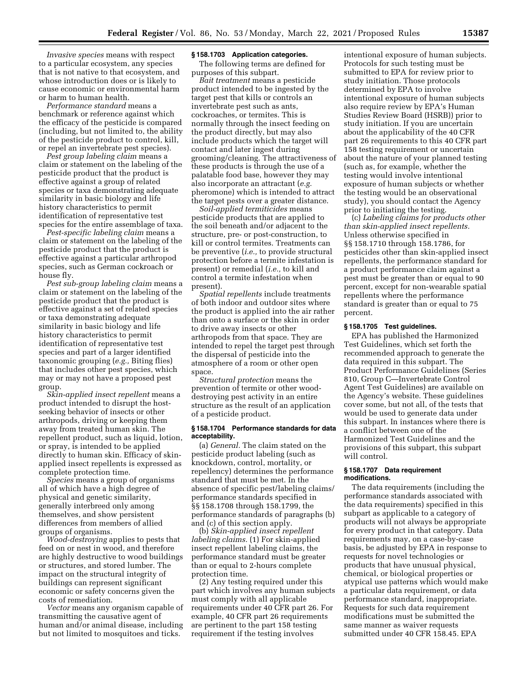*Invasive species* means with respect to a particular ecosystem, any species that is not native to that ecosystem, and whose introduction does or is likely to cause economic or environmental harm or harm to human health.

*Performance standard* means a benchmark or reference against which the efficacy of the pesticide is compared (including, but not limited to, the ability of the pesticide product to control, kill, or repel an invertebrate pest species).

*Pest group labeling claim* means a claim or statement on the labeling of the pesticide product that the product is effective against a group of related species or taxa demonstrating adequate similarity in basic biology and life history characteristics to permit identification of representative test species for the entire assemblage of taxa.

*Pest-specific labeling claim* means a claim or statement on the labeling of the pesticide product that the product is effective against a particular arthropod species, such as German cockroach or house fly.

*Pest sub-group labeling claim* means a claim or statement on the labeling of the pesticide product that the product is effective against a set of related species or taxa demonstrating adequate similarity in basic biology and life history characteristics to permit identification of representative test species and part of a larger identified taxonomic grouping (*e.g.,* Biting flies) that includes other pest species, which may or may not have a proposed pest group.

*Skin-applied insect repellent* means a product intended to disrupt the hostseeking behavior of insects or other arthropods, driving or keeping them away from treated human skin. The repellent product, such as liquid, lotion, or spray, is intended to be applied directly to human skin. Efficacy of skinapplied insect repellents is expressed as complete protection time.

*Species* means a group of organisms all of which have a high degree of physical and genetic similarity, generally interbreed only among themselves, and show persistent differences from members of allied groups of organisms.

*Wood-destroying* applies to pests that feed on or nest in wood, and therefore are highly destructive to wood buildings or structures, and stored lumber. The impact on the structural integrity of buildings can represent significant economic or safety concerns given the costs of remediation.

*Vector* means any organism capable of transmitting the causative agent of human and/or animal disease, including but not limited to mosquitoes and ticks.

#### **§ 158.1703 Application categories.**

The following terms are defined for purposes of this subpart.

*Bait treatment* means a pesticide product intended to be ingested by the target pest that kills or controls an invertebrate pest such as ants, cockroaches, or termites. This is normally through the insect feeding on the product directly, but may also include products which the target will contact and later ingest during grooming/cleaning. The attractiveness of these products is through the use of a palatable food base, however they may also incorporate an attractant (*e.g.*  pheromone) which is intended to attract the target pests over a greater distance.

*Soil-applied termiticides* means pesticide products that are applied to the soil beneath and/or adjacent to the structure, pre- or post-construction, to kill or control termites. Treatments can be preventive (*i.e.,* to provide structural protection before a termite infestation is present) or remedial (*i.e.,* to kill and control a termite infestation when present).

*Spatial repellents* include treatments of both indoor and outdoor sites where the product is applied into the air rather than onto a surface or the skin in order to drive away insects or other arthropods from that space. They are intended to repel the target pest through the dispersal of pesticide into the atmosphere of a room or other open space.

*Structural protection* means the prevention of termite or other wooddestroying pest activity in an entire structure as the result of an application of a pesticide product.

#### **§ 158.1704 Performance standards for data acceptability.**

(a) *General.* The claim stated on the pesticide product labeling (such as knockdown, control, mortality, or repellency) determines the performance standard that must be met. In the absence of specific pest/labeling claims/ performance standards specified in §§ 158.1708 through 158.1799, the performance standards of paragraphs (b) and (c) of this section apply.

(b) *Skin-applied insect repellent labeling claims.* (1) For skin-applied insect repellent labeling claims, the performance standard must be greater than or equal to 2-hours complete protection time.

(2) Any testing required under this part which involves any human subjects must comply with all applicable requirements under 40 CFR part 26. For example, 40 CFR part 26 requirements are pertinent to the part 158 testing requirement if the testing involves

intentional exposure of human subjects. Protocols for such testing must be submitted to EPA for review prior to study initiation. Those protocols determined by EPA to involve intentional exposure of human subjects also require review by EPA's Human Studies Review Board (HSRB)) prior to study initiation. If you are uncertain about the applicability of the 40 CFR part 26 requirements to this 40 CFR part 158 testing requirement or uncertain about the nature of your planned testing (such as, for example, whether the testing would involve intentional exposure of human subjects or whether the testing would be an observational study), you should contact the Agency prior to initiating the testing.

(c) *Labeling claims for products other than skin-applied insect repellents.*  Unless otherwise specified in §§ 158.1710 through 158.1786, for pesticides other than skin-applied insect repellents, the performance standard for a product performance claim against a pest must be greater than or equal to 90 percent, except for non-wearable spatial repellents where the performance standard is greater than or equal to 75 percent.

## **§ 158.1705 Test guidelines.**

EPA has published the Harmonized Test Guidelines, which set forth the recommended approach to generate the data required in this subpart. The Product Performance Guidelines (Series 810, Group C—Invertebrate Control Agent Test Guidelines) are available on the Agency's website. These guidelines cover some, but not all, of the tests that would be used to generate data under this subpart. In instances where there is a conflict between one of the Harmonized Test Guidelines and the provisions of this subpart, this subpart will control.

#### **§ 158.1707 Data requirement modifications.**

The data requirements (including the performance standards associated with the data requirements) specified in this subpart as applicable to a category of products will not always be appropriate for every product in that category. Data requirements may, on a case-by-case basis, be adjusted by EPA in response to requests for novel technologies or products that have unusual physical, chemical, or biological properties or atypical use patterns which would make a particular data requirement, or data performance standard, inappropriate. Requests for such data requirement modifications must be submitted the same manner as waiver requests submitted under 40 CFR 158.45. EPA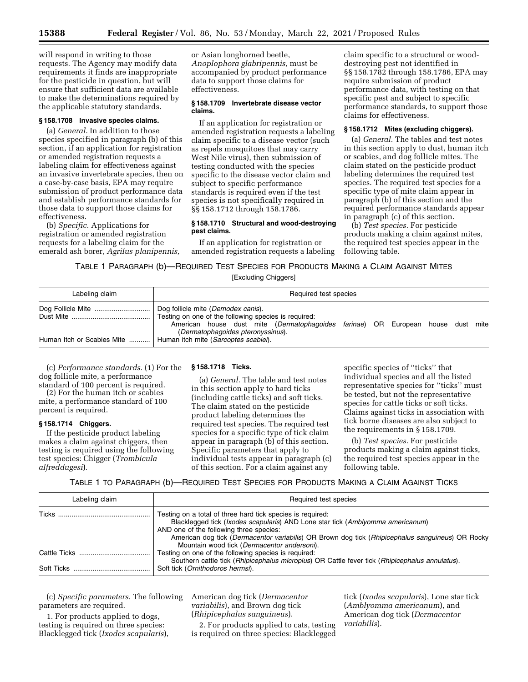will respond in writing to those requests. The Agency may modify data requirements it finds are inappropriate for the pesticide in question, but will ensure that sufficient data are available to make the determinations required by the applicable statutory standards.

#### **§ 158.1708 Invasive species claims.**

(a) *General.* In addition to those species specified in paragraph (b) of this section, if an application for registration or amended registration requests a labeling claim for effectiveness against an invasive invertebrate species, then on a case-by-case basis, EPA may require submission of product performance data and establish performance standards for those data to support those claims for effectiveness.

(b) *Specific.* Applications for registration or amended registration requests for a labeling claim for the emerald ash borer, *Agrilus planipennis,*  or Asian longhorned beetle, *Anoplophora glabripennis,* must be accompanied by product performance data to support those claims for effectiveness.

#### **§ 158.1709 Invertebrate disease vector claims.**

If an application for registration or amended registration requests a labeling claim specific to a disease vector (such as repels mosquitoes that may carry West Nile virus), then submission of testing conducted with the species specific to the disease vector claim and subject to specific performance standards is required even if the test species is not specifically required in §§ 158.1712 through 158.1786.

## **§ 158.1710 Structural and wood-destroying pest claims.**

If an application for registration or amended registration requests a labeling

claim specific to a structural or wooddestroying pest not identified in §§ 158.1782 through 158.1786, EPA may require submission of product performance data, with testing on that specific pest and subject to specific performance standards, to support those claims for effectiveness.

## **§ 158.1712 Mites (excluding chiggers).**

(a) *General.* The tables and test notes in this section apply to dust, human itch or scabies, and dog follicle mites. The claim stated on the pesticide product labeling determines the required test species. The required test species for a specific type of mite claim appear in paragraph (b) of this section and the required performance standards appear in paragraph (c) of this section.

(b) *Test species.* For pesticide products making a claim against mites, the required test species appear in the following table.

TABLE 1 PARAGRAPH (b)—REQUIRED TEST SPECIES FOR PRODUCTS MAKING A CLAIM AGAINST MITES [Excluding Chiggers]

| Labeling claim             | Required test species                                                                                                                                                                                              |
|----------------------------|--------------------------------------------------------------------------------------------------------------------------------------------------------------------------------------------------------------------|
|                            | Dog follicle mite (Demodex canis).<br>Testing on one of the following species is required:<br>American house dust mite (Dermatophagoides farinae) OR European house dust mite<br>(Dermatophagoides pteronyssinus). |
| Human Itch or Scabies Mite | Human itch mite (Sarcoptes scabiei).                                                                                                                                                                               |

(c) *Performance standards.* (1) For the dog follicle mite, a performance standard of 100 percent is required.

(2) For the human itch or scabies mite, a performance standard of 100 percent is required.

#### **§ 158.1714 Chiggers.**

If the pesticide product labeling makes a claim against chiggers, then testing is required using the following test species: Chigger (*Trombicula alfreddugesi*).

#### **§ 158.1718 Ticks.**

(a) *General.* The table and test notes in this section apply to hard ticks (including cattle ticks) and soft ticks. The claim stated on the pesticide product labeling determines the required test species. The required test species for a specific type of tick claim appear in paragraph (b) of this section. Specific parameters that apply to individual tests appear in paragraph (c) of this section. For a claim against any

specific species of ''ticks'' that individual species and all the listed representative species for ''ticks'' must be tested, but not the representative species for cattle ticks or soft ticks. Claims against ticks in association with tick borne diseases are also subject to the requirements in § 158.1709.

(b) *Test species.* For pesticide products making a claim against ticks, the required test species appear in the following table.

TABLE 1 TO PARAGRAPH (b)—REQUIRED TEST SPECIES FOR PRODUCTS MAKING A CLAIM AGAINST TICKS

| Labeling claim | Required test species                                                                                                                                                                                     |
|----------------|-----------------------------------------------------------------------------------------------------------------------------------------------------------------------------------------------------------|
|                | Testing on a total of three hard tick species is required:<br>Blacklegged tick ( <i>Ixodes scapularis</i> ) AND Lone star tick ( <i>Amblyomma americanum</i> )<br>AND one of the following three species: |
|                | American dog tick (Dermacentor variabilis) OR Brown dog tick (Rhipicephalus sanguineus) OR Rocky<br>Mountain wood tick (Dermacentor andersoni).                                                           |
|                | Testing on one of the following species is required:<br>Southern cattle tick (Rhipicephalus microplus) OR Cattle fever tick (Rhipicephalus annulatus).                                                    |
|                | Soft tick (Ornithodoros hermsi).                                                                                                                                                                          |

(c) *Specific parameters.* The following parameters are required.

1. For products applied to dogs, testing is required on three species: Blacklegged tick (*Ixodes scapularis*), American dog tick (*Dermacentor variabilis*), and Brown dog tick (*Rhipicephalus sanguineus*).

2. For products applied to cats, testing is required on three species: Blacklegged

tick (*Ixodes scapularis*), Lone star tick (*Amblyomma americanum*), and American dog tick (*Dermacentor variabilis*).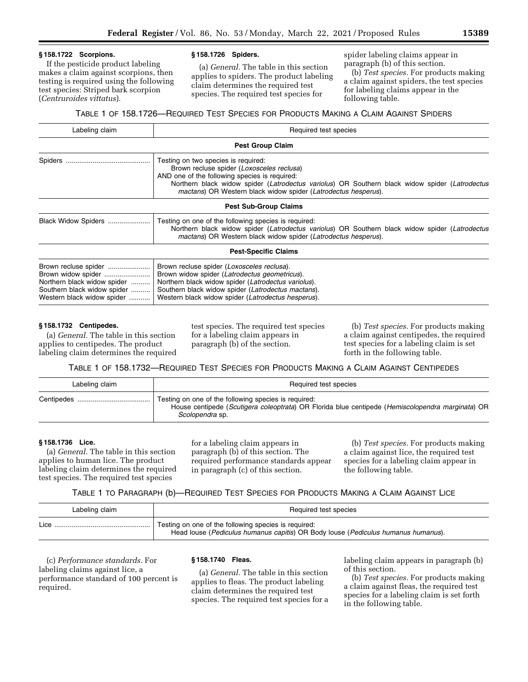# **§ 158.1722 Scorpions.**

If the pesticide product labeling makes a claim against scorpions, then testing is required using the following test species: Striped bark scorpion (*Centruroides vittatus*).

#### **§ 158.1726 Spiders.**

(a) *General.* The table in this section applies to spiders. The product labeling claim determines the required test species. The required test species for

spider labeling claims appear in paragraph (b) of this section.

(b) *Test species.* For products making a claim against spiders, the test species for labeling claims appear in the following table.

TABLE 1 OF 158.1726—REQUIRED TEST SPECIES FOR PRODUCTS MAKING A CLAIM AGAINST SPIDERS

| Labeling claim                                                                                                                         | Required test species                                                                                                                                                                                                                                                                                 |  |  |
|----------------------------------------------------------------------------------------------------------------------------------------|-------------------------------------------------------------------------------------------------------------------------------------------------------------------------------------------------------------------------------------------------------------------------------------------------------|--|--|
| <b>Pest Group Claim</b>                                                                                                                |                                                                                                                                                                                                                                                                                                       |  |  |
|                                                                                                                                        | Testing on two species is required:<br>Brown recluse spider (Loxosceles reclusa)<br>AND one of the following species is required:<br>Northern black widow spider (Latrodectus variolus) OR Southern black widow spider (Latrodectus<br>mactans) OR Western black widow spider (Latrodectus hesperus). |  |  |
|                                                                                                                                        | <b>Pest Sub-Group Claims</b>                                                                                                                                                                                                                                                                          |  |  |
| Black Widow Spiders                                                                                                                    | Testing on one of the following species is required:<br>Northern black widow spider (Latrodectus variolus) OR Southern black widow spider (Latrodectus<br>mactans) OR Western black widow spider (Latrodectus hesperus).                                                                              |  |  |
|                                                                                                                                        | <b>Pest-Specific Claims</b>                                                                                                                                                                                                                                                                           |  |  |
| Brown recluse spider<br>Brown widow spider<br>Northern black widow spider<br>Southern black widow spider<br>Western black widow spider | Brown recluse spider (Loxosceles reclusa).<br>Brown widow spider (Latrodectus geometricus).<br>Northern black widow spider (Latrodectus variolus).<br>Southern black widow spider (Latrodectus mactans).<br>Western black widow spider (Latrodectus hesperus).                                        |  |  |

# **§ 158.1732 Centipedes.**

(a) *General.* The table in this section applies to centipedes. The product labeling claim determines the required test species. The required test species for a labeling claim appears in paragraph (b) of the section.

(b) *Test species.* For products making a claim against centipedes, the required test species for a labeling claim is set forth in the following table.

TABLE 1 OF 158.1732—REQUIRED TEST SPECIES FOR PRODUCTS MAKING A CLAIM AGAINST CENTIPEDES

| Labeling claim | Required test species                                                                                                                                                       |
|----------------|-----------------------------------------------------------------------------------------------------------------------------------------------------------------------------|
|                | Testing on one of the following species is required:<br>House centipede (Scutigera coleoptrata) OR Florida blue centipede (Hemiscolopendra marginata) OR<br>Scolopendra sp. |

## **§ 158.1736 Lice.**

(a) *General.* The table in this section applies to human lice. The product labeling claim determines the required test species. The required test species

for a labeling claim appears in paragraph (b) of this section. The required performance standards appear in paragraph (c) of this section.

(b) *Test species.* For products making a claim against lice, the required test species for a labeling claim appear in the following table.

## TABLE 1 TO PARAGRAPH (b)—REQUIRED TEST SPECIES FOR PRODUCTS MAKING A CLAIM AGAINST LICE

| Labeling claim | Required test species                                                                                                                     |
|----------------|-------------------------------------------------------------------------------------------------------------------------------------------|
| Lice           | Testing on one of the following species is required:<br>Head louse (Pediculus humanus capitis) OR Body louse (Pediculus humanus humanus). |

(c) *Performance standards.* For labeling claims against lice, a performance standard of 100 percent is required.

## **§ 158.1740 Fleas.**

(a) *General.* The table in this section applies to fleas. The product labeling claim determines the required test species. The required test species for a labeling claim appears in paragraph (b) of this section.

(b) *Test species.* For products making a claim against fleas, the required test species for a labeling claim is set forth in the following table.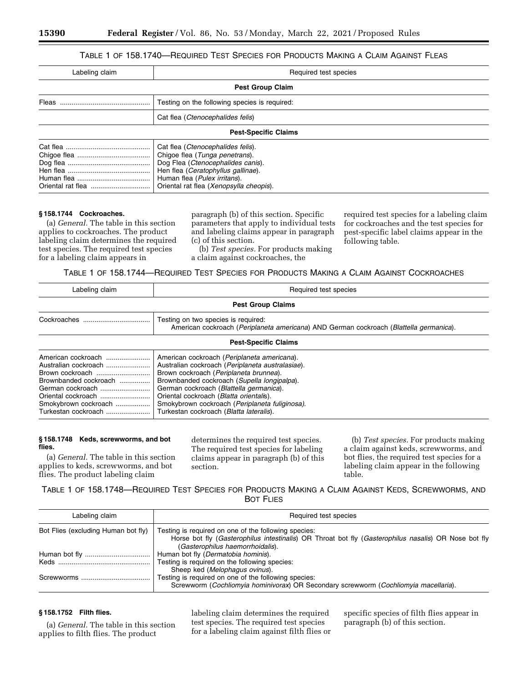# TABLE 1 OF 158.1740—REQUIRED TEST SPECIES FOR PRODUCTS MAKING A CLAIM AGAINST FLEAS

| Labeling claim              | Required test species                                                                                                                                                                                                     |  |
|-----------------------------|---------------------------------------------------------------------------------------------------------------------------------------------------------------------------------------------------------------------------|--|
| <b>Pest Group Claim</b>     |                                                                                                                                                                                                                           |  |
|                             | Testing on the following species is required:                                                                                                                                                                             |  |
|                             | Cat flea (Ctenocephalides felis)                                                                                                                                                                                          |  |
| <b>Pest-Specific Claims</b> |                                                                                                                                                                                                                           |  |
|                             | Cat flea (Ctenocephalides felis).<br>Chigoe flea (Tunga penetrans).<br>Dog Flea (Ctenocephalides canis).<br>Hen flea (Ceratophyllus gallinae).<br>Human flea (Pulex irritans).<br>Oriental rat flea (Xenopsylla cheopis). |  |

## **§ 158.1744 Cockroaches.**

(a) *General.* The table in this section applies to cockroaches. The product labeling claim determines the required test species. The required test species for a labeling claim appears in

paragraph (b) of this section. Specific parameters that apply to individual tests and labeling claims appear in paragraph (c) of this section.

(b) *Test species.* For products making a claim against cockroaches, the

required test species for a labeling claim for cockroaches and the test species for pest-specific label claims appear in the following table.

TABLE 1 OF 158.1744—REQUIRED TEST SPECIES FOR PRODUCTS MAKING A CLAIM AGAINST COCKROACHES

| Labeling claim                                                                                                                                                                  | Required test species                                                                                                                                                                                                                                                                                                                                                       |  |
|---------------------------------------------------------------------------------------------------------------------------------------------------------------------------------|-----------------------------------------------------------------------------------------------------------------------------------------------------------------------------------------------------------------------------------------------------------------------------------------------------------------------------------------------------------------------------|--|
|                                                                                                                                                                                 | <b>Pest Group Claims</b>                                                                                                                                                                                                                                                                                                                                                    |  |
|                                                                                                                                                                                 | Testing on two species is required:<br>American cockroach (Periplaneta americana) AND German cockroach (Blattella germanica).                                                                                                                                                                                                                                               |  |
| <b>Pest-Specific Claims</b>                                                                                                                                                     |                                                                                                                                                                                                                                                                                                                                                                             |  |
| American cockroach<br>Australian cockroach<br>Brown cockroach<br>Brownbanded cockroach<br>German cockroach<br>Oriental cockroach<br>Smokybrown cockroach<br>Turkestan cockroach | American cockroach (Periplaneta americana).<br>Australian cockroach (Periplaneta australasiae).<br>Brown cockroach (Periplaneta brunnea).<br>Brownbanded cockroach (Supella longipalpa).<br>German cockroach (Blattella germanica).<br>Oriental cockroach (Blatta orientalis).<br>Smokybrown cockroach (Periplaneta fuliginosa).<br>Turkestan cockroach (Blatta lateralis). |  |

## **§ 158.1748 Keds, screwworms, and bot flies.**

(a) *General.* The table in this section applies to keds, screwworms, and bot flies. The product labeling claim

determines the required test species. The required test species for labeling claims appear in paragraph (b) of this section.

(b) *Test species.* For products making a claim against keds, screwworms, and bot flies, the required test species for a labeling claim appear in the following table.

TABLE 1 OF 158.1748—REQUIRED TEST SPECIES FOR PRODUCTS MAKING A CLAIM AGAINST KEDS, SCREWWORMS, AND BOT FLIES

| Labeling claim                      | Required test species                                                                                                                                                                            |
|-------------------------------------|--------------------------------------------------------------------------------------------------------------------------------------------------------------------------------------------------|
| Bot Flies (excluding Human bot fly) | Testing is required on one of the following species:<br>Horse bot fly (Gasterophilus intestinalis) OR Throat bot fly (Gasterophilus nasalis) OR Nose bot fly<br>(Gasterophilus haemorrhoidalis). |
|                                     | Human bot fly (Dermatobia hominis).<br>Testing is required on the following species:                                                                                                             |
|                                     | Sheep ked (Melophagus ovinus).<br>Testing is required on one of the following species:<br>Screwworm (Cochliomyia hominivorax) OR Secondary screwworm (Cochliomyia macellaria).                   |

# **§ 158.1752 Filth flies.**

(a) *General.* The table in this section applies to filth flies. The product

labeling claim determines the required test species. The required test species for a labeling claim against filth flies or

specific species of filth flies appear in paragraph (b) of this section.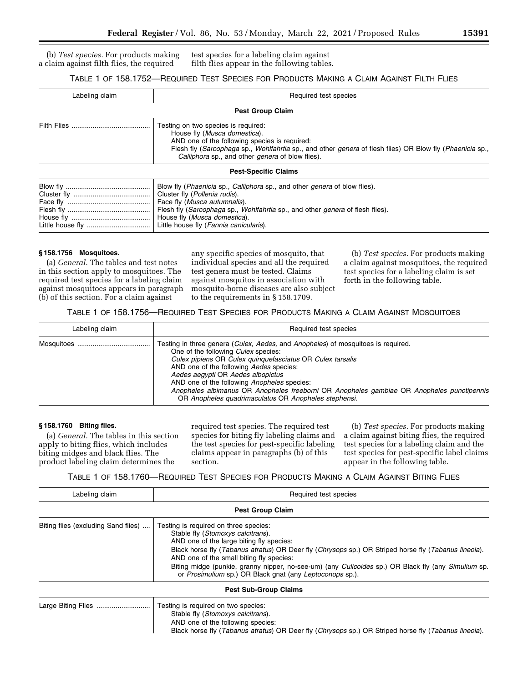(b) *Test species.* For products making a claim against filth flies, the required test species for a labeling claim against filth flies appear in the following tables.

# TABLE 1 OF 158.1752—REQUIRED TEST SPECIES FOR PRODUCTS MAKING A CLAIM AGAINST FILTH FLIES

| Labeling claim | Required test species                                                                                                                                                                                                                                                                                                       |
|----------------|-----------------------------------------------------------------------------------------------------------------------------------------------------------------------------------------------------------------------------------------------------------------------------------------------------------------------------|
|                | <b>Pest Group Claim</b>                                                                                                                                                                                                                                                                                                     |
|                | Testing on two species is required:<br>House fly (Musca domestica).<br>AND one of the following species is required:<br>Flesh fly (Sarcophaga sp., Wohlfahrtia sp., and other genera of flesh flies) OR Blow fly (Phaenicia sp.,<br>Calliphora sp., and other genera of blow flies).                                        |
|                | <b>Pest-Specific Claims</b>                                                                                                                                                                                                                                                                                                 |
|                | Blow fly ( <i>Phaenicia</i> sp., <i>Calliphora</i> sp., and other <i>genera</i> of blow flies).<br>Cluster fly (Pollenia rudis).<br>Face fly (Musca autumnalis).<br>Flesh fly (Sarcophaga sp., Wohlfahrtia sp., and other genera of flesh flies).<br>House fly (Musca domestica).<br>Little house fly (Fannia canicularis). |

## **§ 158.1756 Mosquitoes.**

(a) *General.* The tables and test notes in this section apply to mosquitoes. The required test species for a labeling claim against mosquitoes appears in paragraph (b) of this section. For a claim against

any specific species of mosquito, that individual species and all the required test genera must be tested. Claims against mosquitos in association with mosquito-borne diseases are also subject to the requirements in § 158.1709.

(b) *Test species.* For products making a claim against mosquitoes, the required test species for a labeling claim is set forth in the following table.

# TABLE 1 OF 158.1756—REQUIRED TEST SPECIES FOR PRODUCTS MAKING A CLAIM AGAINST MOSQUITOES

| Labeling claim | Required test species                                                                                                                                                                                                                                                                                                                                                                                                                                                           |
|----------------|---------------------------------------------------------------------------------------------------------------------------------------------------------------------------------------------------------------------------------------------------------------------------------------------------------------------------------------------------------------------------------------------------------------------------------------------------------------------------------|
|                | Testing in three genera (Culex, Aedes, and Anopheles) of mosquitoes is required.<br>One of the following <i>Culex</i> species:<br>Culex pipiens OR Culex quinquefasciatus OR Culex tarsalis<br>AND one of the following Aedes species:<br>Aedes aegypti OR Aedes albopictus<br>AND one of the following Anopheles species:<br>Anopheles albimanus OR Anopheles freeborni OR Anopheles gambiae OR Anopheles punctipennis<br>OR Anopheles quadrimaculatus OR Anopheles stephensi. |

## **§ 158.1760 Biting flies.**

(a) *General.* The tables in this section apply to biting flies, which includes biting midges and black flies. The product labeling claim determines the

required test species. The required test species for biting fly labeling claims and the test species for pest-specific labeling claims appear in paragraphs (b) of this section.

(b) *Test species.* For products making a claim against biting flies, the required test species for a labeling claim and the test species for pest-specific label claims appear in the following table.

TABLE 1 OF 158.1760—REQUIRED TEST SPECIES FOR PRODUCTS MAKING A CLAIM AGAINST BITING FLIES

| Labeling claim                      | Required test species                                                                                                                                                                                                                                                                                                                                                                                                                                       |
|-------------------------------------|-------------------------------------------------------------------------------------------------------------------------------------------------------------------------------------------------------------------------------------------------------------------------------------------------------------------------------------------------------------------------------------------------------------------------------------------------------------|
|                                     | <b>Pest Group Claim</b>                                                                                                                                                                                                                                                                                                                                                                                                                                     |
| Biting flies (excluding Sand flies) | Testing is required on three species:<br>Stable fly (Stomoxys calcitrans).<br>AND one of the large biting fly species:<br>Black horse fly (Tabanus atratus) OR Deer fly (Chrysops sp.) OR Striped horse fly (Tabanus lineola).<br>AND one of the small biting fly species:<br>Biting midge (punkie, granny nipper, no-see-um) (any <i>Culicoides</i> sp.) OR Black fly (any <i>Simulium</i> sp.<br>or Prosimulium sp.) OR Black gnat (any Leptoconops sp.). |
|                                     | <b>Pest Sub-Group Claims</b>                                                                                                                                                                                                                                                                                                                                                                                                                                |
|                                     | Testing is required on two species:                                                                                                                                                                                                                                                                                                                                                                                                                         |

# Stable fly (*Stomoxys calcitrans*). AND one of the following species: Black horse fly (*Tabanus atratus*) OR Deer fly (*Chrysops* sp.) OR Striped horse fly (*Tabanus lineola*).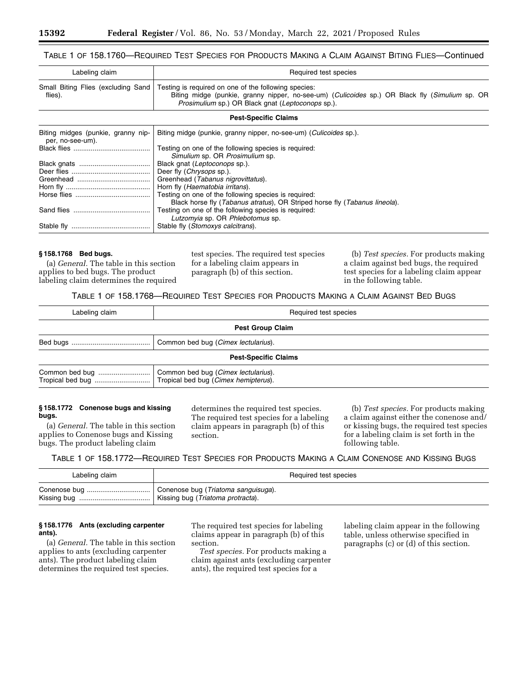# TABLE 1 OF 158.1760—REQUIRED TEST SPECIES FOR PRODUCTS MAKING A CLAIM AGAINST BITING FLIES—Continued

| Labeling claim | Required test species                                                                                                                                                                                                                                                 |
|----------------|-----------------------------------------------------------------------------------------------------------------------------------------------------------------------------------------------------------------------------------------------------------------------|
| flies).        | Small Biting Flies (excluding Sand Testing is required on one of the following species:<br>Biting midge (punkie, granny nipper, no-see-um) ( <i>Culicoides</i> sp.) OR Black fly ( <i>Simulium</i> sp. OR<br><i>Prosimulium</i> sp.) OR Black gnat (Leptoconops sp.). |

#### **Pest-Specific Claims**

| Biting midges (punkie, granny nip-<br>per, no-see-um). | Biting midge (punkie, granny nipper, no-see-um) (Culicoides sp.).          |
|--------------------------------------------------------|----------------------------------------------------------------------------|
|                                                        | Testing on one of the following species is required:                       |
|                                                        | Simulium sp. OR Prosimulium sp.                                            |
|                                                        | Black gnat (Leptoconops sp.).                                              |
|                                                        | Deer fly ( <i>Chrysops</i> sp.).                                           |
|                                                        | Greenhead (Tabanus nigrovittatus).                                         |
|                                                        | Horn fly (Haematobia irritans).                                            |
|                                                        | Testing on one of the following species is required:                       |
|                                                        | Black horse fly (Tabanus atratus), OR Striped horse fly (Tabanus lineola). |
|                                                        | Testing on one of the following species is required:                       |
|                                                        | Lutzomyia sp. OR Phlebotomus sp.                                           |
|                                                        | Stable fly (Stomoxys calcitrans).                                          |
|                                                        |                                                                            |

#### **§ 158.1768 Bed bugs.**

(a) *General.* The table in this section applies to bed bugs. The product labeling claim determines the required test species. The required test species for a labeling claim appears in paragraph (b) of this section.

(b) *Test species.* For products making a claim against bed bugs, the required test species for a labeling claim appear in the following table.

TABLE 1 OF 158.1768—REQUIRED TEST SPECIES FOR PRODUCTS MAKING A CLAIM AGAINST BED BUGS

| Labeling claim          | Required test species                                                       |
|-------------------------|-----------------------------------------------------------------------------|
| <b>Pest Group Claim</b> |                                                                             |
|                         | Common bed bug (Cimex lectularius).                                         |
|                         | <b>Pest-Specific Claims</b>                                                 |
|                         | Common bed bug (Cimex lectularius).<br>Tropical bed bug (Cimex hemipterus). |

#### **§ 158.1772 Conenose bugs and kissing bugs.**

(a) *General.* The table in this section applies to Conenose bugs and Kissing bugs. The product labeling claim

determines the required test species. The required test species for a labeling claim appears in paragraph (b) of this section.

(b) *Test species.* For products making a claim against either the conenose and/ or kissing bugs, the required test species for a labeling claim is set forth in the following table.

TABLE 1 OF 158.1772—REQUIRED TEST SPECIES FOR PRODUCTS MAKING A CLAIM CONENOSE AND KISSING BUGS

| Labeling claim | Required test species               |
|----------------|-------------------------------------|
|                | Conenose bug (Triatoma sanguisuga). |
|                | Kissing bug (Triatoma protracta).   |

#### **§ 158.1776 Ants (excluding carpenter ants).**

(a) *General.* The table in this section applies to ants (excluding carpenter ants). The product labeling claim determines the required test species.

The required test species for labeling claims appear in paragraph (b) of this section.

*Test species.* For products making a claim against ants (excluding carpenter ants), the required test species for a

labeling claim appear in the following table, unless otherwise specified in paragraphs (c) or (d) of this section.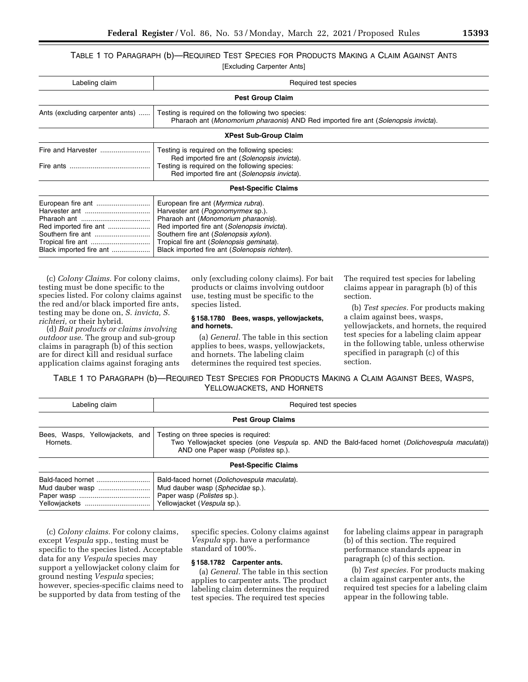TABLE 1 TO PARAGRAPH (b)—REQUIRED TEST SPECIES FOR PRODUCTS MAKING A CLAIM AGAINST ANTS [Excluding Carpenter Ants]

| Labeling claim                                                        | Required test species                                                                                                                                                                                                                                                                                 |
|-----------------------------------------------------------------------|-------------------------------------------------------------------------------------------------------------------------------------------------------------------------------------------------------------------------------------------------------------------------------------------------------|
|                                                                       | <b>Pest Group Claim</b>                                                                                                                                                                                                                                                                               |
| Ants (excluding carpenter ants)                                       | Testing is required on the following two species:<br>Pharaoh ant (Monomorium pharaonis) AND Red imported fire ant (Solenopsis invicta).                                                                                                                                                               |
|                                                                       | <b>XPest Sub-Group Claim</b>                                                                                                                                                                                                                                                                          |
|                                                                       | Testing is required on the following species:<br>Red imported fire ant (Solenopsis invicta).<br>Testing is required on the following species:<br>Red imported fire ant (Solenopsis invicta).                                                                                                          |
|                                                                       | <b>Pest-Specific Claims</b>                                                                                                                                                                                                                                                                           |
| European fire ant<br>Red imported fire ant<br>Black imported fire ant | European fire ant (Myrmica rubra).<br>Harvester ant (Pogonomyrmex sp.).<br>Pharaoh ant (Monomorium pharaonis).<br>Red imported fire ant (Solenopsis invicta).<br>Southern fire ant (Solenopsis xyloni).<br>Tropical fire ant (Solenopsis geminata).<br>Black imported fire ant (Solenopsis richteri). |

(c) *Colony Claims.* For colony claims, testing must be done specific to the species listed. For colony claims against the red and/or black imported fire ants, testing may be done on, *S. invicta, S. richteri,* or their hybrid.

(d) *Bait products or claims involving outdoor use.* The group and sub-group claims in paragraph (b) of this section are for direct kill and residual surface application claims against foraging ants only (excluding colony claims). For bait products or claims involving outdoor use, testing must be specific to the species listed.

#### **§ 158.1780 Bees, wasps, yellowjackets, and hornets.**

(a) *General.* The table in this section applies to bees, wasps, yellowjackets, and hornets. The labeling claim determines the required test species.

The required test species for labeling claims appear in paragraph (b) of this section.

(b) *Test species.* For products making a claim against bees, wasps, yellowjackets, and hornets, the required test species for a labeling claim appear in the following table, unless otherwise specified in paragraph (c) of this section.

TABLE 1 TO PARAGRAPH (b)—REQUIRED TEST SPECIES FOR PRODUCTS MAKING A CLAIM AGAINST BEES, WASPS, YELLOWJACKETS, AND HORNETS

| Labeling claim                              | Required test species                                                                                                                                                                 |  |
|---------------------------------------------|---------------------------------------------------------------------------------------------------------------------------------------------------------------------------------------|--|
| <b>Pest Group Claims</b>                    |                                                                                                                                                                                       |  |
| Bees, Wasps, Yellowjackets, and<br>Hornets. | Testing on three species is required:<br>Two Yellowjacket species (one Vespula sp. AND the Bald-faced hornet (Dolichovespula maculata))<br>AND one Paper wasp ( <i>Polistes</i> sp.). |  |
|                                             | <b>Pest-Specific Claims</b>                                                                                                                                                           |  |
| Mud dauber wasp                             | Bald-faced hornet (Dolichovespula maculata).<br>Mud dauber wasp (Sphecidae sp.).<br>Paper wasp ( <i>Polistes</i> sp.).<br>Yellowjacket (Vespula sp.).                                 |  |

(c) *Colony claims.* For colony claims, except *Vespula* spp., testing must be specific to the species listed. Acceptable data for any *Vespula* species may support a yellowjacket colony claim for ground nesting *Vespula* species; however, species-specific claims need to be supported by data from testing of the

specific species. Colony claims against *Vespula* spp. have a performance standard of 100%.

## **§ 158.1782 Carpenter ants.**

(a) *General.* The table in this section applies to carpenter ants. The product labeling claim determines the required test species. The required test species

for labeling claims appear in paragraph (b) of this section. The required performance standards appear in paragraph (c) of this section.

(b) *Test species.* For products making a claim against carpenter ants, the required test species for a labeling claim appear in the following table.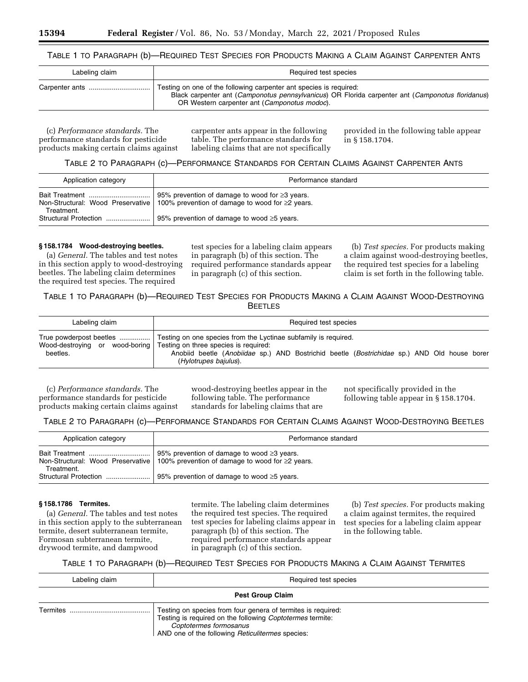## TABLE 1 TO PARAGRAPH (b)—REQUIRED TEST SPECIES FOR PRODUCTS MAKING A CLAIM AGAINST CARPENTER ANTS

| Labeling claim | Required test species                                                                                                                                                                                                  |
|----------------|------------------------------------------------------------------------------------------------------------------------------------------------------------------------------------------------------------------------|
|                | Testing on one of the following carpenter ant species is required:<br>Black carpenter ant (Camponotus pennsylvanicus) OR Florida carpenter ant (Camponotus floridanus)<br>OR Western carpenter ant (Camponotus modoc). |

(c) *Performance standards.* The performance standards for pesticide products making certain claims against

carpenter ants appear in the following table. The performance standards for labeling claims that are not specifically provided in the following table appear in § 158.1704.

# TABLE 2 TO PARAGRAPH (c)—PERFORMANCE STANDARDS FOR CERTAIN CLAIMS AGAINST CARPENTER ANTS

| Application category  | Performance standard                                                                                                                              |
|-----------------------|---------------------------------------------------------------------------------------------------------------------------------------------------|
| Treatment.            | 95% prevention of damage to wood for $\geq$ 3 years.<br>Non-Structural: Wood Preservative   100% prevention of damage to wood for $\geq 2$ years. |
| Structural Protection | 95% prevention of damage to wood $\geq$ 5 years.                                                                                                  |

#### **§ 158.1784 Wood-destroying beetles.**

(a) *General.* The tables and test notes in this section apply to wood-destroying beetles. The labeling claim determines the required test species. The required

test species for a labeling claim appears in paragraph (b) of this section. The required performance standards appear in paragraph (c) of this section.

(b) *Test species.* For products making a claim against wood-destroying beetles, the required test species for a labeling claim is set forth in the following table.

# TABLE 1 TO PARAGRAPH (b)—REQUIRED TEST SPECIES FOR PRODUCTS MAKING A CLAIM AGAINST WOOD-DESTROYING **BEETLES**

| Labeling claim | Required test species                                                                                                                                                                        |
|----------------|----------------------------------------------------------------------------------------------------------------------------------------------------------------------------------------------|
| beetles.       | Wood-destroving or wood-boring Testing on three species is required:<br>Anobiid beetle (Anobiidae sp.) AND Bostrichid beetle (Bostrichidae sp.) AND Old house borer<br>(Hylotrupes bajulus). |

(c) *Performance standards.* The performance standards for pesticide products making certain claims against wood-destroying beetles appear in the following table. The performance standards for labeling claims that are

not specifically provided in the following table appear in § 158.1704.

# TABLE 2 TO PARAGRAPH (c)—PERFORMANCE STANDARDS FOR CERTAIN CLAIMS AGAINST WOOD-DESTROYING BEETLES

| Application category         | Performance standard                                                                                                                          |
|------------------------------|-----------------------------------------------------------------------------------------------------------------------------------------------|
| Bait Treatment<br>Treatment. | 95% prevention of damage to wood $\geq$ 3 years.<br>Non-Structural: Wood Preservative   100% prevention of damage to wood for $\geq$ 2 years. |
| Structural Protection        | 95% prevention of damage to wood $\geq$ 5 years.                                                                                              |

#### **§ 158.1786 Termites.**

(a) *General.* The tables and test notes in this section apply to the subterranean termite, desert subterranean termite, Formosan subterranean termite, drywood termite, and dampwood

termite. The labeling claim determines the required test species. The required test species for labeling claims appear in paragraph (b) of this section. The required performance standards appear in paragraph (c) of this section.

(b) *Test species.* For products making a claim against termites, the required test species for a labeling claim appear in the following table.

# TABLE 1 TO PARAGRAPH (b)—REQUIRED TEST SPECIES FOR PRODUCTS MAKING A CLAIM AGAINST TERMITES

| Labeling claim          | Required test species                                                                                                                                                                                   |  |
|-------------------------|---------------------------------------------------------------------------------------------------------------------------------------------------------------------------------------------------------|--|
| <b>Pest Group Claim</b> |                                                                                                                                                                                                         |  |
| Termites                | Testing on species from four genera of termites is required:<br>Testing is required on the following Coptotermes termite:<br>Coptotermes formosanus<br>AND one of the following Reticulitermes species: |  |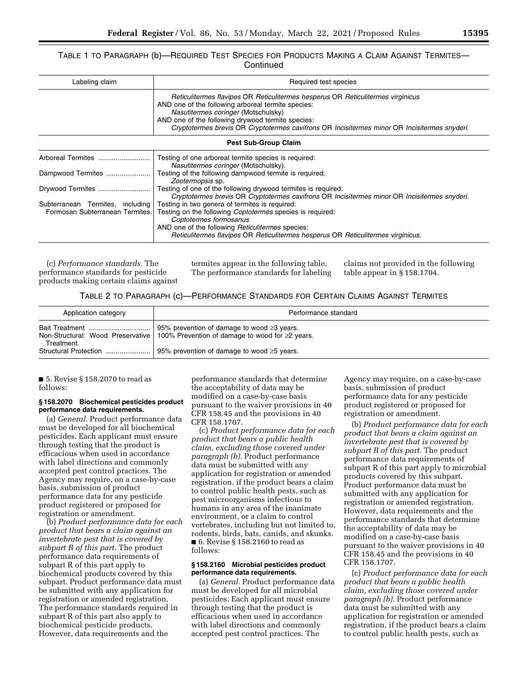## TABLE 1 TO PARAGRAPH (b)—REQUIRED TEST SPECIES FOR PRODUCTS MAKING A CLAIM AGAINST TERMITES— **Continued**

| Labeling claim                   | Required test species                                                                                                                                                                                                                                                                                                             |
|----------------------------------|-----------------------------------------------------------------------------------------------------------------------------------------------------------------------------------------------------------------------------------------------------------------------------------------------------------------------------------|
|                                  | Reticulitermes flavipes OR Reticulitermes hesperus OR Reticulitermes virginicus<br>AND one of the following arboreal termite species:<br>Nasutitermes coringer (Motschulsky)<br>AND one of the following drywood termite species:<br>Cryptotermes brevis OR Cryptotermes cavifrons OR Incisitermes minor OR Incisitermes snyderi. |
|                                  | <b>Pest Sub-Group Claim</b>                                                                                                                                                                                                                                                                                                       |
| Arboreal Termites                | Testing of one arboreal termite species is required:<br>Nasutitermes coringer (Motschulsky).                                                                                                                                                                                                                                      |
| Dampwood Termites                | Testing of the following dampwood termite is required:<br>Zootermopsis sp.                                                                                                                                                                                                                                                        |
| Drywood Termites                 | Testing of one of the following drywood termites is required:<br>Cryptotermes brevis OR Cryptotermes cavifrons OR Incisitermes minor OR Incisitermes snyderi.                                                                                                                                                                     |
| Subterranean Termites, including | Testing in two genera of termites is required:                                                                                                                                                                                                                                                                                    |

Formosan Subterranean Termites. Testing on the following *Coptotermes* species is required: *Coptotermes formosanus*  AND one of the following *Reticulitermes* species: *Reticulitermes flavipes* OR *Reticulitermes hesperus* OR *Reticulitermes virginicus*.

(c) *Performance standards.* The performance standards for pesticide products making certain claims against termites appear in the following table. The performance standards for labeling claims not provided in the following table appear in § 158.1704.

## TABLE 2 TO PARAGRAPH (c)—PERFORMANCE STANDARDS FOR CERTAIN CLAIMS AGAINST TERMITES

| Application category  | Performance standard                                                                                                                    |
|-----------------------|-----------------------------------------------------------------------------------------------------------------------------------------|
| Treatment.            | 95% prevention of damage to wood $\geq$ 3 years.<br>Non-Structural: Wood Preservative   100% Prevention of damage to wood for ≥2 years. |
| Structural Protection | 95% prevention of damage to wood $\geq$ 5 years.                                                                                        |

■ 5. Revise § 158.2070 to read as follows:

#### **§ 158.2070 Biochemical pesticides product performance data requirements.**

(a) *General.* Product performance data must be developed for all biochemical pesticides. Each applicant must ensure through testing that the product is efficacious when used in accordance with label directions and commonly accepted pest control practices. The Agency may require, on a case-by-case basis, submission of product performance data for any pesticide product registered or proposed for registration or amendment.

(b) *Product performance data for each product that bears a claim against an invertebrate pest that is covered by subpart R of this part.* The product performance data requirements of subpart R of this part apply to biochemical products covered by this subpart. Product performance data must be submitted with any application for registration or amended registration. The performance standards required in subpart R of this part also apply to biochemical pesticide products. However, data requirements and the

performance standards that determine the acceptability of data may be modified on a case-by-case basis pursuant to the waiver provisions in 40 CFR 158.45 and the provisions in 40 CFR 158.1707.

(c) *Product performance data for each product that bears a public health claim, excluding those covered under paragraph (b).* Product performance data must be submitted with any application for registration or amended registration, if the product bears a claim to control public health pests, such as pest microorganisms infectious to humans in any area of the inanimate environment, or a claim to control vertebrates, including but not limited to, rodents, birds, bats, canids, and skunks. ■ 6. Revise § 158.2160 to read as follows:

#### **§ 158.2160 Microbial pesticides product performance data requirements.**

(a) *General.* Product performance data must be developed for all microbial pesticides. Each applicant must ensure through testing that the product is efficacious when used in accordance with label directions and commonly accepted pest control practices. The

Agency may require, on a case-by-case basis, submission of product performance data for any pesticide product registered or proposed for registration or amendment.

(b) *Product performance data for each product that bears a claim against an invertebrate pest that is covered by subpart R of this part.* The product performance data requirements of subpart R of this part apply to microbial products covered by this subpart. Product performance data must be submitted with any application for registration or amended registration. However, data requirements and the performance standards that determine the acceptability of data may be modified on a case-by-case basis pursuant to the waiver provisions in 40 CFR 158.45 and the provisions in 40 CFR 158.1707.

(c) *Product performance data for each product that bears a public health claim, excluding those covered under paragraph (b).* Product performance data must be submitted with any application for registration or amended registration, if the product bears a claim to control public health pests, such as